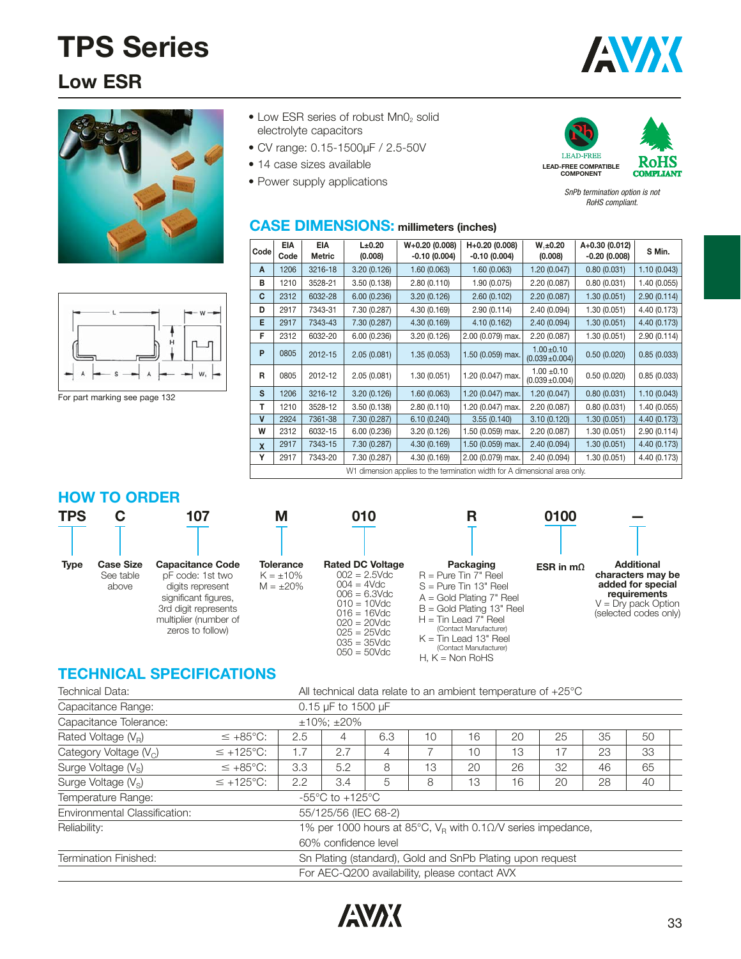### **Low ESR**





 $\bullet$  Low ESR series of robust  $MnO<sub>2</sub>$  solid electrolyte capacitors

**CASE DIMENSIONS: millimeters (inches)**

- CV range: 0.15-1500μF / 2.5-50V
- 14 case sizes available
- Power supply applications





SnPb termination option is not RoHS compliant.

For part marking see page 132

| Code | <b>EIA</b><br>Code | <b>EIA</b><br><b>Metric</b> | L±0.20<br>(0.008) | $W+0.20(0.008)$<br>$-0.10(0.004)$                                          | H+0.20 (0.008)<br>$-0.10(0.004)$ | $W, \pm 0.20$<br>(0.008)               | A+0.30 (0.012)<br>$-0.20(0.008)$ | S Min.       |
|------|--------------------|-----------------------------|-------------------|----------------------------------------------------------------------------|----------------------------------|----------------------------------------|----------------------------------|--------------|
| A    | 1206               | 3216-18                     | 3.20(0.126)       | 1.60(0.063)                                                                | 1.60(0.063)                      | 1.20 (0.047)                           | 0.80(0.031)                      | 1.10(0.043)  |
| в    | 1210               | 3528-21                     | 3.50(0.138)       | 2.80(0.110)                                                                | 1.90 (0.075)                     | 2.20 (0.087)                           | 0.80(0.031)                      | 1.40(0.055)  |
| C    | 2312               | 6032-28                     | 6.00(0.236)       | 3.20(0.126)                                                                | 2.60(0.102)                      | 2.20 (0.087)                           | 1.30(0.051)                      | 2.90(0.114)  |
| D    | 2917               | 7343-31                     | 7.30 (0.287)      | 4.30 (0.169)                                                               | 2.90(0.114)                      | 2.40 (0.094)                           | 1.30(0.051)                      | 4.40 (0.173) |
| Е    | 2917               | 7343-43                     | 7.30 (0.287)      | 4.30 (0.169)                                                               | 4.10 (0.162)                     | 2.40 (0.094)                           | 1.30(0.051)                      | 4.40 (0.173) |
| F    | 2312               | 6032-20                     | 6.00(0.236)       | 3.20 (0.126)                                                               | 2.00 (0.079) max.                | 2.20 (0.087)                           | 1.30 (0.051)                     | 2.90(0.114)  |
| P    | 0805               | 2012-15                     | 2.05(0.081)       | 1.35(0.053)                                                                | 1.50 (0.059) max.                | $1.00 \pm 0.10$<br>$(0.039 \pm 0.004)$ | 0.50(0.020)                      | 0.85(0.033)  |
| R    | 0805               | 2012-12                     | 2.05(0.081)       | 1.30(0.051)                                                                | 1.20 (0.047) max.                | $1.00 \pm 0.10$<br>$(0.039 \pm 0.004)$ | 0.50(0.020)                      | 0.85(0.033)  |
| s    | 1206               | 3216-12                     | 3.20(0.126)       | 1.60(0.063)                                                                | 1.20 (0.047) max.                | 1.20(0.047)                            | 0.80(0.031)                      | 1.10(0.043)  |
| т    | 1210               | 3528-12                     | 3.50(0.138)       | 2.80(0.110)                                                                | 1.20 (0.047) max.                | 2.20 (0.087)                           | 0.80(0.031)                      | 1.40(0.055)  |
| ۷    | 2924               | 7361-38                     | 7.30 (0.287)      | 6.10(0.240)                                                                | 3.55(0.140)                      | 3.10(0.120)                            | 1.30(0.051)                      | 4.40 (0.173) |
| W    | 2312               | 6032-15                     | 6.00(0.236)       | 3.20(0.126)                                                                | 1.50 (0.059) max.                | 2.20 (0.087)                           | 1.30 (0.051)                     | 2.90(0.114)  |
| X    | 2917               | 7343-15                     | 7.30 (0.287)      | 4.30 (0.169)                                                               | 1.50 (0.059) max.                | 2.40(0.094)                            | 1.30(0.051)                      | 4.40(0.173)  |
| Y    | 2917               | 7343-20                     | 7.30 (0.287)      | 4.30 (0.169)                                                               | 2.00 (0.079) max.                | 2.40 (0.094)                           | 1.30(0.051)                      | 4.40 (0.173) |
|      |                    |                             |                   | W1 dimension applies to the termination width for A dimensional area only. |                                  |                                        |                                  |              |

#### **HOW TO ORDER**

| <b>TPS</b>  |                                        | 107                                                                                                                                                          | M                                                    | 010                                                                                                                                                                                               | R                                                                                                                                                                                                                                                                  | 0100             |                                                                                                                               |
|-------------|----------------------------------------|--------------------------------------------------------------------------------------------------------------------------------------------------------------|------------------------------------------------------|---------------------------------------------------------------------------------------------------------------------------------------------------------------------------------------------------|--------------------------------------------------------------------------------------------------------------------------------------------------------------------------------------------------------------------------------------------------------------------|------------------|-------------------------------------------------------------------------------------------------------------------------------|
|             |                                        |                                                                                                                                                              |                                                      |                                                                                                                                                                                                   |                                                                                                                                                                                                                                                                    |                  |                                                                                                                               |
| <b>Type</b> | <b>Case Size</b><br>See table<br>above | <b>Capacitance Code</b><br>pF code: 1st two<br>digits represent<br>significant figures,<br>3rd digit represents<br>multiplier (number of<br>zeros to follow) | <b>Tolerance</b><br>$K = \pm 10\%$<br>$M = \pm 20\%$ | <b>Rated DC Voltage</b><br>$002 = 2.5$ Vdc<br>$004 = 4Vdc$<br>$006 = 6.3$ Vdc<br>$010 = 10$ Vdc<br>$016 = 16$ Vdc<br>$020 = 20$ Vdc<br>$025 = 25$ Vdc<br>$035 = 35 \text{V}$ dc<br>$050 = 50$ Vdc | Packaging<br>$R = P$ ure Tin 7" Reel<br>$S = Pure$ Tin 13" Reel<br>$A = Gold Plating 7" Reel$<br>$B =$ Gold Plating 13" Reel<br>$H = T$ in Lead 7" Reel<br>(Contact Manufacturer)<br>$K =$ Tin Lead 13" Reel<br>(Contact Manufacturer)<br>H. $K = \text{Non RoHS}$ | ESR in $m\Omega$ | <b>Additional</b><br>characters may be<br>added for special<br>requirements<br>$V = Dry$ pack Option<br>(selected codes only) |

### **TECHNICAL SPECIFICATIONS**

| Technical Data:               | All technical data relate to an ambient temperature of $+25^{\circ}$ C |                                                     |                                     |     |    |    |    |                                                                         |    |    |  |  |  |
|-------------------------------|------------------------------------------------------------------------|-----------------------------------------------------|-------------------------------------|-----|----|----|----|-------------------------------------------------------------------------|----|----|--|--|--|
| Capacitance Range:            |                                                                        |                                                     | 0.15 µF to 1500 µF                  |     |    |    |    |                                                                         |    |    |  |  |  |
| Capacitance Tolerance:        |                                                                        |                                                     | $±10\%; ±20\%$                      |     |    |    |    |                                                                         |    |    |  |  |  |
| Rated Voltage $(V_R)$         | $\leq +85^{\circ}C$ :                                                  | 2.5                                                 | 4                                   | 6.3 | 10 | 16 | 20 | 25                                                                      | 35 | 50 |  |  |  |
| Category Voltage $(V_C)$      | $\leq$ +125°C:                                                         | 1.7                                                 | 2.7                                 | 4   |    | 10 | 13 | 17                                                                      | 23 | 33 |  |  |  |
| Surge Voltage $(V_s)$         | $\leq +85^{\circ}C$ :                                                  | 8<br>13<br>3.3<br>5.2<br>20<br>26<br>46<br>65<br>32 |                                     |     |    |    |    |                                                                         |    |    |  |  |  |
| Surge Voltage $(V_s)$         | $\leq$ +125°C:                                                         | 5<br>2.2<br>13<br>28<br>3.4<br>16<br>20<br>40<br>8  |                                     |     |    |    |    |                                                                         |    |    |  |  |  |
| Temperature Range:            |                                                                        |                                                     | -55 $\degree$ C to +125 $\degree$ C |     |    |    |    |                                                                         |    |    |  |  |  |
| Environmental Classification: |                                                                        |                                                     | 55/125/56 (IEC 68-2)                |     |    |    |    |                                                                         |    |    |  |  |  |
| Reliability:                  |                                                                        |                                                     |                                     |     |    |    |    | 1% per 1000 hours at 85°C, $V_R$ with 0.1 $\Omega$ /V series impedance, |    |    |  |  |  |
|                               | 60% confidence level                                                   |                                                     |                                     |     |    |    |    |                                                                         |    |    |  |  |  |
| <b>Termination Finished:</b>  | Sn Plating (standard), Gold and SnPb Plating upon request              |                                                     |                                     |     |    |    |    |                                                                         |    |    |  |  |  |
|                               | For AEC-Q200 availability, please contact AVX                          |                                                     |                                     |     |    |    |    |                                                                         |    |    |  |  |  |

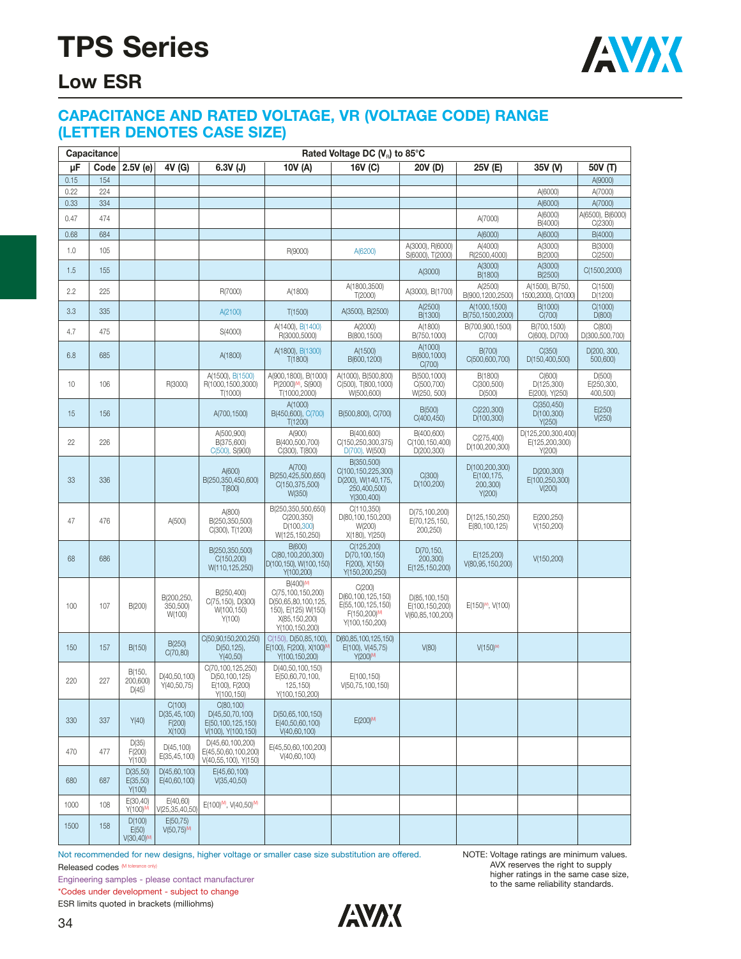

### **Low ESR**

#### **CAPACITANCE AND RATED VOLTAGE, VR (VOLTAGE CODE) RANGE (LETTER DENOTES CASE SIZE)**

|      | Capacitance |                                             |                                              |                                                                          |                                                                                                                             | Rated Voltage DC $(V_R)$ to 85°C                                                      |                                                     |                                                    |                                                |                                  |
|------|-------------|---------------------------------------------|----------------------------------------------|--------------------------------------------------------------------------|-----------------------------------------------------------------------------------------------------------------------------|---------------------------------------------------------------------------------------|-----------------------------------------------------|----------------------------------------------------|------------------------------------------------|----------------------------------|
| μF   | Code        | $2.5V$ (e)                                  | 4V (G)                                       | $6.3V$ (J)                                                               | 10V (A)                                                                                                                     | 16V (C)                                                                               | 20V (D)                                             | 25V (E)                                            | 35V (V)                                        | 50V (T)                          |
| 0.15 | 154         |                                             |                                              |                                                                          |                                                                                                                             |                                                                                       |                                                     |                                                    |                                                | A(9000)                          |
| 0.22 | 224         |                                             |                                              |                                                                          |                                                                                                                             |                                                                                       |                                                     |                                                    | A(6000)                                        | A(7000)                          |
| 0.33 | 334         |                                             |                                              |                                                                          |                                                                                                                             |                                                                                       |                                                     |                                                    | A(6000)<br>A(6000)                             | A(7000)<br>A(6500), B(6000)      |
| 0.47 | 474         |                                             |                                              |                                                                          |                                                                                                                             |                                                                                       |                                                     | A(7000)                                            | B(4000)                                        | C(2300)                          |
| 0.68 | 684         |                                             |                                              |                                                                          |                                                                                                                             |                                                                                       |                                                     | A(6000)                                            | A(6000)                                        | B(4000)                          |
| 1.0  | 105         |                                             |                                              |                                                                          | R(9000)                                                                                                                     | A(6200)                                                                               | A(3000), R(6000)<br>S(6000), T(2000)                | A(4000)<br>R(2500,4000)                            | A(3000)<br>B(2000)                             | B(3000)<br>C(2500)               |
| 1.5  | 155         |                                             |                                              |                                                                          |                                                                                                                             |                                                                                       | A(3000)                                             | A(3000)<br>B(1800)                                 | A(3000)<br>B(2500)                             | C(1500,2000)                     |
| 2.2  | 225         |                                             |                                              | R(7000)                                                                  | A(1800)                                                                                                                     | A(1800,3500)<br>T(2000)                                                               | A(3000), B(1700)                                    | A(2500)<br>B(900,1200,2500)                        | A(1500), B(750,<br>1500,2000), C(1000)         | C(1500)<br>D(1200)               |
| 3.3  | 335         |                                             |                                              | A(2100)                                                                  | T(1500)                                                                                                                     | A(3500), B(2500)                                                                      | A(2500)<br>B(1300)                                  | A(1000,1500)<br>B(750,1500,2000)                   | B(1000)<br>C(700)                              | C(1000)<br>D(800)                |
| 4.7  | 475         |                                             |                                              | S(4000)                                                                  | A(1400), B(1400)<br>R(3000,5000)                                                                                            | A(2000)<br>B(800,1500)                                                                | A(1800)<br>B(750,1000)                              | B(700,900,1500)<br>C(700)                          | B(700,1500)<br>C(600), D(700)                  | C(800)<br>D(300,500,700)         |
| 6.8  | 685         |                                             |                                              | A(1800)                                                                  | A(1800), B(1300)<br>T(1800)                                                                                                 | A(1500)<br>B(600,1200)                                                                | A(1000)<br>B(600,1000)<br>C(700)                    | B(700)<br>C(500,600,700)                           | C(350)<br>D(150,400,500)                       | D(200, 300,<br>500,600)          |
| 10   | 106         |                                             | R(3000)                                      | A(1500), B(1500)<br>R(1000,1500,3000)<br>T(1000)                         | A(900,1800), B(1000)<br>P(2000) <sup>M</sup> , S(900)<br>T(1000,2000)                                                       | A(1000), B(500,800)<br>C(500), T(800, 1000)<br>W(500,600)                             | B(500,1000)<br>C(500,700)<br>W(250, 500)            | B(1800)<br>C(300,500)<br>D(500)                    | C(600)<br>D(125,300)<br>E(200), Y(250)         | D(500)<br>E(250,300,<br>400,500) |
| 15   | 156         |                                             |                                              | A(700,1500)                                                              | A(1000)<br>B(450,600), C(700)<br>T(1200)                                                                                    | B(500,800), C(700)                                                                    | B(500)<br>C(400, 450)                               | C(220,300)<br>D(100,300)                           | C(350,450)<br>D(100, 300)<br>Y(250)            | E(250)<br>V(250)                 |
| 22   | 226         |                                             |                                              | A(500,900)<br>B(375,600)<br>C(500), S(900)                               | A(900)<br>B(400,500,700)<br>C(300), T(800)                                                                                  | B(400,600)<br>C(150,250,300,375)<br>D(700), W(500)                                    | B(400,600)<br>C(100,150,400)<br>D(200, 300)         | C(275,400)<br>D(100,200,300)                       | D(125,200,300,400)<br>E(125,200,300)<br>Y(200) |                                  |
| 33   | 336         |                                             |                                              | A(600)<br>B(250,350,450,600)<br>T(800)                                   | A(700)<br>B(250,425,500,650)<br>C(150,375,500)<br>W(350)                                                                    | B(350,500)<br>C(100,150,225,300)<br>D(200), W(140, 175,<br>250,400,500)<br>Y(300,400) | C(300)<br>D(100, 200)                               | D(100,200,300)<br>E(100,175,<br>200,300)<br>Y(200) | D(200,300)<br>E(100,250,300)<br>V(200)         |                                  |
| 47   | 476         |                                             | A(500)                                       | A(800)<br>B(250,350,500)<br>C(300), T(1200)                              | B(250,350,500,650)<br>C(200,350)<br>D(100, 300)<br>W(125,150,250)                                                           | C(110,350)<br>D(80,100,150,200)<br>W(200)<br>X(180), Y(250)                           | D(75,100,200)<br>E(70,125,150,<br>200,250)          | D(125,150,250)<br>E(80,100,125)                    | E(200,250)<br>V(150,200)                       |                                  |
| 68   | 686         |                                             |                                              | B(250,350,500)<br>C(150, 200)<br>W(110,125,250)                          | B(600)<br>C(80,100,200,300)<br>D(100,150), W(100,150)<br>Y(100,200)                                                         | C(125, 200)<br>D(70,100,150)<br>F(200), X(150)<br>Y(150,200,250)                      | D(70,150,<br>200,300)<br>E(125,150,200)             | E(125,200)<br>V(80,95,150,200)                     | V(150, 200)                                    |                                  |
| 100  | 107         | B(200)                                      | B(200,250,<br>350,500)<br>W(100)             | B(250,400)<br>C(75,150), D(300)<br>W(100,150)<br>Y(100)                  | B(400) <sup>(M)</sup><br>C(75,100,150,200)<br>D(50,65,80,100,125,<br>150), E(125) W(150)<br>X(85,150,200)<br>Y(100,150,200) | C(200)<br>D(60,100,125,150)<br>E(55,100,125,150)<br>F(150,200)M<br>Y(100,150,200)     | D(85,100,150)<br>E(100,150,200)<br>V(60,85,100,200) | E(150) <sup>M</sup> , V(100)                       |                                                |                                  |
| 150  | 157         | B(150)                                      | B(250)<br>C(70, 80)                          | C(50,90,150,200,250)<br>$D(50, 125)$ ,<br>Y(40,50)                       | C(150), D(50,85,100),<br>E(100), F(200), X(100) <sup>M</sup><br>Y(100,150,200)                                              | D(60,85,100,125,150)<br>E(100), V(45,75)<br>Y(200)M                                   | V(80)                                               | $V(150)^{M}$                                       |                                                |                                  |
| 220  | 227         | B(150,<br>200,600)<br>D(45)                 | D(40, 50, 100)<br>Y(40,50,75)                | C(70,100,125,250)<br>D(50,100,125)<br>E(100), F(200)<br>Y(100,150)       | D(40,50,100,150)<br>E(50,60,70,100,<br>125,150)<br>Y(100,150,200)                                                           | E(100,150)<br>V(50, 75, 100, 150)                                                     |                                                     |                                                    |                                                |                                  |
| 330  | 337         | Y(40)                                       | C(100)<br>D(35, 45, 100)<br>F(200)<br>X(100) | C(80, 100)<br>D(45,50,70,100)<br>E(50.100.125.150)<br>V(100), Y(100,150) | D(50,65,100,150)<br>E(40,50,60,100)<br>V(40,60,100)                                                                         | E(200)M                                                                               |                                                     |                                                    |                                                |                                  |
| 470  | 477         | D(35)<br>F(200)<br>Y(100)                   | D(45, 100)<br>E(35,45,100)                   | D(45,60,100,200)<br>E(45.50.60.100.200)<br>V(40,55,100), Y(150)          | E(45,50,60,100,200)<br>V(40,60,100)                                                                                         |                                                                                       |                                                     |                                                    |                                                |                                  |
| 680  | 687         | D(35,50)<br>E(35,50)<br>Y(100)              | D(45,60,100)<br>E(40.60.100)                 | E(45,60,100)<br>V(35, 40, 50)                                            |                                                                                                                             |                                                                                       |                                                     |                                                    |                                                |                                  |
| 1000 | 108         | E(30, 40)<br>Y(100) <sup>(M)</sup>          | E(40,60)<br>V(25,35,40,50)                   | E(100) <sup>M</sup> , V(40,50) <sup>M</sup>                              |                                                                                                                             |                                                                                       |                                                     |                                                    |                                                |                                  |
| 1500 | 158         | D(100)<br>E(50)<br>$V(30, 40)$ <sup>M</sup> | E(50.75)<br>$V(50.75)^{M}$                   |                                                                          |                                                                                                                             |                                                                                       |                                                     |                                                    |                                                |                                  |

Not recommended for new designs, higher voltage or smaller case size substitution are offered. Released codes (M tolerance only)

Engineering samples - please contact manufacturer \*Codes under development - subject to change ESR limits quoted in brackets (milliohms)

NOTE: Voltage ratings are minimum values. AVX reserves the right to supply higher ratings in the same case size, to the same reliability standards.

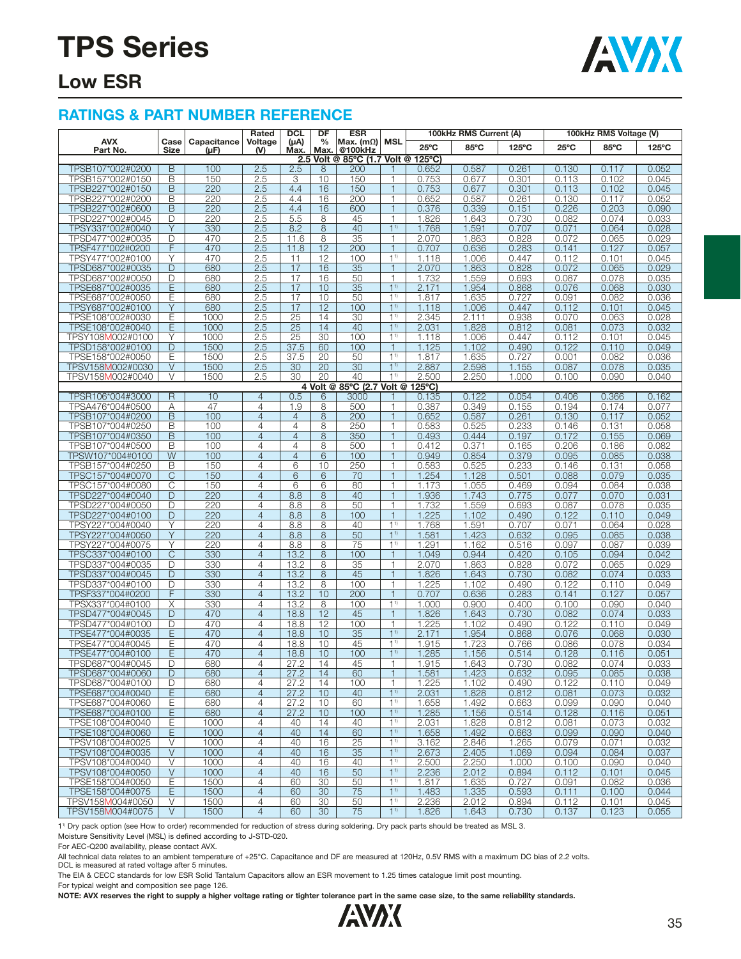

### **Low ESR**

#### **RATINGS & PART NUMBER REFERENCE**

|                                      | <b>DCL</b><br>DF<br><b>ESR</b><br>100kHz RMS Current (A)<br>Rated |                     |                                  |                   |              |                             | 100kHz RMS Voltage (V)           |                  |                |                |                |                |                |
|--------------------------------------|-------------------------------------------------------------------|---------------------|----------------------------------|-------------------|--------------|-----------------------------|----------------------------------|------------------|----------------|----------------|----------------|----------------|----------------|
| <b>AVX</b><br>Part No.               | Case<br>Size                                                      | Capacitance<br>(µF) | Voltage<br>(V)                   | $(\mu A)$<br>Max. | $\%$<br>Max. | Max. $(m\Omega)$<br>@100kHz | <b>MSL</b>                       | $25^{\circ}$ C   | 85°C           | 125°C          | $25^{\circ}$ C | 85°C           | 125°C          |
|                                      |                                                                   |                     |                                  |                   |              | 2.5 Volt @ 85°C (1.7 Volt @ |                                  | $125^{\circ}$ C) |                |                |                |                |                |
| TPSB107*002#0200                     | $\overline{B}$                                                    | 100                 | 2.5                              | 2.5               | 8            | 200                         |                                  | 0.652            | 0.587          | 0.261          | 0.130          | 0.117          | 0.052          |
| TPSB157*002#0150                     | B                                                                 | 150                 | 2.5                              | 3                 | 10           | 150                         | $\mathbf{1}$                     | 0.753            | 0.677          | 0.301          | 0.113          | 0.102          | 0.045          |
| TPSB227*002#0150                     | B                                                                 | 220                 | 2.5                              | 4.4               | 16           | 150                         | $\mathbf{1}$<br>1                | 0.753            | 0.677          | 0.301          | 0.113          | 0.102          | 0.045          |
| TPSB227*002#0200<br>TPSB227*002#0600 | B<br>$\overline{B}$                                               | 220<br>220          | 2.5<br>2.5                       | 4.4<br>4.4        | 16           | 200                         | $\overline{1}$                   | 0.652<br>0.376   | 0.587          | 0.261          | 0.130          | 0.117          | 0.052          |
| TPSD227*002#0045                     | D                                                                 | 220                 | 2.5                              | 5.5               | 16<br>8      | 600<br>45                   | $\mathbf{1}$                     | 1.826            | 0.339          | 0.151<br>0.730 | 0.226          | 0.203<br>0.074 | 0.090<br>0.033 |
| TPSY337*002#0040                     | Y                                                                 | 330                 | 2.5                              | 8.2               | 8            | 40                          | 1 <sup>1</sup>                   | 1.768            | 1.643<br>1.591 | 0.707          | 0.082<br>0.071 | 0.064          | 0.028          |
| TPSD477*002#0035                     | D                                                                 | 470                 | 2.5                              | 11.6              | 8            | 35                          | $\mathbf{1}$                     | 2.070            | 1.863          | 0.828          | 0.072          | 0.065          | 0.029          |
| TPSF477*002#0200                     | F                                                                 | 470                 | 2.5                              | 11.8              | 12           | 200                         | $\overline{1}$                   | 0.707            | 0.636          | 0.283          | 0.141          | 0.127          | 0.057          |
| TPSY477*002#0100                     | Υ                                                                 | 470                 | 2.5                              | 11                | 12           | 100                         | 1 <sup>1</sup>                   | 1.118            | 1.006          | 0.447          | 0.112          | 0.101          | 0.045          |
| TPSD687*002#0035                     | D                                                                 | 680                 | 2.5                              | 17                | 16           | 35                          | $\overline{1}$                   | 2.070            | 1.863          | 0.828          | 0.072          | 0.065          | 0.029          |
| TPSD687*002#0050                     | D                                                                 | 680                 | 2.5                              | 17                | 16           | 50                          | 1                                | 1.732            | 1.559          | 0.693          | 0.087          | 0.078          | 0.035          |
| TPSE687*002#0035                     | Ε                                                                 | 680                 | 2.5                              | 17                | 10           | 35                          | 1 <sup>1</sup>                   | 2.171            | 1.954          | 0.868          | 0.076          | 0.068          | 0.030          |
| TPSE687*002#0050                     | Ε                                                                 | 680                 | 2.5                              | 17                | 10           | 50                          | 1 <sup>1</sup>                   | 1.817            | 1.635          | 0.727          | 0.091          | 0.082          | 0.036          |
| TPSY687*002#0100                     | Y                                                                 | 680                 | 2.5                              | 17                | 12           | 100                         | 1 <sup>1</sup>                   | 1.118            | 1.006          | 0.447          | 0.112          | 0.101          | 0.045          |
| TPSE108*002#0030                     | Έ                                                                 | 1000                | 2.5                              | $\overline{25}$   | 14           | 30                          | 1 <sup>1</sup>                   | 2.345            | 2.111          | 0.938          | 0.070          | 0.063          | 0.028          |
| TPSE108*002#0040                     | Ε                                                                 | 1000                | 2.5                              | 25                | 14           | 40                          | 1 <sup>1</sup>                   | 2.031            | 1.828          | 0.812          | 0.081          | 0.073          | 0.032          |
| TPSY108M002#0100                     | Υ                                                                 | 1000                | 2.5                              | 25                | 30           | 100                         | 1 <sup>1</sup>                   | 1.118            | 1.006          | 0.447          | 0.112          | 0.101          | 0.045          |
| TPSD158*002#0100                     | D                                                                 | 1500                | 2.5                              | 37.5              | 60           | 100                         | $\mathbf{1}$                     | 1.125            | 1.102          | 0.490          | 0.122          | 0.110          | 0.049          |
| TPSE158*002#0050                     | Ε                                                                 | 1500                | 2.5                              | 37.5              | 20           | 50                          | 1 <sup>1</sup>                   | 1.817            | 1.635          | 0.727          | 0.001          | 0.082          | 0.036          |
| TPSV158M002#0030                     | V                                                                 | 1500                | 2.5                              | 30                | 20           | 30                          | 1 <sup>1</sup>                   | 2.887            | 2.598          | 1.155          | 0.087          | 0.078          | 0.035          |
| TPSV158M002#0040                     | V                                                                 | 1500                | 2.5                              | 30                | 20           | 40                          | 11)                              | 2.500            | 2.250          | 1.000          | 0.100          | 0.090          | 0.040          |
|                                      |                                                                   |                     |                                  |                   |              | 4 Volt @ 85°C (2.7 Volt @   |                                  | $125^{\circ}$ C) |                |                |                |                |                |
| TPSR106*004#3000                     | $\overline{R}$                                                    | 10                  | $\overline{4}$                   | 0.5               | 6            | 3000                        |                                  | 0.135            | 0.122          | 0.054          | 0.406          | 0.366          | 0.162          |
| TPSA476*004#0500                     | Α                                                                 | 47                  | $\overline{4}$                   | 1.9               | 8            | 500                         | $\mathbf{1}$                     | 0.387            | 0.349          | 0.155          | 0.194          | 0.174          | 0.077          |
| TPSB107*004#0200                     | B                                                                 | 100                 | $\overline{4}$                   | $\overline{4}$    | 8            | 200                         | $\mathbf{1}$                     | 0.652            | 0.587          | 0.261          | 0.130          | 0.117          | 0.052          |
| TPSB107*004#0250                     | B                                                                 | 100                 | $\overline{4}$                   | 4                 | 8            | 250                         | $\mathbf{1}$                     | 0.583            | 0.525          | 0.233          | 0.146          | 0.131          | 0.058          |
| TPSB107*004#0350                     | B                                                                 | 100                 | $\overline{4}$                   | $\overline{4}$    | 8            | 350                         | $\mathbf{1}$                     | 0.493            | 0.444          | 0.197          | 0.172          | 0.155          | 0.069          |
| TPSB107*004#0500                     | B                                                                 | 100                 | $\overline{4}$                   | 4                 | 8            | 500                         | 1                                | 0.412            | 0.371          | 0.165          | 0.206          | 0.186          | 0.082          |
| TPSW107*004#0100                     | $\overline{W}$                                                    | 100                 | $\overline{4}$                   | $\overline{4}$    | 6            | 100                         | $\mathbf{1}$                     | 0.949            | 0.854          | 0.379          | 0.095          | 0.085          | 0.038          |
| TPSB157*004#0250                     | B                                                                 | 150                 | $\overline{4}$<br>$\overline{4}$ | 6                 | 10           | 250                         | $\mathbf{1}$<br>$\overline{1}$   | 0.583            | 0.525          | 0.233          | 0.146          | 0.131          | 0.058          |
| TPSC157*004#0070<br>TPSC157*004#0080 | C                                                                 | 150                 | $\overline{4}$                   | 6<br>6            | 6<br>6       | 70                          | $\mathbf{1}$                     | 1.254            | 1.128          | 0.501          | 0.088          | 0.079          | 0.035          |
| TPSD227*004#0040                     | С<br>D                                                            | 150<br>220          | $\overline{4}$                   | 8.8               | 8            | 80<br>40                    | $\overline{1}$                   | 1.173<br>1.936   | 1.055<br>1.743 | 0.469<br>0.775 | 0.094<br>0.077 | 0.084<br>0.070 | 0.038<br>0.031 |
| TPSD227*004#0050                     | D                                                                 | 220                 | $\overline{4}$                   | 8.8               | 8            | 50                          | $\mathbf{1}$                     | 1.732            | 1.559          | 0.693          | 0.087          | 0.078          | 0.035          |
| TPSD227*004#0100                     | D                                                                 | 220                 | $\overline{4}$                   | 8.8               | 8            | 100                         | $\overline{1}$                   | 1.225            | 1.102          | 0.490          | 0.122          | 0.110          | 0.049          |
| TPSY227*004#0040                     | Y                                                                 | 220                 | $\overline{4}$                   | 8.8               | 8            | 40                          | $1^{1}$                          | 1.768            | 1.591          | 0.707          | 0.071          | 0.064          | 0.028          |
| TPSY227*004#0050                     | Y                                                                 | 220                 | $\overline{4}$                   | 8.8               | 8            | $\overline{50}$             | 1 <sup>1</sup>                   | 1.581            | 1.423          | 0.632          | 0.095          | 0.085          | 0.038          |
| TPSY227*004#0075                     | Y                                                                 | 220                 | $\overline{4}$                   | 8.8               | 8            | 75                          | 1 <sup>1</sup>                   | 1.291            | 1.162          | 0.516          | 0.097          | 0.087          | 0.039          |
| TPSC337*004#0100                     | C                                                                 | 330                 | $\overline{4}$                   | 13.2              | 8            | 100                         | $\overline{1}$                   | 1.049            | 0.944          | 0.420          | 0.105          | 0.094          | 0.042          |
| TPSD337*004#0035                     | D                                                                 | 330                 | $\overline{4}$                   | 13.2              | 8            | 35                          | $\mathbf{1}$                     | 2.070            | 1.863          | 0.828          | 0.072          | 0.065          | 0.029          |
| TPSD337*004#0045                     | D                                                                 | 330                 | $\overline{4}$                   | 13.2              | 8            | 45                          | $\mathbf{1}$                     | 1.826            | 1.643          | 0.730          | 0.082          | 0.074          | 0.033          |
| TPSD337*004#0100                     | D                                                                 | 330                 | $\overline{4}$                   | 13.2              | 8            | 100                         | $\mathbf 1$                      | 1.225            | 1.102          | 0.490          | 0.122          | 0.110          | 0.049          |
| TPSF337*004#0200                     | F                                                                 | 330                 | $\overline{4}$                   | 13.2              | 10           | 200                         | $\mathbf{1}$                     | 0.707            | 0.636          | 0.283          | 0.141          | 0.127          | 0.057          |
| TPSX337*004#0100                     | X                                                                 | 330                 | $\overline{4}$                   | 13.2              | 8            | 100                         | 1 <sup>1</sup>                   | 1.000            | 0.900          | 0.400          | 0.100          | 0.090          | 0.040          |
| TPSD477*004#0045                     | D                                                                 | 470                 | $\overline{4}$                   | 18.8              | 12           | 45                          | $\mathbf{1}$                     | 1.826            | 1.643          | 0.730          | 0.082          | 0.074          | 0.033          |
| TPSD477*004#0100                     | D                                                                 | 470                 | $\overline{4}$                   | 18.8              | 12           | 100                         | $\mathbf{1}$                     | 1.225            | 1.102          | 0.490          | 0.122          | 0.110          | 0.049          |
| TPSE477*004#0035                     | Ε                                                                 | 470                 | $\overline{4}$                   | 18.8              | 10           | 35                          | 1 <sup>1</sup>                   | 2.171            | 1.954          | 0.868          | 0.076          | 0.068          | 0.030          |
| TPSE477*004#0045                     | Ε                                                                 | 470                 | $\overline{4}$                   | 18.8              | 10           | 45                          | 1 <sup>1</sup>                   | 1.915            | 1.723          | 0.766          | 0.086          | 0.078          | 0.034          |
| TPSE477*004#0100                     | Ε                                                                 | 470                 | $\overline{4}$                   | 18.8              | 10           | 100                         | 1 <sup>1</sup>                   | 1.285            | 1.156          | 0.514          | 0.128          | 0.116          | 0.051          |
| TPSD687*004#0045                     | D                                                                 | 680                 | $\overline{4}$                   | 27.2              | 14           | 45                          | $\mathbf{1}$                     | 1.915            | 1.643          | 0.730          | 0.082          | 0.074          | 0.033          |
| TPSD687*004#0060                     | D                                                                 | 680                 | 4                                | 27.2              | 14           | 60                          | 1                                | 1.581            | 1.423          | 0.632          | 0.095          | 0.085          | 0.038          |
| TPSD687*004#0100                     | D                                                                 | 680                 | $\overline{4}$                   | 27.2              | 14           | 100                         | $\mathbf{1}$                     | 1.225            | 1.102          | 0.490          | 0.122          | 0.110          | 0.049          |
| TPSE687*004#0040                     | E                                                                 | 680                 | $\overline{4}$                   | 27.2              | 10           | 40                          | 1 <sup>1</sup>                   | 2.031            | 1.828          | 0.812          | 0.081          | 0.073          | 0.032          |
| TPSE687*004#0060                     | Ε                                                                 | 680                 | $\overline{4}$                   | 27.2              | 10           | 60                          | $1^{1}$                          | 1.658            | 1.492          | 0.663          | 0.099          | 0.090          | 0.040          |
| TPSE687*004#0100<br>TPSE108*004#0040 | Ε<br>Е                                                            | 680<br>1000         | $\overline{4}$<br>$\overline{4}$ | 27.2<br>40        | 10<br>14     | 100<br>40                   | 1 <sup>1</sup><br>1 <sup>1</sup> | 1.285<br>2.031   | 1.156<br>1.828 | 0.514<br>0.812 | 0.128<br>0.081 | 0.116<br>0.073 | 0.051<br>0.032 |
| TPSE108*004#0060                     | Е                                                                 | 1000                | $\overline{4}$                   | 40                | 14           | 60                          | 1 <sup>1</sup>                   | 1.658            | 1.492          | 0.663          | 0.099          | 0.090          | 0.040          |
| TPSV108*004#0025                     | V                                                                 | 1000                | $\overline{4}$                   | 40                | 16           | 25                          | 1 <sup>1</sup>                   | 3.162            | 2.846          | 1.265          | 0.079          | 0.071          | 0.032          |
| TPSV108*004#0035                     | $\vee$                                                            | 1000                | $\overline{4}$                   | 40                | 16           | 35                          | $1^{1}$                          | 2.673            | 2.405          | 1.069          | 0.094          | 0.084          | 0.037          |
| TPSV108*004#0040                     | $\overline{\vee}$                                                 | 1000                | $\overline{4}$                   | 40                | 16           | 40                          | 1 <sup>1</sup>                   | 2,500            | 2.250          | 1.000          | 0.100          | 0.090          | 0.040          |
| TPSV108*004#0050                     | $\vee$                                                            | 1000                | $\overline{4}$                   | 40                | 16           | 50                          | 1 <sup>1</sup>                   | 2.236            | 2.012          | 0.894          | 0.112          | 0.101          | 0.045          |
| TPSE158*004#0050                     | Ε                                                                 | 1500                | $\overline{4}$                   | 60                | 30           | 50                          | $1^{1}$                          | 1.817            | 1.635          | 0.727          | 0.091          | 0.082          | 0.036          |
| TPSE158*004#0075                     | E                                                                 | 1500                | $\overline{4}$                   | 60                | 30           | 75                          | $1^{1}$                          | 1.483            | 1.335          | 0.593          | 0.111          | 0.100          | 0.044          |
| TPSV158M004#0050                     | V                                                                 | 1500                | $\overline{4}$                   | 60                | 30           | 50                          | 1 <sup>1</sup>                   | 2.236            | 2.012          | 0.894          | 0.112          | 0.101          | 0.045          |
| TPSV158M004#0075                     | $\vee$                                                            | 1500                | $\overline{4}$                   | 60                | 30           | 75                          | 1 <sup>1</sup>                   | 1.826            | 1.643          | 0.730          | 0.137          | 0.123          | 0.055          |
|                                      |                                                                   |                     |                                  |                   |              |                             |                                  |                  |                |                |                |                |                |

11) Dry pack option (see How to order) recommended for reduction of stress during soldering. Dry pack parts should be treated as MSL 3.

Moisture Sensitivity Level (MSL) is defined according to J-STD-020.

For AEC-Q200 availability, please contact AVX.

All technical data relates to an ambient temperature of +25°C. Capacitance and DF are measured at 120Hz, 0.5V RMS with a maximum DC bias of 2.2 volts.

DCL is measured at rated voltage after 5 minutes.

The EIA & CECC standards for low ESR Solid Tantalum Capacitors allow an ESR movement to 1.25 times catalogue limit post mounting.

For typical weight and composition see page 126.

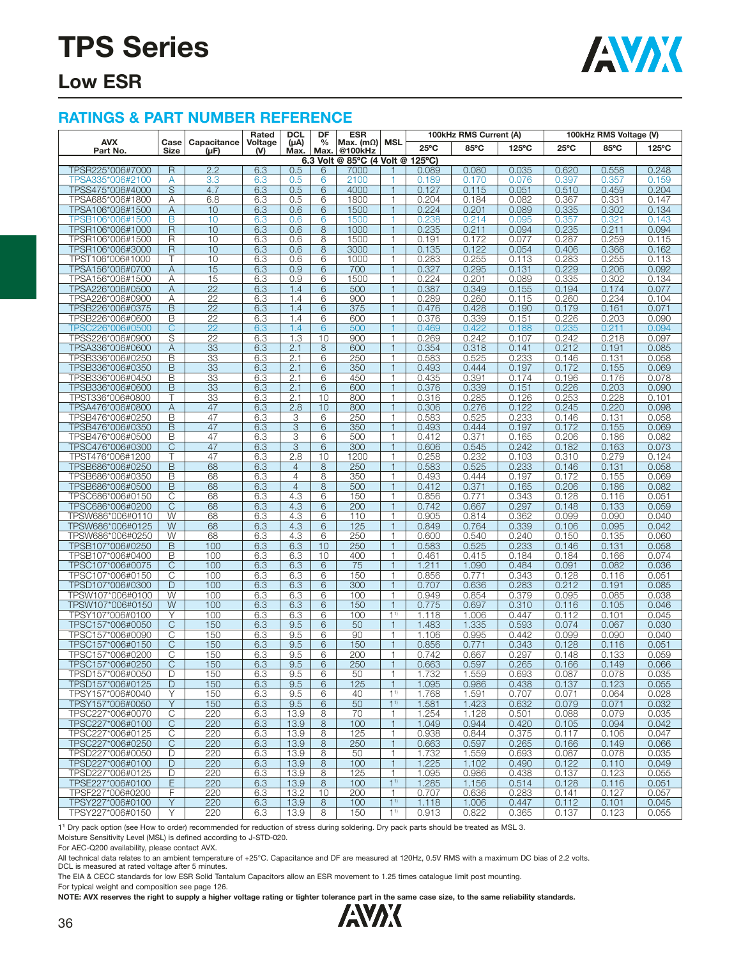

### **Low ESR**

#### **RATINGS & PART NUMBER REFERENCE**

|                                      |                |                     | <b>DCL</b><br>DF<br><b>ESR</b><br>Rated<br>100kHz RMS Current (A) |                       |                       |                                  |                                  |                | 100kHz RMS Voltage (V) |                 |                |                |                |
|--------------------------------------|----------------|---------------------|-------------------------------------------------------------------|-----------------------|-----------------------|----------------------------------|----------------------------------|----------------|------------------------|-----------------|----------------|----------------|----------------|
| <b>AVX</b><br>Part No.               | Case<br>Size   | Capacitance<br>(µF) | Voltage<br>(V)                                                    | $(\mu A)$<br>Max.     | $\frac{0}{0}$<br>Max. | Max. $(m\Omega)$<br>@100kHz      | MSL                              | $25^{\circ}$ C | 85°C                   | $125^{\circ}$ C | $25^{\circ}$ C | 85°C           | 125°C          |
|                                      |                |                     |                                                                   |                       |                       | 6.3 Volt @ 85°C (4 Volt @ 125°C) |                                  |                |                        |                 |                |                |                |
| TPSR225*006#7000                     | $\overline{R}$ | 2.2                 | 6.3                                                               | 0.5                   | 6<br>6                | 7000<br>2100                     | 1                                | 0.089          | 0.080                  | 0.035           | 0.620          | 0.558          | 0.248<br>0.159 |
| TPSA335*006#2100<br>TPSS475*006#4000 | A<br>S         | 3.3<br>4.7          | 6.3<br>6.3                                                        | 0.5<br>0.5            | 6                     | 4000                             | $\mathbf{1}$                     | 0.189<br>0.127 | 0.170<br>0.115         | 0.076<br>0.051  | 0.397<br>0.510 | 0.357<br>0.459 | 0.204          |
| TPSA685*006#1800                     | Α              | 6.8                 | 6.3                                                               | 0.5                   | 6                     | 1800                             | $\mathbf{1}$                     | 0.204          | 0.184                  | 0.082           | 0.367          | 0.331          | 0.147          |
| TPSA106*006#1500                     | Α              | 10                  | 6.3                                                               | 0.6                   | 6                     | 1500                             | $\mathbf{1}$                     | 0.224          | 0.201                  | 0.089           | 0.335          | 0.302          | 0.134          |
| TPSB106*006#1500                     | B              | 10                  | 6.3                                                               | 0.6                   | 6                     | 1500                             | 1                                | 0.238          | 0.214                  | 0.095           | 0.357          | 0.321          | 0.143          |
| TPSR106*006#1000                     | R              | 10                  | 6.3                                                               | 0.6                   | 8                     | 1000                             | $\mathbf{1}$                     | 0.235          | 0.211                  | 0.094           | 0.235          | 0.211          | 0.094          |
| TPSR106*006#1500                     | R              | 10                  | 6.3                                                               | 0.6                   | 8                     | 1500                             | $\mathbf{1}$                     | 0.191          | 0.172                  | 0.077           | 0.287          | 0.259          | 0.115          |
| TPSR106*006#3000                     | $\mathsf R$    | 10                  | 6.3                                                               | 0.6                   | $\overline{8}$        | 3000                             | $\mathbf{1}$                     | 0.135          | 0.122                  | 0.054           | 0.406          | 0.366          | 0.162          |
| TPST106*006#1000                     | Т              | 10                  | 6.3                                                               | 0.6                   | 6                     | 1000                             | 1                                | 0.283          | 0.255                  | 0.113           | 0.283          | 0.255          | 0.113          |
| TPSA156*006#0700<br>TPSA156*006#1500 | Α<br>A         | 15<br>15            | 6.3<br>6.3                                                        | 0.9<br>0.9            | 6<br>6                | 700<br>1500                      | $\mathbf{1}$<br>$\mathbf{1}$     | 0.327<br>0.224 | 0.295<br>0.201         | 0.131<br>0.089  | 0.229<br>0.335 | 0.206<br>0.302 | 0.092<br>0.134 |
| TPSA226*006#0500                     | Α              | $\overline{22}$     | 6.3                                                               | 1.4                   | 6                     | 500                              | $\mathbf{1}$                     | 0.387          | 0.349                  | 0.155           | 0.194          | 0.174          | 0.077          |
| TPSA226*006#0900                     | Α              | $\overline{22}$     | 6.3                                                               | 1.4                   | 6                     | 900                              | 1                                | 0.289          | 0.260                  | 0.115           | 0.260          | 0.234          | 0.104          |
| TPSB226*006#0375                     | B              | $\overline{22}$     | 6.3                                                               | 1.4                   | 6                     | 375                              | $\mathbf{1}$                     | 0.476          | 0.428                  | 0.190           | 0.179          | 0.161          | 0.071          |
| TPSB226*006#0600                     | B              | $\overline{22}$     | 6.3                                                               | 1.4                   | 6                     | 600                              | 1                                | 0.376          | 0.339                  | 0.151           | 0.226          | 0.203          | 0.090          |
| TPSC226*006#0500                     | C              | 22                  | 6.3                                                               | 1.4                   | 6                     | 500                              | 1                                | 0.469          | 0.422                  | 0.188           | 0.235          | 0.211          | 0.094          |
| TPSS226*006#0900                     | S              | $\overline{22}$     | 6.3                                                               | 1.3                   | 10                    | 900                              | 1                                | 0.269          | 0.242                  | 0.107           | 0.242          | 0.218          | 0.097          |
| TPSA336*006#0600                     | Α              | 33                  | 6.3                                                               | 2.1                   | 8                     | 600                              | $\mathbf{1}$                     | 0.354          | 0.318                  | 0.141           | 0.212          | 0.191          | 0.085          |
| TPSB336*006#0250<br>TPSB336*006#0350 | B              | 33<br>33            | 6.3                                                               | 2.1<br>2.1            | 6<br>6                | 250<br>350                       | $\mathbf{1}$<br>$\mathbf{1}$     | 0.583<br>0.493 | 0.525<br>0.444         | 0.233           | 0.146<br>0.172 | 0.131          | 0.058<br>0.069 |
| TPSB336*006#0450                     | B<br>B         | 33                  | 6.3<br>6.3                                                        | 2.1                   | 6                     | 450                              | $\mathbf{1}$                     | 0.435          | 0.391                  | 0.197<br>0.174  | 0.196          | 0.155<br>0.176 | 0.078          |
| TPSB336*006#0600                     | B              | 33                  | 6.3                                                               | 2.1                   | 6                     | 600                              | $\mathbf{1}$                     | 0.376          | 0.339                  | 0.151           | 0.226          | 0.203          | 0.090          |
| TPST336*006#0800                     | Т              | 33                  | 6.3                                                               | 2.1                   | 10                    | 800                              | 1                                | 0.316          | 0.285                  | 0.126           | 0.253          | 0.228          | 0.101          |
| TPSA476*006#0800                     | A              | 47                  | 6.3                                                               | 2.8                   | 10                    | 800                              | $\mathbf{1}$                     | 0.306          | 0.276                  | 0.122           | 0.245          | 0.220          | 0.098          |
| TPSB476*006#0250                     | B              | 47                  | 6.3                                                               | 3                     | 6                     | 250                              | 1                                | 0.583          | 0.525                  | 0.233           | 0.146          | 0.131          | 0.058          |
| TPSB476*006#0350                     | $\overline{B}$ | 47                  | 6.3                                                               | $\overline{3}$        | 6                     | 350                              | $\mathbf{1}$                     | 0.493          | 0.444                  | 0.197           | 0.172          | 0.155          | 0.069          |
| TPSB476*006#0500                     | В              | 47                  | 6.3                                                               | 3                     | 6                     | 500                              | $\mathbf{1}$                     | 0.412          | 0.371                  | 0.165           | 0.206          | 0.186          | 0.082          |
| TPSC476*006#0300                     | C              | 47                  | 6.3                                                               | 3                     | 6                     | 300                              | $\mathbf{1}$                     | 0.606          | 0.545                  | 0.242           | 0.182          | 0.163          | 0.073          |
| TPST476*006#1200<br>TPSB686*006#0250 | Т<br>B         | 47<br>68            | 6.3<br>6.3                                                        | 2.8<br>$\overline{4}$ | 10<br>8               | 1200<br>250                      | $\mathbf{1}$<br>$\mathbf{1}$     | 0.258<br>0.583 | 0.232<br>0.525         | 0.103<br>0.233  | 0.310<br>0.146 | 0.279<br>0.131 | 0.124<br>0.058 |
| TPSB686*006#0350                     | В              | 68                  | 6.3                                                               | $\overline{4}$        | 8                     | 350                              | 1                                | 0.493          | 0.444                  | 0.197           | 0.172          | 0.155          | 0.069          |
| TPSB686*006#0500                     | B              | 68                  | 6.3                                                               | $\overline{4}$        | 8                     | 500                              | $\mathbf{1}$                     | 0.412          | 0.371                  | 0.165           | 0.206          | 0.186          | 0.082          |
| TPSC686*006#0150                     | C              | 68                  | 6.3                                                               | 4.3                   | 6                     | 150                              | $\mathbf{1}$                     | 0.856          | 0.771                  | 0.343           | 0.128          | 0.116          | 0.051          |
| TPSC686*006#0200                     | C              | 68                  | 6.3                                                               | 4.3                   | 6                     | 200                              | $\mathbf{1}$                     | 0.742          | 0.667                  | 0.297           | 0.148          | 0.133          | 0.059          |
| TPSW686*006#0110                     | W              | 68                  | 6.3                                                               | 4.3                   | 6                     | 110                              | $\mathbf{1}$                     | 0.905          | 0.814                  | 0.362           | 0.099          | 0.090          | 0.040          |
| TPSW686*006#0125                     | W              | 68                  | 6.3                                                               | 4.3                   | 6                     | 125                              | $\mathbf{1}$                     | 0.849          | 0.764                  | 0.339           | 0.106          | 0.095          | 0.042          |
| TPSW686*006#0250<br>TPSB107*006#0250 | W<br>B         | 68<br>100           | 6.3<br>6.3                                                        | 4.3<br>6.3            | 6<br>10               | 250<br>250                       | $\mathbf{1}$<br>$\mathbf{1}$     | 0.600<br>0.583 | 0.540<br>0.525         | 0.240<br>0.233  | 0.150<br>0.146 | 0.135<br>0.131 | 0.060<br>0.058 |
| TPSB107*006#0400                     | B              | 100                 | 6.3                                                               | 6.3                   | 10                    | 400                              | 1                                | 0.461          | 0.415                  | 0.184           | 0.184          | 0.166          | 0.074          |
| TPSC107*006#0075                     | $\overline{C}$ | 100                 | 6.3                                                               | 6.3                   | 6                     | 75                               | $\mathbf{1}$                     | 1.211          | 1.090                  | 0.484           | 0.091          | 0.082          | 0.036          |
| TPSC107*006#0150                     | C              | 100                 | 6.3                                                               | 6.3                   | 6                     | 150                              | $\mathbf{1}$                     | 0.856          | 0.771                  | 0.343           | 0.128          | 0.116          | 0.051          |
| TPSD107*006#0300                     | D              | 100                 | 6.3                                                               | 6.3                   | 6                     | 300                              | $\mathbf{1}$                     | 0.707          | 0.636                  | 0.283           | 0.212          | 0.191          | 0.085          |
| TPSW107*006#0100                     | W              | 100                 | 6.3                                                               | 6.3                   | 6                     | 100                              | $\mathbf{1}$                     | 0.949          | 0.854                  | 0.379           | 0.095          | 0.085          | 0.038          |
| TPSW107*006#0150                     | W              | 100                 | 6.3                                                               | 6.3                   | $6\overline{6}$       | 150                              | $\mathbf{1}$                     | 0.775          | 0.697                  | 0.310           | 0.116          | 0.105          | 0.046          |
| TPSY107*006#0100                     | Υ              | 100                 | 6.3                                                               | 6.3                   | 6                     | 100                              | 1 <sup>1</sup><br>$\mathbf{1}$   | 1.118          | 1.006                  | 0.447           | 0.112          | 0.101          | 0.045          |
| TPSC157*006#0050<br>TPSC157*006#0090 | C<br>C         | 150<br>150          | 6.3<br>6.3                                                        | 9.5<br>9.5            | 6<br>6                | $\overline{50}$<br>90            | $\mathbf{1}$                     | 1.483<br>1.106 | 1.335<br>0.995         | 0.593<br>0.442  | 0.074<br>0.099 | 0.067<br>0.090 | 0.030<br>0.040 |
| TPSC157*006#0150                     | C              | 150                 | 6.3                                                               | 9.5                   | 6                     | 150                              | $\mathbf{1}$                     | 0.856          | 0.771                  | 0.343           | 0.128          | 0.116          | 0.051          |
| TPSC157*006#0200                     | С              | 150                 | 6.3                                                               | 9.5                   | 6                     | 200                              | 1                                | 0.742          | 0.667                  | 0.297           | 0.148          | 0.133          | 0.059          |
| TPSC157*006#0250                     | С              | 150                 | 6.3                                                               | 9.5                   | 6                     | 250                              | $\mathbf{1}$                     | 0.663          | 0.597                  | 0.265           | 0.166          | 0.149          | 0.066          |
| TPSD157*006#0050                     | D              | 150                 | 6.3                                                               | 9.5                   | 6                     | 50                               |                                  | 1.732          | 1.559                  | 0.693           | 0.087          | 0.078          | 0.035          |
| TPSD157*006#0125                     | D              | 150                 | 6.3                                                               | 9.5                   | 6                     | 125                              | 1                                | 1.095          | 0.986                  | 0.438           | 0.137          | 0.123          | 0.055          |
| TPSY157*006#0040                     | Υ              | $\overline{150}$    | 6.3                                                               | 9.5                   | 6                     | 40                               | 1 <sup>1</sup>                   | 1.768          | 1.591                  | 0.707           | 0.071          | 0.064          | 0.028          |
| TPSY157*006#0050                     | Y              | 150                 | 6.3                                                               | 9.5                   | 6                     | 50                               | 1 <sup>1</sup>                   | 1.581          | 1.423                  | 0.632           | 0.079          | 0.071          | 0.032          |
| TPSC227*006#0070<br>TPSC227*006#0100 | C<br>C         | 220<br>220          | 6.3<br>6.3                                                        | 13.9<br>13.9          | 8<br>8                | 70<br>100                        | 1<br>$\mathbf{1}$                | 1.254<br>1.049 | 1.128<br>0.944         | 0.501<br>0.420  | 0.088<br>0.105 | 0.079<br>0.094 | 0.035<br>0.042 |
| TPSC227*006#0125                     | С              | 220                 | 6.3                                                               | 13.9                  | 8                     | 125                              | $\mathbf{1}$                     | 0.938          | 0.844                  | 0.375           | 0.117          | 0.106          | 0.047          |
| TPSC227*006#0250                     | $\mathsf{C}$   | 220                 | 6.3                                                               | 13.9                  | 8                     | 250                              | $\mathbf{1}$                     | 0.663          | 0.597                  | 0.265           | 0.166          | 0.149          | 0.066          |
| TPSD227*006#0050                     | D              | 220                 | 6.3                                                               | 13.9                  | 8                     | 50                               | 1                                | 1.732          | 1.559                  | 0.693           | 0.087          | 0.078          | 0.035          |
| TPSD227*006#0100                     | D              | 220                 | 6.3                                                               | 13.9                  | 8                     | 100                              | $\mathbf{1}$                     | 1.225          | 1.102                  | 0.490           | 0.122          | 0.110          | 0.049          |
| TPSD227*006#0125                     | D              | 220                 | 6.3                                                               | 13.9                  | 8                     | 125                              | 1                                | 1.095          | 0.986                  | 0.438           | 0.137          | 0.123          | 0.055          |
| TPSE227*006#0100                     | E              | 220                 | 6.3                                                               | 13.9                  | 8                     | 100                              | 1 <sup>1</sup>                   | 1.285          | 1.156                  | 0.514           | 0.128          | 0.116          | 0.051          |
| TPSF227*006#0200                     | F              | 220                 | 6.3                                                               | 13.2                  | 10                    | 200                              | $\mathbf{1}$                     | 0.707          | 0.636                  | 0.283           | 0.141          | 0.127          | 0.057          |
| TPSY227*006#0100<br>TPSY227*006#0150 | Υ<br>Υ         | 220<br>220          | 6.3<br>6.3                                                        | 13.9<br>13.9          | $\,8\,$<br>8          | 100<br>150                       | 1 <sup>1</sup><br>1 <sup>1</sup> | 1.118<br>0.913 | 1.006<br>0.822         | 0.447<br>0.365  | 0.112<br>0.137 | 0.101<br>0.123 | 0.045<br>0.055 |
|                                      |                |                     |                                                                   |                       |                       |                                  |                                  |                |                        |                 |                |                |                |

11) Dry pack option (see How to order) recommended for reduction of stress during soldering. Dry pack parts should be treated as MSL 3.

Moisture Sensitivity Level (MSL) is defined according to J-STD-020.

For AEC-Q200 availability, please contact AVX.

All technical data relates to an ambient temperature of +25°C. Capacitance and DF are measured at 120Hz, 0.5V RMS with a maximum DC bias of 2.2 volts.

DCL is measured at rated voltage after 5 minutes.

The EIA & CECC standards for low ESR Solid Tantalum Capacitors allow an ESR movement to 1.25 times catalogue limit post mounting.

For typical weight and composition see page 126.

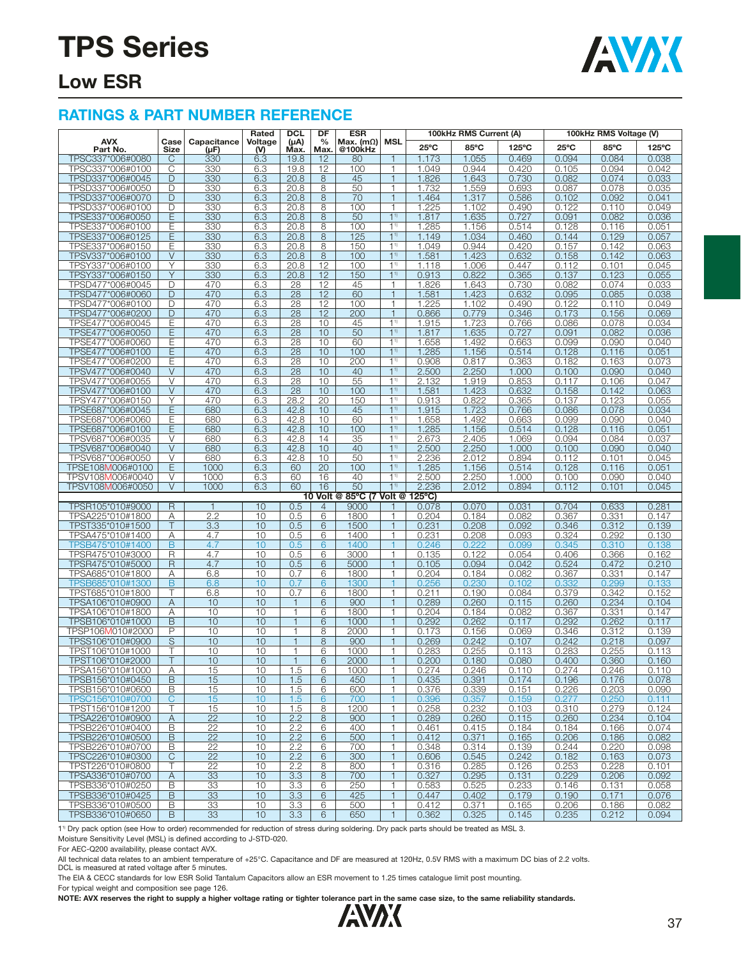

### **Low ESR**

#### **RATINGS & PART NUMBER REFERENCE**

|                                      |              |                     | Rated            | <b>DCL</b>        | DF                    | <b>ESR</b>                      |                              |                | 100kHz RMS Current (A) |                 |                | 100kHz RMS Voltage (V) |                |
|--------------------------------------|--------------|---------------------|------------------|-------------------|-----------------------|---------------------------------|------------------------------|----------------|------------------------|-----------------|----------------|------------------------|----------------|
| <b>AVX</b><br>Part No.               | Case<br>Size | Capacitance<br>(µF) | Voltage<br>$(V)$ | $(\mu A)$<br>Max. | $\frac{0}{0}$<br>Max. | Max. $(m\Omega)$ MSL<br>@100kHz |                              | $25^{\circ}$ C | 85°C                   | $125^{\circ}$ C | $25^{\circ}$ C | 85°C                   | 125°C          |
| TPSC337*006#0080                     | С            | 330                 | 6.3              | 19.8              | 12                    | 80                              |                              | 1.173          | 1.055                  | 0.469           | 0.094          | 0.084                  | 0.038          |
| TPSC337*006#0100                     | C            | 330                 | 6.3              | 19.8              | 12                    | 100                             | 1                            | 1.049          | 0.944                  | 0.420           | 0.105          | 0.094                  | 0.042          |
| TPSD337*006#0045                     | D            | 330                 | 6.3              | 20.8              | 8                     | 45                              | $\mathbf{1}$                 | 1.826          | 1.643                  | 0.730           | 0.082          | 0.074                  | 0.033          |
| TPSD337*006#0050                     | D            | 330                 | 6.3              | 20.8              | 8                     | 50                              | $\mathbf{1}$                 | 1.732          | 1.559                  | 0.693           | 0.087          | 0.078                  | 0.035          |
| TPSD337*006#0070                     | D            | 330                 | 6.3              | 20.8              | 8                     | 70                              | $\mathbf{1}$                 | 1.464          | 1.317                  | 0.586           | 0.102          | 0.092                  | 0.041          |
| TPSD337*006#0100                     | D            | 330                 | 6.3              | 20.8              | 8                     | 100                             | $\mathbf{1}$                 | 1.225          | 1.102                  | 0.490           | 0.122          | 0.110                  | 0.049          |
| TPSE337*006#0050                     | Ε            | 330                 | 6.3              | 20.8              | 8                     | 50                              | 1 <sup>1</sup>               | 1.817          | 1.635                  | 0.727           | 0.091          | 0.082                  | 0.036          |
| TPSE337*006#0100                     | Ε            | 330                 | 6.3              | 20.8              | 8                     | 100                             | 1 <sup>1</sup>               | 1.285          | 1.156                  | 0.514           | 0.128          | 0.116                  | 0.051          |
| TPSE337*006#0125                     | Ε            | 330                 | 6.3              | 20.8              | 8                     | 125                             | 1 <sup>1</sup>               | 1.149          | 1.034                  | 0.460           | 0.144          | 0.129                  | 0.057          |
| TPSE337*006#0150                     | E            | 330                 | 6.3              | 20.8              | 8                     | 150                             | 1 <sup>1</sup>               | 1.049          | 0.944                  | 0.420           | 0.157          | 0.142                  | 0.063          |
| TPSV337*006#0100                     | $\vee$       | 330                 | 6.3              | 20.8              | 8                     | 100                             | 1 <sup>1</sup>               | 1.581          | 1.423                  | 0.632           | 0.158          | 0.142                  | 0.063          |
| TPSY337*006#0100                     | Υ            | 330                 | 6.3              | 20.8              | 12                    | 100                             | 1 <sup>1</sup>               | 1.118          | 1.006                  | 0.447           | 0.112          | 0.101                  | 0.045          |
| TPSY337*006#0150                     | Y            | 330                 | 6.3              | 20.8              | 12                    | 150                             | 1 <sup>1</sup>               | 0.913          | 0.822                  | 0.365           | 0.137          | 0.123                  | 0.055          |
| TPSD477*006#0045                     | D            | 470                 | 6.3              | 28                | 12                    | 45                              | $\mathbf{1}$                 | 1.826          | 1.643                  | 0.730           | 0.082          | 0.074                  | 0.033          |
| TPSD477*006#0060                     | D            | 470                 | 6.3              | 28                | 12                    | 60                              | $\mathbf{1}$                 | 1.581          | 1.423                  | 0.632           | 0.095          | 0.085                  | 0.038          |
| TPSD477*006#0100                     | D            | 470                 | 6.3              | 28                | 12                    | 100                             | $\mathbf{1}$                 | 1.225          | 1.102                  | 0.490           | 0.122          | 0.110                  | 0.049          |
| TPSD477*006#0200                     | D            | 470                 | 6.3              | 28                | 12                    | 200                             | $\mathbf{1}$                 | 0.866          | 0.779                  | 0.346           | 0.173          | 0.156                  | 0.069          |
| TPSE477*006#0045                     | Ε            | 470                 | 6.3              | 28                | 10                    | 45                              | 1 <sup>1</sup>               | 1.915          | 1.723                  | 0.766           | 0.086          | 0.078                  | 0.034          |
| TPSE477*006#0050                     | Ε            | 470                 | 6.3              | $\overline{28}$   | 10                    | 50                              | 1 <sup>1</sup>               | 1.817          | 1.635                  | 0.727           | 0.091          | 0.082                  | 0.036          |
| TPSE477*006#0060                     | Ε            | 470                 | 6.3              | 28                | 10                    | 60                              | 1 <sup>1</sup>               | 1.658          | 1.492                  | 0.663           | 0.099          | 0.090                  | 0.040          |
| TPSE477*006#0100                     | E            | 470                 | 6.3              | 28                | 10                    | 100                             | 1 <sup>1</sup>               | 1.285          | 1.156                  | 0.514           | 0.128          | 0.116                  | 0.051          |
| TPSE477*006#0200                     | Ε            | 470                 | 6.3              | 28                | 10                    | 200                             | 1 <sup>1</sup>               | 0.908          | 0.817                  | 0.363           | 0.182          | 0.163                  | 0.073          |
| TPSV477*006#0040                     | V            | 470                 | 6.3              | 28                | 10                    | 40                              | 1 <sup>1</sup>               | 2.500          | 2.250                  | 1.000           | 0.100          | 0.090                  | 0.040          |
| TPSV477*006#0055                     | $\vee$       | 470                 | 6.3              | 28                | 10                    | 55                              | 1 <sup>1</sup>               | 2.132          | 1.919                  | 0.853           | 0.117          | 0.106                  | 0.047          |
| TPSV477*006#0100                     | $\vee$       | 470                 | 6.3              | 28                | 10                    | 100                             | $1^{1}$                      | 1.581          | 1.423                  | 0.632           | 0.158          | 0.142                  | 0.063          |
| TPSY477*006#0150                     | Υ            | 470                 | 6.3              | 28.2              | 20                    | 150                             | 1 <sup>1</sup>               | 0.913          | 0.822                  | 0.365           | 0.137          | 0.123                  | 0.055          |
| TPSE687*006#0045                     | E            | 680                 | 6.3              | 42.8              | 10                    | 45                              | 1 <sup>1</sup>               | 1.915          | 1.723                  | 0.766           | 0.086          | 0.078                  | 0.034          |
| TPSE687*006#0060                     | Ε            | 680                 | 6.3              | 42.8              | 10                    | 60                              | $1^{1}$                      | 1.658          | 1.492                  | 0.663           | 0.099          | 0.090                  | 0.040          |
| TPSE687*006#0100                     | Ε            | 680                 | 6.3              | 42.8              | 10                    | 100                             | 1 <sup>1</sup>               | 1.285          | 1.156                  | 0.514           | 0.128          | 0.116                  | 0.051          |
| TPSV687*006#0035                     | $\vee$       | 680                 | 6.3              | 42.8              | 14                    | 35                              | 1 <sup>1</sup>               | 2.673          | 2.405                  | 1.069           | 0.094          | 0.084                  | 0.037          |
| TPSV687*006#0040                     | $\vee$       | 680                 | 6.3              | 42.8              | 10                    | 40                              | 1 <sup>1</sup>               | 2.500          | 2.250                  | 1.000           | 0.100          | 0.090                  | 0.040          |
| TPSV687*006#0050                     | V            | 680                 | 6.3              | 42.8              | 10                    | 50                              | $1^{1}$                      | 2.236          | 2.012                  | 0.894           | 0.112          | 0.101                  | 0.045          |
| TPSE108M006#0100                     | E            | 1000                | 6.3              | 60                | 20                    | 100                             | 1 <sup>1</sup>               | 1.285          | 1.156                  | 0.514           | 0.128          | 0.116                  | 0.051          |
| TPSV108M006#0040                     | V            | 1000                | 6.3              | 60                | 16                    | 40                              | 1 <sup>1</sup>               | 2.500          | 2.250                  | 1.000           | 0.100          | 0.090                  | 0.040          |
| TPSV108M006#0050                     | $\vee$       | 1000                | 6.3              | 60                | 16                    | 50                              | 1 <sup>1</sup>               | 2.236          | 2.012                  | 0.894           | 0.112          | 0.101                  | 0.045          |
|                                      |              |                     |                  |                   |                       | 10 Volt @ 85°C (7 Volt @ 125°C) |                              |                |                        |                 |                |                        |                |
| TPSR105*010#9000<br>TPSA225*010#1800 | $\mathsf{R}$ | $\mathbf{1}$<br>2.2 | 10<br>10         | 0.5<br>0.5        | $\overline{4}$<br>6   | 9000<br>1800                    | 1                            | 0.078<br>0.204 | 0.070<br>0.184         | 0.031<br>0.082  | 0.704<br>0.367 | 0.633<br>0.331         | 0.281<br>0.147 |
| TPST335*010#1500                     | Α<br>T       | 3.3                 | 10               | 0.5               | 6                     | 1500                            | $\mathbf{1}$                 | 0.231          | 0.208                  | 0.092           | 0.346          | 0.312                  | 0.139          |
| TPSA475*010#1400                     | Α            | 4.7                 | 10               | 0.5               | 6                     | 1400                            | $\mathbf{1}$                 | 0.231          | 0.208                  | 0.093           | 0.324          | 0.292                  | 0.130          |
| TPSB475*010#1400                     | B            | 4.7                 | 10               | 0.5               | 6                     | 1400                            |                              | 0.246          | 0.222                  | 0.099           | 0.345          | 0.310                  | 0.138          |
| TPSR475*010#3000                     | R            | 4.7                 | 10               | 0.5               | 6                     | 3000                            | $\mathbf{1}$                 | 0.135          | 0.122                  | 0.054           | 0.406          | 0.366                  | 0.162          |
| TPSR475*010#5000                     | $\mathsf{R}$ | 4.7                 | 10               | 0.5               | 6                     | 5000                            | $\mathbf{1}$                 | 0.105          | 0.094                  | 0.042           | 0.524          | 0.472                  | 0.210          |
| TPSA685*010#1800                     | Α            | 6.8                 | 10               | 0.7               | 6                     | 1800                            | 1                            | 0.204          | 0.184                  | 0.082           | 0.367          | 0.331                  | 0.147          |
| TPSB685*010#1300                     | B            | 6.8                 | 10               | 0.7               | 6                     | 1300                            | $\overline{1}$               | 0.256          | 0.230                  | 0.102           | 0.332          | 0.299                  | 0.133          |
| TPST685*010#1800                     | т            | 6.8                 | 10               | 0.7               | 6                     | 1800                            | $\mathbf{1}$                 | 0.211          | 0.190                  | 0.084           | 0.379          | 0.342                  | 0.152          |
| TPSA106*010#0900                     | Α            | 10                  | 10               |                   | 6                     | 900                             |                              | 0.289          | 0.260                  | 0.115           | 0.260          | 0.234                  | 0.104          |
| TPSA106*010#1800                     | Α            | 10                  | 10               | 1                 | 6                     | 1800                            | $\mathbf{1}$                 | 0.204          | 0.184                  | 0.082           | 0.367          | 0.331                  | 0.147          |
| TPSB106*010#1000                     | B            | 10                  | 10               | $\mathbf{1}$      | 6                     | 1000                            | $\mathbf{1}$                 | 0.292          | 0.262                  | 0.117           | 0.292          | 0.262                  | 0.117          |
| TPSP106M010#2000                     | P            | 10                  | 10               |                   | 8                     | 2000                            | $\mathbf{1}$                 | 0.173          | 0.156                  | 0.069           | 0.346          | 0.312                  | 0.139          |
| TPSS106*010#0900                     | S            | 10                  | 10               | $\mathbf 1$       | 8                     | 900                             | $\mathbf{1}$                 | 0.269          | 0.242                  | 0.107           | 0.242          | 0.218                  | 0.097          |
| TPST106*010#1000                     | Τ            | 10                  | 10               | 1                 | 6                     | 1000                            | $\mathbf{1}$                 | 0.283          | 0.255                  | 0.113           | 0.283          | 0.255                  | 0.113          |
| TPST106*010#2000                     |              | 10                  | 10               |                   | 6                     | 2000                            | $\mathbf{1}$                 | 0.200          | 0.180                  | 0.080           | 0.400          | 0.360                  | 0.160          |
| TPSA156*010#1000                     | Α            | 15                  | 10               | 1.5               | 6                     | 1000                            | $\mathbf{1}$                 | 0.274          | 0.246                  | 0.110           | 0.274          | 0.246                  | 0.110          |
| TPSB156*010#0450                     | B            | 15                  | 10               | 1.5               | 6                     | 450                             | 1                            | 0.435          | 0.391                  | 0.174           | 0.196          | 0.176                  | 0.078          |
| TPSB156*010#0600                     | B            | 15                  | 10               | 1.5               | 6                     | 600                             | $\mathbf{1}$                 | 0.376          | 0.339                  | 0.151           | 0.226          | 0.203                  | 0.090          |
| TPSC156*010#0700                     | C            | 15                  | 10               | 1.5               | $6\phantom{1}6$       | 700                             | 1                            | 0.396          | 0.357                  | 0.159           | 0.277          | 0.250                  | 0.111          |
| TPST156*010#1200                     | Т            | 15                  | 10               | 1.5               | 8                     | 1200                            | $\mathbf{1}$                 | 0.258          | 0.232                  | 0.103           | 0.310          | 0.279                  | 0.124          |
| TPSA226*010#0900                     | Α            | $\overline{22}$     | 10               | 2.2               | 8                     | 900                             | $\mathbf{1}$                 | 0.289          | 0.260                  | 0.115           | 0.260          | 0.234                  | 0.104          |
| TPSB226*010#0400                     | B            | 22                  | 10               | 2.2               | 6                     | 400                             | $\mathbf{1}$                 | 0.461          | 0.415                  | 0.184           | 0.184          | 0.166                  | 0.074          |
| TPSB226*010#0500                     | B            | 22                  | 10               | 2.2               | 6                     | 500                             | $\mathbf{1}$                 | 0.412          | 0.371                  | 0.165           | 0.206          | 0.186                  | 0.082          |
| TPSB226*010#0700                     | В            | 22                  | 10               | 2.2               | 6                     | 700                             | $\mathbf{1}$                 | 0.348          | 0.314                  | 0.139           | 0.244          | 0.220                  | 0.098          |
| TPSC226*010#0300                     | C            | 22                  | 10               | 2.2               | 6                     | 300                             | 1                            | 0.606          | 0.545                  | 0.242           | 0.182          | 0.163                  | 0.073          |
| TPST226*010#0800                     | Τ            | 22                  | 10               | 2.2               | 8                     | 800                             | $\mathbf{1}$                 | 0.316          | 0.285                  | 0.126           | 0.253          | 0.228                  | 0.101          |
| TPSA336*010#0700                     | Α            | 33                  | 10               | 3.3               | 8                     | 700                             | $\mathbf{1}$                 | 0.327          | 0.295                  | 0.131           | 0.229          | 0.206                  | 0.092          |
| TPSB336*010#0250                     | B            | 33                  | 10               | 3.3               | 6                     | 250                             | 1                            | 0.583          | 0.525                  | 0.233           | 0.146          | 0.131                  | 0.058          |
| TPSB336*010#0425                     | B            | 33                  | 10               | 3.3               | 6                     | 425                             | $\mathbf{1}$                 | 0.447          | 0.402                  | 0.179           | 0.190          | 0.171                  | 0.076          |
| TPSB336*010#0500<br>TPSB336*010#0650 | B<br>B       | 33                  | 10<br>10         | 3.3               | 6<br>6                | 500                             | $\mathbf{1}$<br>$\mathbf{1}$ | 0.412          | 0.371                  | 0.165           | 0.206          | 0.186                  | 0.082          |
|                                      |              | 33                  |                  | 3.3               |                       | 650                             |                              | 0.362          | 0.325                  | 0.145           | 0.235          | 0.212                  | 0.094          |

11) Dry pack option (see How to order) recommended for reduction of stress during soldering. Dry pack parts should be treated as MSL 3.

Moisture Sensitivity Level (MSL) is defined according to J-STD-020.

For AEC-Q200 availability, please contact AVX.

All technical data relates to an ambient temperature of +25°C. Capacitance and DF are measured at 120Hz, 0.5V RMS with a maximum DC bias of 2.2 volts.

DCL is measured at rated voltage after 5 minutes.

The EIA & CECC standards for low ESR Solid Tantalum Capacitors allow an ESR movement to 1.25 times catalogue limit post mounting.

For typical weight and composition see page 126.

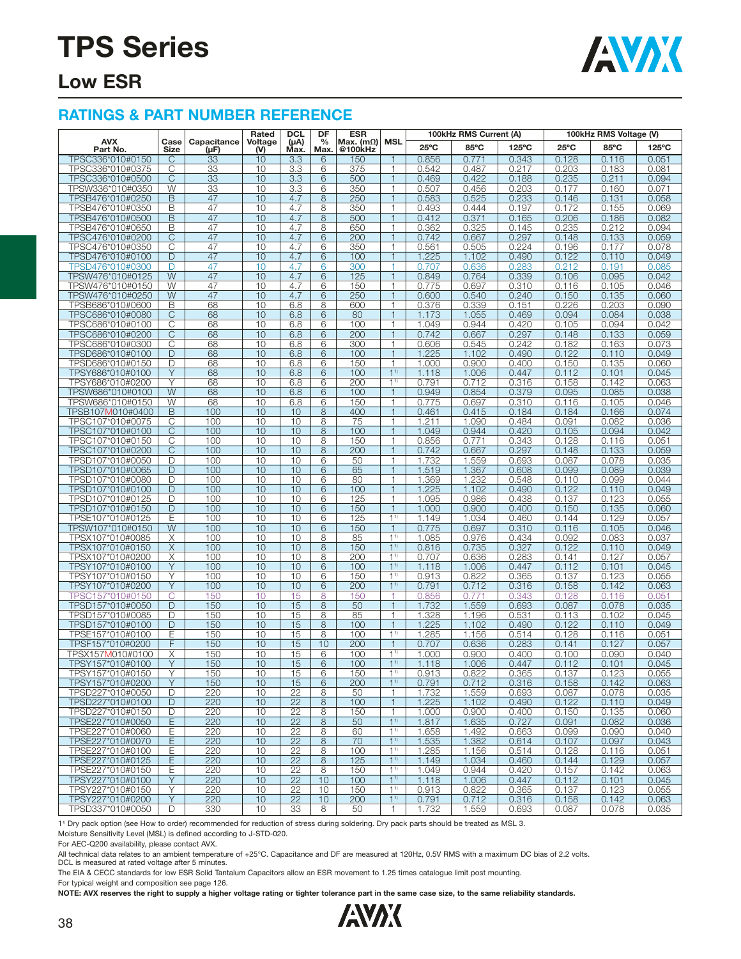

### **Low ESR**

#### **RATINGS & PART NUMBER REFERENCE**

|                                      |              |                     | Rated          | <b>DCL</b>      | DF                    | <b>ESR</b>                  |                                  |                | 100kHz RMS Current (A) |                 |                | 100kHz RMS Voltage (V) |                |
|--------------------------------------|--------------|---------------------|----------------|-----------------|-----------------------|-----------------------------|----------------------------------|----------------|------------------------|-----------------|----------------|------------------------|----------------|
| <b>AVX</b><br>Part No.               | Case<br>Size | Capacitance<br>(µF) | Voltage<br>(V) | (µA)<br>Max.    | $\frac{0}{0}$<br>Max. | Max. $(m\Omega)$<br>@100kHz | MSL                              | $25^{\circ}$ C | 85°C                   | $125^{\circ}$ C | $25^{\circ}$ C | 85°C                   | 125°C          |
| TPSC336*010#0150                     | C            | 33                  | 10             | 3.3             | 6                     | 150                         | 1                                | 0.856          | 0.771                  | 0.343           | 0.128          | 0.116                  | 0.051          |
| TPSC336*010#0375                     | С            | 33                  | 10             | 3.3             | 6                     | 375                         | $\mathbf{1}$                     | 0.542          | 0.487                  | 0.217           | 0.203          | 0.183                  | 0.081          |
| TPSC336*010#0500                     | $\mathsf{C}$ | 33                  | 10             | 3.3             | 6                     | 500                         | $\mathbf{1}$                     | 0.469          | 0.422                  | 0.188           | 0.235          | 0.211                  | 0.094          |
| TPSW336*010#0350                     | W            | 33                  | 10             | 3.3             | 6                     | 350                         | 1                                | 0.507          | 0.456                  | 0.203           | 0.177          | 0.160                  | 0.071          |
| TPSB476*010#0250                     | B            | 47                  | 10             | 4.7             | 8                     | 250                         | $\mathbf{1}$                     | 0.583          | 0.525                  | 0.233           | 0.146          | 0.131                  | 0.058          |
| TPSB476*010#0350                     | B            | 47                  | 10             | 4.7             | 8                     | 350                         | $\mathbf{1}$                     | 0.493          | 0.444                  | 0.197           | 0.172          | 0.155                  | 0.069          |
| TPSB476*010#0500                     | B            | 47                  | 10             | 4.7             | 8                     | 500                         | 1                                | 0.412          | 0.371                  | 0.165           | 0.206          | 0.186                  | 0.082          |
| TPSB476*010#0650                     | B            | 47                  | 10             | 4.7             | 8                     | 650                         | $\mathbf{1}$                     | 0.362          | 0.325                  | 0.145           | 0.235          | 0.212                  | 0.094          |
| TPSC476*010#0200                     | C            | 47                  | 10             | 4.7             | 6                     | 200                         | $\mathbf{1}$                     | 0.742          | 0.667                  | 0.297           | 0.148          | 0.133                  | 0.059          |
| TPSC476*010#0350                     | C            | 47                  | 10             | 4.7             | 6                     | 350                         | $\mathbf{1}$                     | 0.561          | 0.505                  | 0.224           | 0.196          | 0.177                  | 0.078          |
| TPSD476*010#0100                     | D            | 47                  | 10             | 4.7             | 6                     | 100                         | $\mathbf{1}$                     | 1.225          | 1.102                  | 0.490           | 0.122          | 0.110                  | 0.049          |
| TPSD476*010#0300                     | D<br>W       | 47<br>47            | 10<br>10       | 4.7<br>4.7      | 6<br>6                | 300<br>125                  | 1<br>$\mathbf{1}$                | 0.707<br>0.849 | 0.636                  | 0.283<br>0.339  | 0.212          | 0.191                  | 0.085<br>0.042 |
| TPSW476*010#0125<br>TPSW476*010#0150 | W            | 47                  | 10             | 4.7             | 6                     | 150                         | 1                                | 0.775          | 0.764<br>0.697         | 0.310           | 0.106<br>0.116 | 0.095<br>0.105         | 0.046          |
| TPSW476*010#0250                     | W            | 47                  | 10             | 4.7             | 6                     | 250                         | $\mathbf{1}$                     | 0.600          | 0.540                  | 0.240           | 0.150          | 0.135                  | 0.060          |
| TPSB686*010#0600                     | B            | 68                  | 10             | 6.8             | 8                     | 600                         | $\mathbf{1}$                     | 0.376          | 0.339                  | 0.151           | 0.226          | 0.203                  | 0.090          |
| TPSC686*010#0080                     | C            | 68                  | 10             | 6.8             | 6                     | 80                          | $\mathbf{1}$                     | 1.173          | 1.055                  | 0.469           | 0.094          | 0.084                  | 0.038          |
| TPSC686*010#0100                     | С            | 68                  | 10             | 6.8             | 6                     | 100                         | $\mathbf{1}$                     | 1.049          | 0.944                  | 0.420           | 0.105          | 0.094                  | 0.042          |
| TPSC686*010#0200                     | $\mathsf{C}$ | 68                  | 10             | 6.8             | 6                     | 200                         | $\mathbf{1}$                     | 0.742          | 0.667                  | 0.297           | 0.148          | 0.133                  | 0.059          |
| TPSC686*010#0300                     | С            | 68                  | 10             | 6.8             | 6                     | 300                         | 1                                | 0.606          | 0.545                  | 0.242           | 0.182          | 0.163                  | 0.073          |
| TPSD686*010#0100                     | D            | 68                  | 10             | 6.8             | 6                     | 100                         | $\mathbf{1}$                     | 1.225          | 1.102                  | 0.490           | 0.122          | 0.110                  | 0.049          |
| TPSD686*010#0150                     | D            | 68                  | 10             | 6.8             | 6                     | 150                         | $\mathbf{1}$                     | 1.000          | 0.900                  | 0.400           | 0.150          | 0.135                  | 0.060          |
| TPSY686*010#0100                     | Y            | 68                  | 10             | 6.8             | 6                     | 100                         | 1 <sup>1</sup>                   | 1.118          | 1.006                  | 0.447           | 0.112          | 0.101                  | 0.045          |
| TPSY686*010#0200                     | Υ            | 68                  | 10             | 6.8             | 6                     | 200                         | 1 <sup>1</sup>                   | 0.791          | 0.712                  | 0.316           | 0.158          | 0.142                  | 0.063          |
| TPSW686*010#0100                     | W            | 68                  | 10             | 6.8             | 6                     | 100                         | $\mathbf{1}$                     | 0.949          | 0.854                  | 0.379           | 0.095          | 0.085                  | 0.038          |
| TPSW686*010#0150                     | W            | 68                  | 10             | 6.8             | 6                     | 150                         | 1                                | 0.775          | 0.697                  | 0.310<br>0.184  | 0.116          | 0.105                  | 0.046          |
| TPSB107M010#0400<br>TPSC107*010#0075 | B<br>C       | 100<br>100          | 10<br>10       | 10<br>10        | 8<br>8                | 400<br>75                   | $\mathbf{1}$<br>1                | 0.461<br>1.211 | 0.415<br>1.090         | 0.484           | 0.184<br>0.091 | 0.166<br>0.082         | 0.074<br>0.036 |
| TPSC107*010#0100                     | C            | 100                 | 10             | 10              | 8                     | 100                         | $\mathbf{1}$                     | 1.049          | 0.944                  | 0.420           | 0.105          | 0.094                  | 0.042          |
| TPSC107*010#0150                     | С            | 100                 | 10             | 10              | 8                     | 150                         | $\mathbf{1}$                     | 0.856          | 0.771                  | 0.343           | 0.128          | 0.116                  | 0.051          |
| TPSC107*010#0200                     | $\mathsf{C}$ | 100                 | 10             | 10              | 8                     | 200                         | $\mathbf{1}$                     | 0.742          | 0.667                  | 0.297           | 0.148          | 0.133                  | 0.059          |
| TPSD107*010#0050                     | D            | 100                 | 10             | 10              | 6                     | 50                          | 1                                | 1.732          | 1.559                  | 0.693           | 0.087          | 0.078                  | 0.035          |
| TPSD107*010#0065                     | D            | 100                 | 10             | 10              | 6                     | 65                          | $\mathbf{1}$                     | 1.519          | 1.367                  | 0.608           | 0.099          | 0.089                  | 0.039          |
| TPSD107*010#0080                     | D            | 100                 | 10             | 10              | 6                     | 80                          | $\mathbf{1}$                     | 1.369          | 1.232                  | 0.548           | 0.110          | 0.099                  | 0.044          |
| TPSD107*010#0100                     | D            | 100                 | 10             | 10              | 6                     | 100                         | $\mathbf{1}$                     | 1.225          | 1.102                  | 0.490           | 0.122          | 0.110                  | 0.049          |
| TPSD107*010#0125                     | D            | 100                 | 10             | 10              | 6                     | 125                         | $\mathbf{1}$                     | 1.095          | 0.986                  | 0.438           | 0.137          | 0.123                  | 0.055          |
| TPSD107*010#0150                     | D            | 100                 | 10             | 10              | 6                     | 150                         | $\mathbf{1}$                     | 1.000          | 0.900                  | 0.400           | 0.150          | 0.135                  | 0.060          |
| TPSE107*010#0125                     | Ε            | 100                 | 10             | 10              | 6                     | 125                         | 1 <sup>1</sup>                   | 1.149          | 1.034                  | 0.460           | 0.144          | 0.129                  | 0.057          |
| TPSW107*010#0150                     | W            | 100                 | 10             | 10              | 6                     | 150                         | $\mathbf{1}$                     | 0.775          | 0.697                  | 0.310           | 0.116          | 0.105                  | 0.046          |
| TPSX107*010#0085                     | X            | 100                 | 10<br>10       | 10<br>10        | 8                     | 85                          | 1 <sup>1</sup><br>1 <sup>1</sup> | 1.085          | 0.976                  | 0.434           | 0.092          | 0.083<br>0.110         | 0.037          |
| TPSX107*010#0150<br>TPSX107*010#0200 | X<br>Χ       | 100<br>100          | 10             | 10              | 8<br>8                | 150<br>200                  | 1 <sup>1</sup>                   | 0.816<br>0.707 | 0.735<br>0.636         | 0.327<br>0.283  | 0.122<br>0.141 | 0.127                  | 0.049<br>0.057 |
| TPSY107*010#0100                     | Y            | 100                 | 10             | 10              | 6                     | 100                         | 1 <sup>1</sup>                   | 1.118          | 1.006                  | 0.447           | 0.112          | 0.101                  | 0.045          |
| TPSY107*010#0150                     | Υ            | 100                 | 10             | 10              | 6                     | 150                         | 1 <sup>1</sup>                   | 0.913          | 0.822                  | 0.365           | 0.137          | 0.123                  | 0.055          |
| TPSY107*010#0200                     | Υ            | 100                 | 10             | 10              | 6                     | 200                         | 1 <sup>1</sup>                   | 0.791          | 0.712                  | 0.316           | 0.158          | 0.142                  | 0.063          |
| TPSC157*010#0150                     | C            | 150                 | 10             | 15              | 8                     | 150                         | 1                                | 0.856          | 0.771                  | 0.343           | 0.128          | 0.116                  | 0.051          |
| TPSD157*010#0050                     | D            | 150                 | 10             | 15              | 8                     | 50                          | $\mathbf{1}$                     | 1.732          | 1.559                  | 0.693           | 0.087          | 0.078                  | 0.035          |
| TPSD157*010#0085                     | D            | 150                 | 10             | 15              | 8                     | 85                          | $\mathbf{1}$                     | 1.328          | 1.196                  | 0.531           | 0.113          | 0.102                  | 0.045          |
| TPSD157*010#0100                     | D            | 150                 | 10             | 15              | 8                     | 100                         | $\mathbf{1}$                     | 1.225          | 1.102                  | 0.490           | 0.122          | 0.110                  | 0.049          |
| TPSE157*010#0100                     | Ε            | 150                 | 10             | 15              | 8                     | 100                         | 1 <sup>1</sup>                   | 1.285          | 1.156                  | 0.514           | 0.128          | 0.116                  | 0.051          |
| TPSF157*010#0200                     | F            | 150                 | 10             | 15              | 10                    | 200                         | $\mathbf{1}$                     | 0.707          | 0.636                  | 0.283           | 0.141          | 0.127                  | 0.057          |
| TPSX157M010#0100                     | Χ            | 150                 | 10             | 15              | 6                     | 100                         | 1 <sup>1</sup>                   | 1.000          | 0.900                  | 0.400           | 0.100          | 0.090                  | 0.040          |
| TPSY157*010#0100<br>TPSY157*010#0150 | Y<br>Υ       | 150<br>150          | 10<br>10       | 15<br>15        | 6<br>6                | 100<br>150                  | 1 <sup>1</sup><br>1 <sup>1</sup> | 1.118<br>0.913 | 1.006<br>0.822         | 0.447<br>0.365  | 0.112<br>0.137 | 0.101<br>0.123         | 0.045<br>0.055 |
| TPSY157*010#0200                     | Y            | 150                 | 10             | 15              | $6\phantom{.}6$       | 200                         | $1^{1}$                          | 0.791          | 0.712                  | 0.316           | 0.158          | 0.142                  | 0.063          |
| TPSD227*010#0050                     | D            | 220                 | 10             | 22              | 8                     | 50                          | $\mathbf{1}$                     | 1.732          | 1.559                  | 0.693           | 0.087          | 0.078                  | 0.035          |
| TPSD227*010#0100                     | D            | 220                 | 10             | $\overline{22}$ | 8                     | 100                         | $\mathbf{1}$                     | 1.225          | 1.102                  | 0.490           | 0.122          | 0.110                  | 0.049          |
| TPSD227*010#0150                     | D            | 220                 | 10             | 22              | 8                     | 150                         | $\mathbf{1}$                     | 1.000          | 0.900                  | 0.400           | 0.150          | 0.135                  | 0.060          |
| TPSE227*010#0050                     | E            | 220                 | 10             | 22              | 8                     | 50                          | 1 <sup>1</sup>                   | 1.817          | 1.635                  | 0.727           | 0.091          | 0.082                  | 0.036          |
| TPSE227*010#0060                     | Ε            | 220                 | 10             | 22              | 8                     | 60                          | 1 <sup>1</sup>                   | 1.658          | 1.492                  | 0.663           | 0.099          | 0.090                  | 0.040          |
| TPSE227*010#0070                     | E            | 220                 | 10             | 22              | $\,8\,$               | 70                          | $1^{1}$                          | 1.535          | 1.382                  | 0.614           | 0.107          | 0.097                  | 0.043          |
| TPSE227*010#0100                     | Е            | 220                 | 10             | 22              | 8                     | 100                         | $1^{1}$                          | 1.285          | 1.156                  | 0.514           | 0.128          | 0.116                  | 0.051          |
| TPSE227*010#0125                     | E            | 220                 | 10             | $\overline{22}$ | 8                     | 125                         | 1 <sup>1</sup>                   | 1.149          | 1.034                  | 0.460           | 0.144          | 0.129                  | 0.057          |
| TPSE227*010#0150                     | Ε            | 220                 | 10             | 22              | 8                     | 150                         | 1 <sup>1</sup>                   | 1.049          | 0.944                  | 0.420           | 0.157          | 0.142                  | 0.063          |
| TPSY227*010#0100                     | Y            | 220                 | 10             | 22              | 10                    | 100                         | 1 <sup>1</sup>                   | 1.118          | 1.006                  | 0.447           | 0.112          | 0.101                  | 0.045          |
| TPSY227*010#0150<br>TPSY227*010#0200 | Υ            | 220                 | 10             | 22              | 10                    | 150                         | 1 <sup>1</sup>                   | 0.913          | 0.822                  | 0.365           | 0.137          | 0.123                  | 0.055          |
| TPSD337*010#0050                     | Υ<br>D       | 220<br>330          | 10<br>10       | 22<br>33        | 10<br>8               | 200<br>50                   | $1^{1}$<br>$\mathbf{1}$          | 0.791<br>1.732 | 0.712<br>1.559         | 0.316<br>0.693  | 0.158<br>0.087 | 0.142                  | 0.063<br>0.035 |
|                                      |              |                     |                |                 |                       |                             |                                  |                |                        |                 |                | 0.078                  |                |

11) Dry pack option (see How to order) recommended for reduction of stress during soldering. Dry pack parts should be treated as MSL 3.

Moisture Sensitivity Level (MSL) is defined according to J-STD-020.

For AEC-Q200 availability, please contact AVX.

All technical data relates to an ambient temperature of +25°C. Capacitance and DF are measured at 120Hz, 0.5V RMS with a maximum DC bias of 2.2 volts.

DCL is measured at rated voltage after 5 minutes.

The EIA & CECC standards for low ESR Solid Tantalum Capacitors allow an ESR movement to 1.25 times catalogue limit post mounting.

For typical weight and composition see page 126.

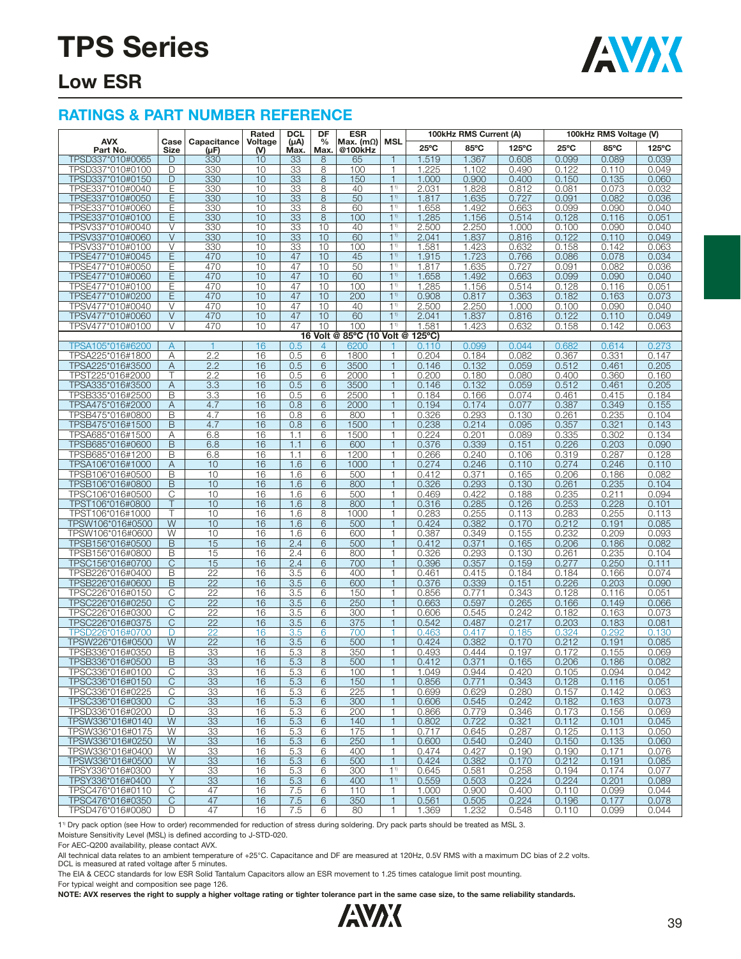

### **Low ESR**

#### **RATINGS & PART NUMBER REFERENCE**

|                                      |                         |                                    | Rated          | <b>DCL</b>        | DF                 | <b>ESR</b>                  |                                  |                  | 100kHz RMS Current (A) |                |                | 100kHz RMS Voltage (V) |                |
|--------------------------------------|-------------------------|------------------------------------|----------------|-------------------|--------------------|-----------------------------|----------------------------------|------------------|------------------------|----------------|----------------|------------------------|----------------|
| <b>AVX</b><br>Part No.               | Case<br>Size            | Capacitance<br>(µF)                | Voltage<br>(V) | $(\mu A)$<br>Max. | $\%$<br><b>Max</b> | Max. $(m\Omega)$<br>@100kHz | <b>MSL</b>                       | $25^{\circ}$ C   | 85°C                   | 125°C          | $25^{\circ}$ C | 85°C                   | 125°C          |
| TPSD337*010#0065                     | D                       | 330                                | 10             | 33                | 8                  | 65                          | 1                                | 1.519            | 1.367                  | 0.608          | 0.099          | 0.089                  | 0.039          |
| TPSD337*010#0100                     | D                       | 330                                | 10             | 33                | 8                  | 100                         | 1                                | 1.225            | 1.102                  | 0.490          | 0.122          | 0.110                  | 0.049          |
| TPSD337*010#0150                     | D                       | 330                                | 10             | 33                | 8                  | 150                         | $\overline{1}$                   | 1.000            | 0.900                  | 0.400          | 0.150          | 0.135                  | 0.060          |
| TPSE337*010#0040                     | E                       | 330                                | 10             | 33                | 8                  | 40                          | 1 <sup>1</sup>                   | 2.031            | 1.828                  | 0.812          | 0.081          | 0.073                  | 0.032          |
| TPSE337*010#0050                     | Ε                       | 330                                | 10             | 33                | 8                  | 50                          | 1 <sup>1</sup>                   | 1.817            | 1.635                  | 0.727          | 0.091          | 0.082                  | 0.036          |
| TPSE337*010#0060                     | Ε                       | 330                                | 10             | 33                | 8                  | 60                          | $1^{1}$                          | 1.658            | 1.492                  | 0.663          | 0.099          | 0.090                  | 0.040          |
| TPSE337*010#0100                     | E                       | 330                                | 10             | 33                | 8                  | 100                         | 1 <sup>1</sup>                   | 1.285            | 1.156                  | 0.514          | 0.128          | 0.116                  | 0.051          |
| TPSV337*010#0040                     | V                       | 330                                | 10             | 33                | 10                 | 40                          | 1 <sup>1</sup>                   | 2.500            | 2.250                  | 1.000          | 0.100          | 0.090                  | 0.040          |
| TPSV337*010#0060                     | $\vee$                  | 330                                | 10             | 33                | 10                 | 60                          | $1^{1}$                          | 2.041            | 1.837                  | 0.816          | 0.122          | 0.110                  | 0.049          |
| TPSV337*010#0100                     | V                       | 330                                | 10             | 33                | 10                 | 100                         | 1 <sup>1</sup>                   | 1.581            | 1.423                  | 0.632          | 0.158          | 0.142                  | 0.063          |
| TPSE477*010#0045                     | Ε                       | 470                                | 10<br>10       | 47                | 10<br>10           | 45                          | 1 <sup>1</sup><br>1 <sup>1</sup> | 1.915            | 1.723                  | 0.766          | 0.086          | 0.078                  | 0.034          |
| TPSE477*010#0050<br>TPSE477*010#0060 | Е<br>Ε                  | 470<br>470                         | 10             | 47<br>47          | 10                 | 50<br>60                    | $1^{1}$                          | 1.817<br>1.658   | 1.635<br>1.492         | 0.727<br>0.663 | 0.091<br>0.099 | 0.082<br>0.090         | 0.036<br>0.040 |
| TPSE477*010#0100                     | Ε                       | 470                                | 10             | 47                | 10                 | 100                         | 1 <sup>1</sup>                   | 1.285            | 1.156                  | 0.514          | 0.128          | 0.116                  | 0.051          |
| TPSE477*010#0200                     | Е                       | 470                                | 10             | 47                | 10                 | 200                         | 1 <sup>1</sup>                   | 0.908            | 0.817                  | 0.363          | 0.182          | 0.163                  | 0.073          |
| TPSV477*010#0040                     | V                       | 470                                | 10             | 47                | 10                 | 40                          | 1 <sup>1</sup>                   | 2.500            | 2.250                  | 1.000          | 0.100          | 0.090                  | 0.040          |
| TPSV477*010#0060                     | $\vee$                  | 470                                | 10             | 47                | 10                 | 60                          | 1 <sup>1</sup>                   | 2.041            | 1.837                  | 0.816          | 0.122          | 0.110                  | 0.049          |
| TPSV477*010#0100                     | V                       | 470                                | 10             | 47                | 10                 | 100                         | 1 <sup>1</sup>                   | 1.581            | 1.423                  | 0.632          | 0.158          | 0.142                  | 0.063          |
|                                      |                         |                                    |                |                   |                    | 16 Volt @ 85°C (10 Volt @   |                                  | $125^{\circ}$ C) |                        |                |                |                        |                |
| TPSA105*016#6200                     | A                       | $\overline{1}$                     | 16             | 0.5               | 4                  | 6200                        |                                  | 0.110            | 0.099                  | 0.044          | 0.682          | 0.614                  | 0.273          |
| TPSA225*016#1800                     | Α                       | 2.2                                | 16             | 0.5               | 6                  | 1800                        | $\mathbf{1}$                     | 0.204            | 0.184                  | 0.082          | 0.367          | 0.331                  | 0.147          |
| TPSA225*016#3500                     | A                       | 2.2                                | 16             | 0.5               | 6                  | 3500                        | $\mathbf{1}$                     | 0.146            | 0.132                  | 0.059          | 0.512          | 0.461                  | 0.205          |
| TPST225*016#2000                     |                         | 2.2                                | 16             | 0.5               | 6                  | 2000                        |                                  | 0.200            | 0.180                  | 0.080          | 0.400          | 0.360                  | 0.160          |
| TPSA335*016#3500                     | Α                       | 3.3                                | 16             | 0.5               | 6                  | 3500                        | $\overline{1}$                   | 0.146            | 0.132                  | 0.059          | 0.512          | 0.461                  | 0.205          |
| TPSB335*016#2500                     | B                       | 3.3                                | 16             | 0.5               | 6                  | 2500                        | $\mathbf{1}$                     | 0.184            | 0.166                  | 0.074          | 0.461          | 0.415                  | 0.184          |
| TPSA475*016#2000                     | Α                       | 4.7                                | 16             | 0.8               | 6                  | 2000                        |                                  | 0.194            | 0.174                  | 0.077          | 0.387          | 0.349                  | 0.155          |
| TPSB475*016#0800                     | B                       | 4.7                                | 16             | 0.8               | 6                  | 800                         | $\mathbf{1}$                     | 0.326            | 0.293                  | 0.130          | 0.261          | 0.235                  | 0.104          |
| TPSB475*016#1500<br>TPSA685*016#1500 | B<br>Α                  | 4.7<br>6.8                         | 16<br>16       | 0.8<br>1.1        | 6<br>6             | 1500<br>1500                | $\mathbf{1}$<br>1                | 0.238<br>0.224   | 0.214<br>0.201         | 0.095<br>0.089 | 0.357          | 0.321<br>0.302         | 0.143<br>0.134 |
| TPSB685*016#0600                     | B                       | 6.8                                | 16             | 1.1               | 6                  | 600                         |                                  | 0.376            | 0.339                  | 0.151          | 0.335<br>0.226 | 0.203                  | 0.090          |
| TPSB685*016#1200                     | B                       | 6.8                                | 16             | 1.1               | 6                  | 1200                        | 1                                | 0.266            | 0.240                  | 0.106          | 0.319          | 0.287                  | 0.128          |
| TPSA106*016#1000                     | Α                       | 10                                 | 16             | 1.6               | 6                  | 1000                        | 1                                | 0.274            | 0.246                  | 0.110          | 0.274          | 0.246                  | 0.110          |
| TPSB106*016#0500                     | B                       | 10                                 | 16             | 1.6               | 6                  | 500                         | 1                                | 0.412            | 0.371                  | 0.165          | 0.206          | 0.186                  | 0.082          |
| TPSB106*016#0800                     | B                       | 10                                 | 16             | 1.6               | 6                  | 800                         | $\overline{1}$                   | 0.326            | 0.293                  | 0.130          | 0.261          | 0.235                  | 0.104          |
| TPSC106*016#0500                     | $\overline{\mathbb{C}}$ | 10                                 | 16             | 1.6               | 6                  | 500                         | $\mathbf{1}$                     | 0.469            | 0.422                  | 0.188          | 0.235          | 0.211                  | 0.094          |
| TPST106*016#0800                     |                         | 10                                 | 16             | 1.6               | 8                  | 800                         | 1                                | 0.316            | 0.285                  | 0.126          | 0.253          | 0.228                  | 0.101          |
| TPST106*016#1000                     |                         | 10                                 | 16             | 1.6               | 8                  | 1000                        |                                  | 0.283            | 0.255                  | 0.113          | 0.283          | 0.255                  | 0.113          |
| TPSW106*016#0500                     | W                       | 10                                 | 16             | 1.6               | 6                  | 500                         | $\overline{1}$                   | 0.424            | 0.382                  | 0.170          | 0.212          | 0.191                  | 0.085          |
| TPSW106*016#0600                     | W                       | 10                                 | 16             | 1.6               | 6                  | 600                         | $\mathbf{1}$                     | 0.387            | 0.349                  | 0.155          | 0.232          | 0.209                  | 0.093          |
| TPSB156*016#0500                     | B                       | 15                                 | 16             | 2.4               | 6                  | 500                         | 1                                | 0.412            | 0.371                  | 0.165          | 0.206          | 0.186                  | 0.082          |
| TPSB156*016#0800                     | B                       | 15                                 | 16             | 2.4               | 6                  | 800                         |                                  | 0.326            | 0.293                  | 0.130          | 0.261          | 0.235                  | 0.104          |
| TPSC156*016#0700                     | $\mathsf{C}$            | 15                                 | 16             | 2.4               | 6                  | 700                         | $\overline{1}$                   | 0.396            | 0.357                  | 0.159          | 0.277          | 0.250                  | 0.111          |
| TPSB226*016#0400                     | B<br>B                  | $\overline{22}$<br>$\overline{22}$ | 16             | 3.5<br>3.5        | 6<br>6             | 400<br>600                  | 1<br>$\overline{1}$              | 0.461            | 0.415                  | 0.184          | 0.184          | 0.166                  | 0.074          |
| TPSB226*016#0600<br>TPSC226*016#0150 | С                       | $\overline{22}$                    | 16<br>16       | 3.5               | 6                  | 150                         | $\mathbf{1}$                     | 0.376<br>0.856   | 0.339<br>0.771         | 0.151<br>0.343 | 0.226<br>0.128 | 0.203<br>0.116         | 0.090<br>0.051 |
| TPSC226*016#0250                     | C                       | 22                                 | 16             | 3.5               | 6                  | 250                         | 1                                | 0.663            | 0.597                  | 0.265          | 0.166          | 0.149                  | 0.066          |
| TPSC226*016#0300                     | С                       | 22                                 | 16             | 3.5               | 6                  | 300                         | 1                                | 0.606            | 0.545                  | 0.242          | 0.182          | 0.163                  | 0.073          |
| TPSC226*016#0375                     | C                       | $\overline{22}$                    | 16             | 3.5               | 6                  | 375                         |                                  | 0.542            | 0.487                  | 0.217          | 0.203          | 0.183                  | 0.081          |
| TPSD226*016#0700                     | D                       | 22                                 | 16             | 3.5               | 6                  | 700                         | 1                                | 0.463            | 0.417                  | 0.185          | 0.324          | 0.292                  | 0.130          |
| TPSW226*016#0500                     | W                       | 22                                 | 16             | 3.5               | 6                  | 500                         | $\mathbf{1}$                     | 0.424            | 0.382                  | 0.170          | 0.212          | 0.191                  | 0.085          |
| TPSB336*016#0350                     | В                       | 33                                 | 16             | 5.3               | 8                  | 350                         |                                  | 0.493            | 0.444                  | 0.197          | 0.172          | 0.155                  | 0.069          |
| TPSB336*016#0500                     | B                       | 33                                 | 16             | 5.3               | 8                  | 500                         | $\overline{1}$                   | 0.412            | 0.371                  | 0.165          | 0.206          | 0.186                  | 0.082          |
| TPSC336*016#0100                     | $\overline{\mathbb{C}}$ | 33                                 | 16             | 5.3               | 6                  | 100                         | $\mathbf{1}$                     | 1.049            | 0.944                  | 0.420          | 0.105          | 0.094                  | 0.042          |
| TPSC336*016#0150                     | C                       | 33                                 | 16             | 5.3               | 6                  | 150                         | $\mathbf{1}$                     | 0.856            | 0.771                  | 0.343          | 0.128          | 0.116                  | 0.051          |
| TPSC336*016#0225                     | С                       | 33                                 | 16             | 5.3               | 6                  | 225                         | 1                                | 0.699            | 0.629                  | 0.280          | 0.157          | 0.142                  | 0.063          |
| TPSC336*016#0300                     | C                       | 33                                 | 16             | 5.3               | 6                  | 300                         | $\mathbf{1}$                     | 0.606            | 0.545                  | 0.242          | 0.182          | 0.163                  | 0.073          |
| TPSD336*016#0200                     | D                       | 33                                 | 16             | 5.3               | 6                  | 200                         | 1                                | 0.866            | 0.779                  | 0.346          | 0.173          | 0.156                  | 0.069          |
| TPSW336*016#0140                     | W                       | 33                                 | 16             | 5.3               | 6                  | 140                         | 1<br>$\mathbf{1}$                | 0.802<br>0.717   | 0.722                  | 0.321          | 0.112          | 0.101                  | 0.045          |
| TPSW336*016#0175<br>TPSW336*016#0250 | W<br>W                  | 33<br>33                           | 16<br>16       | 5.3<br>5.3        | 6<br>6             | 175<br>250                  | $\mathbf{1}$                     | 0.600            | 0.645<br>0.540         | 0.287<br>0.240 | 0.125<br>0.150 | 0.113<br>0.135         | 0.050<br>0.060 |
| TPSW336*016#0400                     | W                       | 33                                 | 16             | 5.3               | 6                  | 400                         | 1                                | 0.474            | 0.427                  | 0.190          | 0.190          | 0.171                  | 0.076          |
| TPSW336*016#0500                     | W                       | 33                                 | 16             | 5.3               | 6                  | 500                         | $\mathbf{1}$                     | 0.424            | 0.382                  | 0.170          | 0.212          | 0.191                  | 0.085          |
| TPSY336*016#0300                     | Y                       | 33                                 | 16             | 5.3               | 6                  | 300                         | 1 <sup>1</sup>                   | 0.645            | 0.581                  | 0.258          | 0.194          | 0.174                  | 0.077          |
| TPSY336*016#0400                     | Y                       | 33                                 | 16             | 5.3               | 6                  | 400                         | $1^{1}$                          | 0.559            | 0.503                  | 0.224          | 0.224          | 0.201                  | 0.089          |
| TPSC476*016#0110                     | C                       | 47                                 | 16             | 7.5               | 6                  | 110                         | 1                                | 1.000            | 0.900                  | 0.400          | 0.110          | 0.099                  | 0.044          |
| TPSC476*016#0350                     | C                       | 47                                 | 16             | 7.5               | 6                  | 350                         | 1                                | 0.561            | 0.505                  | 0.224          | 0.196          | 0.177                  | 0.078          |
| TPSD476*016#0080                     | D                       | 47                                 | 16             | 7.5               | 6                  | 80                          | 1                                | 1.369            | 1.232                  | 0.548          | 0.110          | 0.099                  | 0.044          |

1<sup>1)</sup> Dry pack option (see How to order) recommended for reduction of stress during soldering. Dry pack parts should be treated as MSL 3.

Moisture Sensitivity Level (MSL) is defined according to J-STD-020.

For AEC-Q200 availability, please contact AVX.

All technical data relates to an ambient temperature of +25°C. Capacitance and DF are measured at 120Hz, 0.5V RMS with a maximum DC bias of 2.2 volts.<br>DCL is measured at rated voltage after 5 minutes.

The EIA & CECC standards for low ESR Solid Tantalum Capacitors allow an ESR movement to 1.25 times catalogue limit post mounting.

For typical weight and composition see page 126.

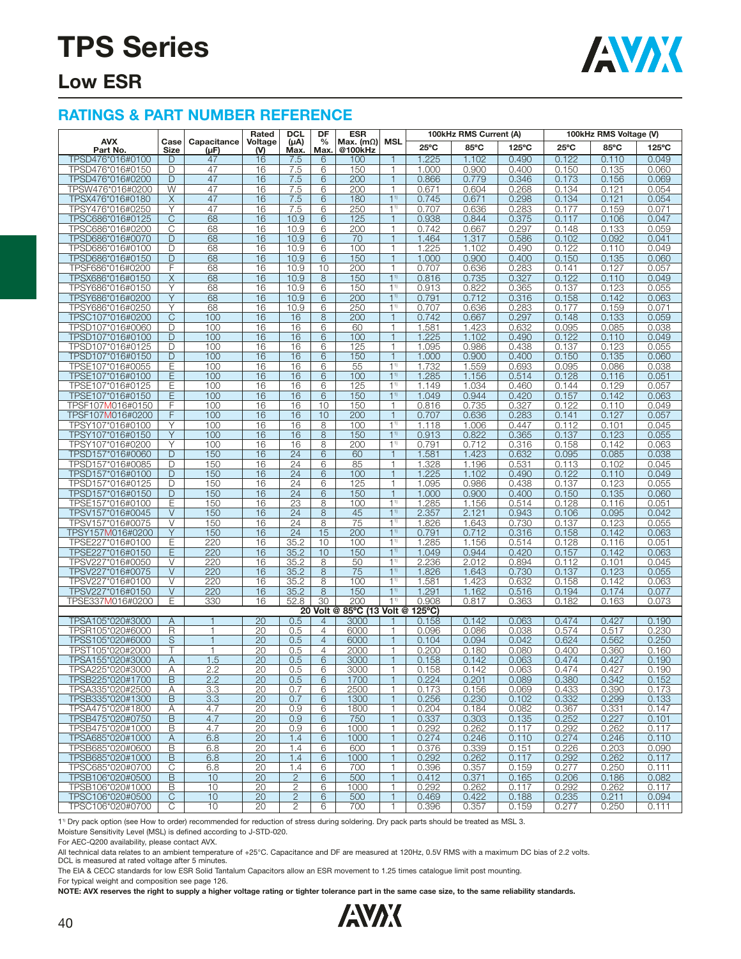

### **Low ESR**

#### **RATINGS & PART NUMBER REFERENCE**

|                                      |                |                                | Rated            | <b>DCL</b>        | DF                               | <b>ESR</b>                  | 100kHz RMS Current (A)<br>MSL    |                  |                | 100kHz RMS Voltage (V) |                |                |                |
|--------------------------------------|----------------|--------------------------------|------------------|-------------------|----------------------------------|-----------------------------|----------------------------------|------------------|----------------|------------------------|----------------|----------------|----------------|
| <b>AVX</b><br>Part No.               | Case<br>Size   | Capacitance<br>(µF)            | Voltage<br>$(M)$ | $(\mu A)$<br>Max. | $\frac{0}{0}$<br>Max.            | Max. $(m\Omega)$<br>@100kHz |                                  | 25°C             | 85°C           | $125^{\circ}$ C        | $25^{\circ}$ C | 85°C           | 125°C          |
| TPSD476*016#0100                     | D              | 47                             | 16               | 7.5               | 6                                | 100                         | 1                                | 1.225            | 1.102          | 0.490                  | 0.122          | 0.110          | 0.049          |
| TPSD476*016#0150                     | D              | 47                             | 16               | 7.5               | 6                                | 150                         | 1                                | 1.000            | 0.900          | 0.400                  | 0.150          | 0.135          | 0.060          |
| TPSD476*016#0200                     | D              | 47                             | 16               | 7.5               | 6                                | 200                         | $\mathbf{1}$                     | 0.866            | 0.779          | 0.346                  | 0.173          | 0.156          | 0.069          |
| TPSW476*016#0200                     | W              | 47                             | 16               | 7.5               | 6                                | 200                         | 1                                | 0.671            | 0.604          | 0.268                  | 0.134          | 0.121          | 0.054          |
| TPSX476*016#0180                     | X              | 47                             | 16               | 7.5               | 6                                | 180                         | 1 <sup>1</sup>                   | 0.745            | 0.671          | 0.298                  | 0.134          | 0.121          | 0.054          |
| TPSY476*016#0250                     | Υ              | 47                             | 16               | 7.5               | 6                                | 250                         | 1 <sup>1</sup>                   | 0.707            | 0.636          | 0.283                  | 0.177          | 0.159          | 0.071          |
| TPSC686*016#0125                     | $\overline{C}$ | 68                             | 16               | 10.9              | 6                                | 125                         | $\mathbf{1}$                     | 0.938            | 0.844          | 0.375                  | 0.117          | 0.106          | 0.047          |
| TPSC686*016#0200                     | C              | 68                             | 16               | 10.9              | 6                                | 200                         | 1                                | 0.742            | 0.667          | 0.297                  | 0.148          | 0.133          | 0.059          |
| TPSD686*016#0070                     | D              | 68                             | 16               | 10.9              | 6                                | 70                          | 1                                | 1.464            | 1.317          | 0.586                  | 0.102          | 0.092          | 0.041          |
| TPSD686*016#0100                     | D              | 68                             | 16               | 10.9              | 6                                | 100                         | 1                                | 1.225            | 1.102          | 0.490                  | 0.122          | 0.110          | 0.049          |
| TPSD686*016#0150                     | D              | 68                             | 16               | 10.9              | 6                                | 150                         | $\mathbf{1}$                     | 1.000            | 0.900          | 0.400                  | 0.150          | 0.135          | 0.060          |
| TPSF686*016#0200<br>TPSX686*016#0150 | F<br>X         | 68<br>68                       | 16<br>16         | 10.9<br>10.9      | 10<br>8                          | 200<br>150                  | 1<br>1 <sup>1</sup>              | 0.707            | 0.636          | 0.283<br>0.327         | 0.141<br>0.122 | 0.127          | 0.057<br>0.049 |
| TPSY686*016#0150                     | Υ              | 68                             | 16               | 10.9              | 6                                | 150                         | 1 <sup>1</sup>                   | 0.816<br>0.913   | 0.735<br>0.822 | 0.365                  | 0.137          | 0.110<br>0.123 | 0.055          |
| TPSY686*016#0200                     | Y              | 68                             | 16               | 10.9              | 6                                | 200                         | 1 <sup>1</sup>                   | 0.791            | 0.712          | 0.316                  | 0.158          | 0.142          | 0.063          |
| TPSY686*016#0250                     | Y              | 68                             | 16               | 10.9              | 6                                | 250                         | 1 <sup>1</sup>                   | 0.707            | 0.636          | 0.283                  | 0.177          | 0.159          | 0.071          |
| TPSC107*016#0200                     | С              | 100                            | 16               | 16                | 8                                | 200                         | $\mathbf{1}$                     | 0.742            | 0.667          | 0.297                  | 0.148          | 0.133          | 0.059          |
| TPSD107*016#0060                     | D              | 100                            | 16               | 16                | 6                                | 60                          | 1                                | 1.581            | 1.423          | 0.632                  | 0.095          | 0.085          | 0.038          |
| TPSD107*016#0100                     | D              | 100                            | 16               | 16                | 6                                | 100                         | $\mathbf{1}$                     | 1.225            | 1.102          | 0.490                  | 0.122          | 0.110          | 0.049          |
| TPSD107*016#0125                     | D              | 100                            | 16               | 16                | 6                                | 125                         | 1                                | 1.095            | 0.986          | 0.438                  | 0.137          | 0.123          | 0.055          |
| TPSD107*016#0150                     | D              | 100                            | 16               | 16                | 6                                | 150                         | $\mathbf{1}$                     | 1.000            | 0.900          | 0.400                  | 0.150          | 0.135          | 0.060          |
| TPSE107*016#0055                     | E              | 100                            | 16               | 16                | 6                                | 55                          | 1 <sup>1</sup>                   | 1.732            | 1.559          | 0.693                  | 0.095          | 0.086          | 0.038          |
| TPSE107*016#0100                     | Ε              | 100                            | 16               | 16                | 6                                | 100                         | 1 <sup>1</sup>                   | 1.285            | 1.156          | 0.514                  | 0.128          | 0.116          | 0.051          |
| TPSE107*016#0125                     | Ε              | 100                            | 16               | 16                | 6                                | 125                         | 1 <sup>1</sup>                   | 1.149            | 1.034          | 0.460                  | 0.144          | 0.129          | 0.057          |
| TPSE107*016#0150                     | E              | 100<br>100                     | 16               | 16                | 6<br>10                          | 150<br>150                  | 1 <sup>1</sup><br>1              | 1.049            | 0.944<br>0.735 | 0.420<br>0.327         | 0.157          | 0.142          | 0.063          |
| TPSF107M016#0150<br>TPSF107M016#0200 | F<br>F         | 100                            | 16<br>16         | 16<br>16          | 10                               | 200                         | $\mathbf{1}$                     | 0.816<br>0.707   | 0.636          | 0.283                  | 0.122<br>0.141 | 0.110<br>0.127 | 0.049<br>0.057 |
| TPSY107*016#0100                     | Υ              | 100                            | 16               | 16                | 8                                | 100                         | 1 <sup>1</sup>                   | 1.118            | 1.006          | 0.447                  | 0.112          | 0.101          | 0.045          |
| TPSY107*016#0150                     | Y              | 100                            | 16               | 16                | 8                                | 150                         | 1 <sup>1</sup>                   | 0.913            | 0.822          | 0.365                  | 0.137          | 0.123          | 0.055          |
| TPSY107*016#0200                     | Υ              | 100                            | 16               | 16                | 8                                | 200                         | 1 <sup>1</sup>                   | 0.791            | 0.712          | 0.316                  | 0.158          | 0.142          | 0.063          |
| TPSD157*016#0060                     | D              | 150                            | 16               | $\overline{24}$   | 6                                | 60                          | $\mathbf{1}$                     | 1.581            | 1.423          | 0.632                  | 0.095          | 0.085          | 0.038          |
| TPSD157*016#0085                     | D              | 150                            | 16               | 24                | 6                                | 85                          | 1                                | 1.328            | 1.196          | 0.531                  | 0.113          | 0.102          | 0.045          |
| TPSD157*016#0100                     | D              | 150                            | 16               | 24                | 6                                | 100                         | $\mathbf{1}$                     | 1.225            | 1.102          | 0.490                  | 0.122          | 0.110          | 0.049          |
| TPSD157*016#0125                     | D              | 150                            | 16               | 24                | 6                                | 125                         | 1                                | 1.095            | 0.986          | 0.438                  | 0.137          | 0.123          | 0.055          |
| TPSD157*016#0150                     | D              | 150                            | 16               | 24                | 6                                | 150                         | $\mathbf{1}$                     | 1.000            | 0.900          | 0.400                  | 0.150          | 0.135          | 0.060          |
| TPSE157*016#0100                     | Ε              | 150                            | 16               | $\overline{23}$   | 8                                | 100                         | 11)                              | 1.285            | 1.156          | 0.514                  | 0.128          | 0.116          | 0.051          |
| TPSV157*016#0045                     | $\vee$         | 150                            | 16               | 24                | 8                                | 45                          | 1 <sup>1</sup>                   | 2.357            | 2.121          | 0.943                  | 0.106          | 0.095          | 0.042          |
| TPSV157*016#0075<br>TPSY157M016#0200 | V<br>Y         | 150<br>150                     | 16<br>16         | 24<br>24          | 8<br>15                          | 75<br>200                   | 1 <sup>1</sup><br>1 <sup>1</sup> | 1.826<br>0.791   | 1.643<br>0.712 | 0.730<br>0.316         | 0.137<br>0.158 | 0.123<br>0.142 | 0.055<br>0.063 |
| TPSE227*016#0100                     | Ε              | 220                            | 16               | 35.2              | 10                               | 100                         | 1 <sup>1</sup>                   | 1.285            | 1.156          | 0.514                  | 0.128          | 0.116          | 0.051          |
| TPSE227*016#0150                     | E              | 220                            | 16               | 35.2              | 10                               | 150                         | 1 <sup>1</sup>                   | 1.049            | 0.944          | 0.420                  | 0.157          | 0.142          | 0.063          |
| TPSV227*016#0050                     | V              | 220                            | 16               | 35.2              | 8                                | 50                          | 1 <sup>1</sup>                   | 2.236            | 2.012          | 0.894                  | 0.112          | 0.101          | 0.045          |
| TPSV227*016#0075                     | $\vee$         | 220                            | 16               | 35.2              | $\,8\,$                          | 75                          | 1 <sup>1</sup>                   | 1.826            | 1.643          | 0.730                  | 0.137          | 0.123          | 0.055          |
| TPSV227*016#0100                     | V              | 220                            | 16               | 35.2              | 8                                | 100                         | 1 <sup>1</sup>                   | 1.581            | 1.423          | 0.632                  | 0.158          | 0.142          | 0.063          |
| TPSV227*016#0150                     | $\vee$         | 220                            | 16               | 35.2              | 8                                | 150                         | 1 <sup>1</sup>                   | 1.291            | 1.162          | 0.516                  | 0.194          | 0.174          | 0.077          |
| TPSE337 <b>M</b> 016#0200            | Е              | 330                            | 16               | 52.8              | 30                               | 200                         | 11)                              | 0.908            | 0.817          | 0.363                  | 0.182          | 0.163          | 0.073          |
|                                      |                |                                |                  | 20                |                                  | Volt @ 85°C (13 Volt @      |                                  | $125^{\circ}$ C) |                |                        |                |                |                |
| TPSA105*020#3000                     | Α              | $\mathbf{1}$                   | 20               | 0.5               | $\overline{4}$                   | 3000                        |                                  | 0.158            | 0.142          | 0.063                  | 0.474          | 0.427          | 0.190          |
| TPSR105*020#6000                     | R<br>S         | $\overline{1}$<br>$\mathbf{1}$ | 20<br>20         | 0.5<br>0.5        | $\overline{4}$<br>$\overline{4}$ | 6000<br>6000                | 1<br>$\mathbf{1}$                | 0.096<br>0.104   | 0.086<br>0.094 | 0.038<br>0.042         | 0.574<br>0.624 | 0.517<br>0.562 | 0.230<br>0.250 |
| TPSS105*020#6000<br>TPST105*020#2000 |                | 1                              | 20               | 0.5               | $\overline{4}$                   | 2000                        | 1                                | 0.200            | 0.180          | 0.080                  | 0.400          | 0.360          | 0.160          |
| TPSA155*020#3000                     | A              | 1.5                            | 20               | 0.5               | 6                                | 3000                        | $\mathbf{1}$                     | 0.158            | 0.142          | 0.063                  | 0.474          | 0.427          | 0.190          |
| TPSA225*020#3000                     | A              | 2.2                            | 20               | 0.5               | 6                                | 3000                        | 1                                | 0.158            | 0.142          | 0.063                  | 0.474          | 0.427          | 0.190          |
| TPSB225*020#1700                     | B              | 2.2                            | 20               | 0.5               | 6                                | 1700                        | $\mathbf{1}$                     | 0.224            | 0.201          | 0.089                  | 0.380          | 0.342          | 0.152          |
| TPSA335*020#2500                     | Α              | 3.3                            | 20               | 0.7               | 6                                | 2500                        | 1                                | 0.173            | 0.156          | 0.069                  | 0.433          | 0.390          | 0.173          |
| TPSB335*020#1300                     | B              | 3.3                            | 20               | 0.7               | 6                                | 1300                        | $\mathbf{1}$                     | 0.256            | 0.230          | 0.102                  | 0.332          | 0.299          | 0.133          |
| TPSA475*020#1800                     | Α              | 4.7                            | 20               | 0.9               | 6                                | 1800                        | $\mathbf{1}$                     | 0.204            | 0.184          | 0.082                  | 0.367          | 0.331          | 0.147          |
| TPSB475*020#0750                     | B              | 4.7                            | 20               | 0.9               | 6                                | 750                         | $\mathbf{1}$                     | 0.337            | 0.303          | 0.135                  | 0.252          | 0.227          | 0.101          |
| TPSB475*020#1000                     | B              | 4.7                            | 20               | 0.9               | 6                                | 1000                        | $\mathbf{1}$                     | 0.292            | 0.262          | 0.117                  | 0.292          | 0.262          | 0.117          |
| TPSA685*020#1000                     | A              | 6.8                            | 20               | 1.4               | 6                                | 1000                        | $\mathbf{1}$                     | 0.274            | 0.246          | 0.110                  | 0.274          | 0.246          | 0.110          |
| TPSB685*020#0600                     | B              | 6.8                            | 20               | 1.4               | 6                                | 600                         | 1                                | 0.376            | 0.339          | 0.151                  | 0.226          | 0.203          | 0.090          |
| TPSB685*020#1000<br>TPSC685*020#0700 | B<br>C         | 6.8<br>6.8                     | 20<br>20         | 1.4<br>1.4        | 6<br>6                           | 1000<br>700                 | $\mathbf{1}$<br>1                | 0.292<br>0.396   | 0.262<br>0.357 | 0.117<br>0.159         | 0.292<br>0.277 | 0.262<br>0.250 | 0.117<br>0.111 |
| TPSB106*020#0500                     | B              | 10                             | 20               | $\mathbf{2}$      | $\,$ 6 $\,$                      | 500                         | $\mathbf{1}$                     | 0.412            | 0.371          | 0.165                  | 0.206          | 0.186          | 0.082          |
| TPSB106*020#1000                     | B              | 10                             | 20               | $\mathbf{2}$      | 6                                | 1000                        | $\mathbf{1}$                     | 0.292            | 0.262          | 0.117                  | 0.292          | 0.262          | 0.117          |
| TPSC106*020#0500                     | C              | 10                             | $\overline{20}$  | $\mathbf{2}$      | 6                                | 500                         | $\mathbf{1}$                     | 0.469            | 0.422          | 0.188                  | 0.235          | 0.211          | 0.094          |
| TPSC106*020#0700                     | C              | 10                             | 20               | $\overline{c}$    | 6                                | 700                         | 1                                | 0.396            | 0.357          | 0.159                  | 0.277          | 0.250          | 0.111          |
|                                      |                |                                |                  |                   |                                  |                             |                                  |                  |                |                        |                |                |                |

1<sup>1)</sup> Dry pack option (see How to order) recommended for reduction of stress during soldering. Dry pack parts should be treated as MSL 3.

Moisture Sensitivity Level (MSL) is defined according to J-STD-020.

For AEC-Q200 availability, please contact AVX.

All technical data relates to an ambient temperature of +25°C. Capacitance and DF are measured at 120Hz, 0.5V RMS with a maximum DC bias of 2.2 volts.<br>DCL is measured at rated voltage after 5 minutes.

The EIA & CECC standards for low ESR Solid Tantalum Capacitors allow an ESR movement to 1.25 times catalogue limit post mounting.

For typical weight and composition see page 126.

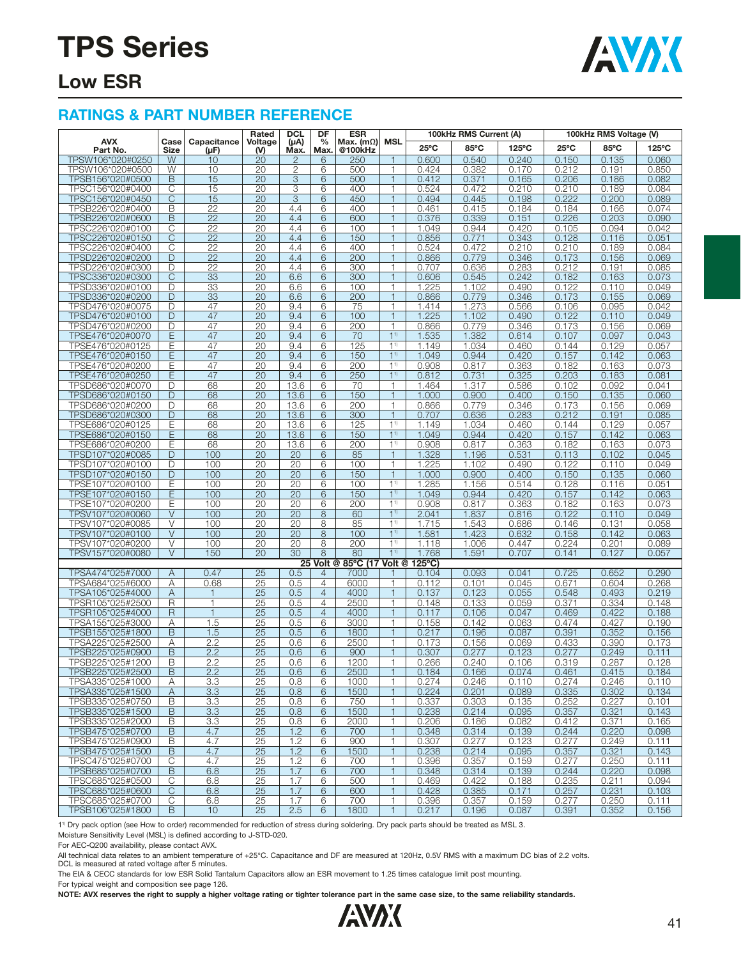

### **Low ESR**

#### **RATINGS & PART NUMBER REFERENCE**

|                                      |                     |                          | Rated                 | <b>DCL</b>      | DF                    | <b>ESR</b>                  |                                  |                           | 100kHz RMS Current (A) |                |                | 100kHz RMS Voltage (V) |                |
|--------------------------------------|---------------------|--------------------------|-----------------------|-----------------|-----------------------|-----------------------------|----------------------------------|---------------------------|------------------------|----------------|----------------|------------------------|----------------|
| <b>AVX</b><br>Part No.               | Case<br>Size        | Capacitance<br>$(\mu F)$ | Voltage<br>$(V)$      | (Au)<br>Max.    | $\frac{0}{0}$<br>Max. | Max. $(m\Omega)$<br>@100kHz | <b>MSL</b>                       | $25^{\circ}$ C            | 85°C                   | 125°C          | $25^{\circ}$ C | 85°C                   | 125°C          |
| TPSW106*020#0250                     | W                   | 10                       | 20                    | $\overline{2}$  | 6                     | 250                         | 1                                | 0.600                     | 0.540                  | 0.240          | 0.150          | 0.135                  | 0.060          |
| TPSW106*020#0500                     | W                   | 10                       | 20                    | $\overline{2}$  | 6                     | 500                         | 1                                | 0.424                     | 0.382                  | 0.170          | 0.212          | 0.191                  | 0.850          |
| TPSB156*020#0500                     | B                   | 15                       | 20                    | 3               | 6                     | 500                         | $\overline{1}$                   | 0.412                     | 0.371                  | 0.165          | 0.206          | 0.186                  | 0.082          |
| TPSC156*020#0400                     | С                   | 15                       | 20                    | 3               | 6                     | 400                         | $\mathbf{1}$                     | 0.524                     | 0.472                  | 0.210          | 0.210          | 0.189                  | 0.084          |
| TPSC156*020#0450                     | C                   | 15                       | 20                    | 3               | 6                     | 450                         | $\mathbf{1}$                     | 0.494                     | 0.445                  | 0.198          | 0.222          | 0.200                  | 0.089          |
| TPSB226*020#0400                     | В                   | $\overline{22}$          | 20                    | 4.4             | 6                     | 400                         | 1                                | 0.461                     | 0.415                  | 0.184          | 0.184          | 0.166                  | 0.074          |
| TPSB226*020#0600                     | B                   | $\overline{22}$          | 20                    | 4.4             | 6                     | 600                         | $\mathbf{1}$                     | 0.376                     | 0.339                  | 0.151          | 0.226          | 0.203                  | 0.090          |
| TPSC226*020#0100<br>TPSC226*020#0150 | $\overline{C}$<br>С | 22<br>22                 | $\overline{20}$<br>20 | 4.4<br>4.4      | 6<br>6                | 100<br>150                  | $\mathbf{1}$<br>1                | 1.049<br>0.856            | 0.944<br>0.771         | 0.420<br>0.343 | 0.105<br>0.128 | 0.094<br>0.116         | 0.042<br>0.051 |
| TPSC226*020#0400                     | С                   | $\overline{22}$          | 20                    | 4.4             | 6                     | 400                         | $\mathbf{1}$                     | 0.524                     | 0.472                  | 0.210          | 0.210          | 0.189                  | 0.084          |
| TPSD226*020#0200                     | D                   | 22                       | 20                    | 4.4             | 6                     | 200                         | $\overline{1}$                   | 0.866                     | 0.779                  | 0.346          | 0.173          | 0.156                  | 0.069          |
| TPSD226*020#0300                     | D                   | 22                       | 20                    | 4.4             | 6                     | 300                         | $\mathbf{1}$                     | 0.707                     | 0.636                  | 0.283          | 0.212          | 0.191                  | 0.085          |
| TPSC336*020#0300                     | C                   | 33                       | $\overline{20}$       | 6.6             | 6                     | 300                         | $\overline{1}$                   | 0.606                     | 0.545                  | 0.242          | 0.182          | 0.163                  | 0.073          |
| TPSD336*020#0100                     | D                   | 33                       | 20                    | 6.6             | 6                     | 100                         | $\mathbf{1}$                     | 1.225                     | 1.102                  | 0.490          | 0.122          | 0.110                  | 0.049          |
| TPSD336*020#0200                     | D                   | 33                       | 20                    | 6.6             | 6                     | 200                         | $\mathbf{1}$                     | 0.866                     | 0.779                  | 0.346          | 0.173          | 0.155                  | 0.069          |
| TPSD476*020#0075                     | D                   | 47                       | 20                    | 9.4             | 6                     | 75                          | $\mathbf{1}$                     | 1.414                     | 1.273                  | 0.566          | 0.106          | 0.095                  | 0.042          |
| TPSD476*020#0100                     | D                   | 47                       | 20                    | 9.4             | 6                     | 100                         | $\mathbf{1}$                     | 1.225                     | 1.102                  | 0.490          | 0.122          | 0.110                  | 0.049          |
| TPSD476*020#0200                     | D                   | 47                       | 20                    | 9.4             | 6                     | 200                         | 1                                | 0.866                     | 0.779                  | 0.346          | 0.173          | 0.156                  | 0.069          |
| TPSE476*020#0070<br>TPSE476*020#0125 | Ε<br>Ε              | 47<br>47                 | 20<br>20              | 9.4<br>9.4      | 6<br>6                | 70<br>125                   | 1 <sup>1</sup><br>1 <sup>1</sup> | 1.535<br>1.149            | 1.382<br>1.034         | 0.614<br>0.460 | 0.107<br>0.144 | 0.097<br>0.129         | 0.043<br>0.057 |
| TPSE476*020#0150                     | Ε                   | 47                       | 20                    | 9.4             | 6                     | 150                         | 1 <sup>1</sup>                   | 1.049                     | 0.944                  | 0.420          | 0.157          | 0.142                  | 0.063          |
| TPSE476*020#0200                     | Е                   | 47                       | 20                    | 9.4             | 6                     | 200                         | $1^{1}$                          | 0.908                     | 0.817                  | 0.363          | 0.182          | 0.163                  | 0.073          |
| TPSE476*020#0250                     | Ε                   | 47                       | 20                    | 9.4             | 6                     | 250                         | 1 <sup>1</sup>                   | 0.812                     | 0.731                  | 0.325          | 0.203          | 0.183                  | 0.081          |
| TPSD686*020#0070                     | D                   | 68                       | 20                    | 13.6            | 6                     | 70                          | $\mathbf{1}$                     | 1.464                     | 1.317                  | 0.586          | 0.102          | 0.092                  | 0.041          |
| TPSD686*020#0150                     | D                   | 68                       | 20                    | 13.6            | 6                     | 150                         | $\mathbf{1}$                     | 1.000                     | 0.900                  | 0.400          | 0.150          | 0.135                  | 0.060          |
| TPSD686*020#0200                     | D                   | 68                       | 20                    | 13.6            | 6                     | 200                         | $\mathbf{1}$                     | 0.866                     | 0.779                  | 0.346          | 0.173          | 0.156                  | 0.069          |
| TPSD686*020#0300                     | D                   | 68                       | 20                    | 13.6            | 6                     | 300                         | $\mathbf{1}$                     | 0.707                     | 0.636                  | 0.283          | 0.212          | 0.191                  | 0.085          |
| TPSE686*020#0125                     | Ε                   | 68                       | 20                    | 13.6            | 6                     | 125                         | 1 <sup>1</sup>                   | 1.149                     | 1.034                  | 0.460          | 0.144          | 0.129                  | 0.057          |
| TPSE686*020#0150                     | Ε                   | 68                       | 20                    | 13.6            | 6                     | 150                         | 1 <sup>1</sup>                   | 1.049                     | 0.944                  | 0.420          | 0.157          | 0.142                  | 0.063          |
| TPSE686*020#0200<br>TPSD107*020#0085 | Е<br>D              | 68<br>100                | $\overline{20}$<br>20 | 13.6<br>20      | 6<br>6                | 200<br>85                   | 1 <sup>1</sup><br>$\overline{1}$ | 0.908<br>1.328            | 0.817<br>1.196         | 0.363<br>0.531 | 0.182<br>0.113 | 0.163<br>0.102         | 0.073<br>0.045 |
| TPSD107*020#0100                     | D                   | 100                      | 20                    | 20              | 6                     | 100                         | $\mathbf{1}$                     | 1.225                     | 1.102                  | 0.490          | 0.122          | 0.110                  | 0.049          |
| TPSD107*020#0150                     | D                   | 100                      | 20                    | 20              | 6                     | 150                         | $\mathbf{1}$                     | 1.000                     | 0.900                  | 0.400          | 0.150          | 0.135                  | 0.060          |
| TPSE107*020#0100                     | Е                   | 100                      | 20                    | 20              | 6                     | 100                         | 1 <sup>1</sup>                   | 1.285                     | 1.156                  | 0.514          | 0.128          | 0.116                  | 0.051          |
| TPSE107*020#0150                     | Ε                   | 100                      | 20                    | $\overline{20}$ | 6                     | 150                         | 1 <sup>1</sup>                   | 1.049                     | 0.944                  | 0.420          | 0.157          | 0.142                  | 0.063          |
| TPSE107*020#0200                     | Е                   | 100                      | 20                    | 20              | 6                     | 200                         | 1 <sup>1</sup>                   | 0.908                     | 0.817                  | 0.363          | 0.182          | 0.163                  | 0.073          |
| TPSV107*020#0060                     | V                   | 100                      | 20                    | 20              | 8                     | 60                          | 1 <sup>1</sup>                   | 2.041                     | 1.837                  | 0.816          | 0.122          | 0.110                  | 0.049          |
| TPSV107*020#0085                     | V                   | 100                      | 20                    | $\overline{20}$ | 8                     | 85                          | 1 <sup>1</sup>                   | 1.715                     | 1.543                  | 0.686          | 0.146          | 0.131                  | 0.058          |
| TPSV107*020#0100                     | $\vee$              | 100                      | 20                    | 20              | 8                     | 100                         | 1 <sup>1</sup>                   | 1.581                     | 1.423                  | 0.632          | 0.158          | 0.142                  | 0.063          |
| TPSV107*020#0200                     | V                   | 100                      | 20                    | 20              | 8                     | 200                         | $1^{1}$                          | 1.118                     | 1.006                  | 0.447          | 0.224          | 0.201                  | 0.089          |
| TPSV157*020#0080                     | $\vee$              | 150                      | $\overline{20}$       | $\overline{30}$ | 8<br>25 Volt @        | 80<br>85°C (17 Volt @       | 1 <sup>1</sup>                   | 1.768<br>$125^{\circ}$ C) | 1.591                  | 0.707          | 0.141          | 0.127                  | 0.057          |
| TPSA474*025#7000                     | A                   | 0.47                     | $\overline{25}$       | 0.5             | 4                     | 7000                        |                                  | 0.104                     | 0.093                  | 0.041          | 0.725          | 0.652                  | 0.290          |
| TPSA684*025#6000                     | Α                   | 0.68                     | 25                    | 0.5             | 4                     | 6000                        | 1                                | 0.112                     | 0.101                  | 0.045          | 0.671          | 0.604                  | 0.268          |
| TPSA105*025#4000                     | Α                   | 1                        | $\overline{25}$       | 0.5             | $\overline{4}$        | 4000                        | $\mathbf{1}$                     | 0.137                     | 0.123                  | 0.055          | 0.548          | 0.493                  | 0.219          |
| TPSR105*025#2500                     | R                   | $\mathbf{1}$             | 25                    | 0.5             | 4                     | 2500                        | $\mathbf{1}$                     | 0.148                     | 0.133                  | 0.059          | 0.371          | 0.334                  | 0.148          |
| TPSR105*025#4000                     | $\mathsf{R}$        | $\mathbf{1}$             | 25                    | 0.5             | $\overline{4}$        | 4000                        | $\mathbf{1}$                     | 0.117                     | 0.106                  | 0.047          | 0.469          | 0.422                  | 0.188          |
| TPSA155*025#3000                     | Α                   | 1.5                      | 25                    | 0.5             | 6                     | 3000                        | 1                                | 0.158                     | 0.142                  | 0.063          | 0.474          | 0.427                  | 0.190          |
| TPSB155*025#1800                     | B                   | 1.5                      | $\overline{25}$       | 0.5             | 6                     | 1800                        | $\overline{\phantom{a}}$         | 0.217                     | 0.196                  | 0.087          | 0.391          | 0.352                  | 0.156          |
| TPSA225*025#2500                     | Α                   | 2.2                      | 25                    | 0.6             | 6                     | 2500                        | $\mathbf{1}$                     | 0.173                     | 0.156                  | 0.069          | 0.433          | 0.390                  | 0.173          |
| TPSB225*025#0900<br>TPSB225*025#1200 | B<br>B              | 2.2                      | 25                    | 0.6             | 6                     | 900                         | $\mathbf{1}$<br>1                | 0.307                     | 0.277                  | 0.123          | 0.277          | 0.249                  | 0.111          |
|                                      | $\overline{B}$      | 2.2<br>2.2               | 25                    | 0.6             | 6<br>6                | 1200<br>2500                | $\mathbf{1}$                     | 0.266                     | 0.240                  | 0.106          | 0.319          | 0.287<br>0.415         | 0.128          |
| TPSB225*025#2500<br>TPSA335*025#1000 | Α                   | 3.3                      | 25<br>$\overline{25}$ | 0.6<br>0.8      | 6                     | 1000                        | 1                                | 0.184<br>0.274            | 0.166<br>0.246         | 0.074<br>0.110 | 0.461<br>0.274 | 0.246                  | 0.184<br>0.110 |
| TPSA335*025#1500                     | A                   | 3.3                      | 25                    | 0.8             | 6                     | 1500                        | $\mathbf{1}$                     | 0.224                     | 0.201                  | 0.089          | 0.335          | 0.302                  | 0.134          |
| TPSB335*025#0750                     | В                   | 3.3                      | 25                    | 0.8             | 6                     | 750                         | $\mathbf{1}$                     | 0.337                     | 0.303                  | 0.135          | 0.252          | 0.227                  | 0.101          |
| TPSB335*025#1500                     | B                   | 3.3                      | 25                    | 0.8             | 6                     | 1500                        | $\mathbf{1}$                     | 0.238                     | 0.214                  | 0.095          | 0.357          | 0.321                  | 0.143          |
| TPSB335*025#2000                     | В                   | 3.3                      | 25                    | 0.8             | 6                     | 2000                        | 1                                | 0.206                     | 0.186                  | 0.082          | 0.412          | 0.371                  | 0.165          |
| TPSB475*025#0700                     | B                   | 4.7                      | 25                    | 1.2             | 6                     | 700                         | $\mathbf{1}$                     | 0.348                     | 0.314                  | 0.139          | 0.244          | 0.220                  | 0.098          |
| TPSB475*025#0900                     | B                   | 4.7                      | 25                    | 1.2             | 6                     | 900                         | 1                                | 0.307                     | 0.277                  | 0.123          | 0.277          | 0.249                  | 0.111          |
| TPSB475*025#1500                     | B                   | 4.7                      | 25                    | 1.2             | 6                     | 1500                        | $\mathbf{1}$                     | 0.238                     | 0.214                  | 0.095          | 0.357          | 0.321                  | 0.143          |
| TPSC475*025#0700                     | С                   | 4.7                      | 25                    | 1.2             | 6                     | 700                         | 1                                | 0.396                     | 0.357                  | 0.159          | 0.277          | 0.250                  | 0.111          |
| TPSB685*025#0700<br>TPSC685*025#0500 | B<br>C              | 6.8<br>6.8               | $\overline{25}$<br>25 | 1.7<br>1.7      | 6<br>6                | 700<br>500                  | $\mathbf{1}$<br>$\mathbf{1}$     | 0.348<br>0.469            | 0.314<br>0.422         | 0.139<br>0.188 | 0.244<br>0.235 | 0.220<br>0.211         | 0.098<br>0.094 |
| TPSC685*025#0600                     | C                   | 6.8                      | 25                    | 1.7             | 6                     | 600                         | $\mathbf{1}$                     | 0.428                     | 0.385                  | 0.171          | 0.257          | 0.231                  | 0.103          |
| TPSC685*025#0700                     | C                   | 6.8                      | 25                    | 1.7             | 6                     | 700                         | 1                                | 0.396                     | 0.357                  | 0.159          | 0.277          | 0.250                  | 0.111          |
| TPSB106*025#1800                     | B                   | 10                       | 25                    | 2.5             | 6                     | 1800                        | $\mathbf{1}$                     | 0.217                     | 0.196                  | 0.087          | 0.391          | 0.352                  | 0.156          |
|                                      |                     |                          |                       |                 |                       |                             |                                  |                           |                        |                |                |                        |                |

1<sup>1)</sup> Dry pack option (see How to order) recommended for reduction of stress during soldering. Dry pack parts should be treated as MSL 3.

Moisture Sensitivity Level (MSL) is defined according to J-STD-020.

For AEC-Q200 availability, please contact AVX.

All technical data relates to an ambient temperature of +25°C. Capacitance and DF are measured at 120Hz, 0.5V RMS with a maximum DC bias of 2.2 volts.<br>DCL is measured at rated voltage after 5 minutes.

The EIA & CECC standards for low ESR Solid Tantalum Capacitors allow an ESR movement to 1.25 times catalogue limit post mounting.

For typical weight and composition see page 126.

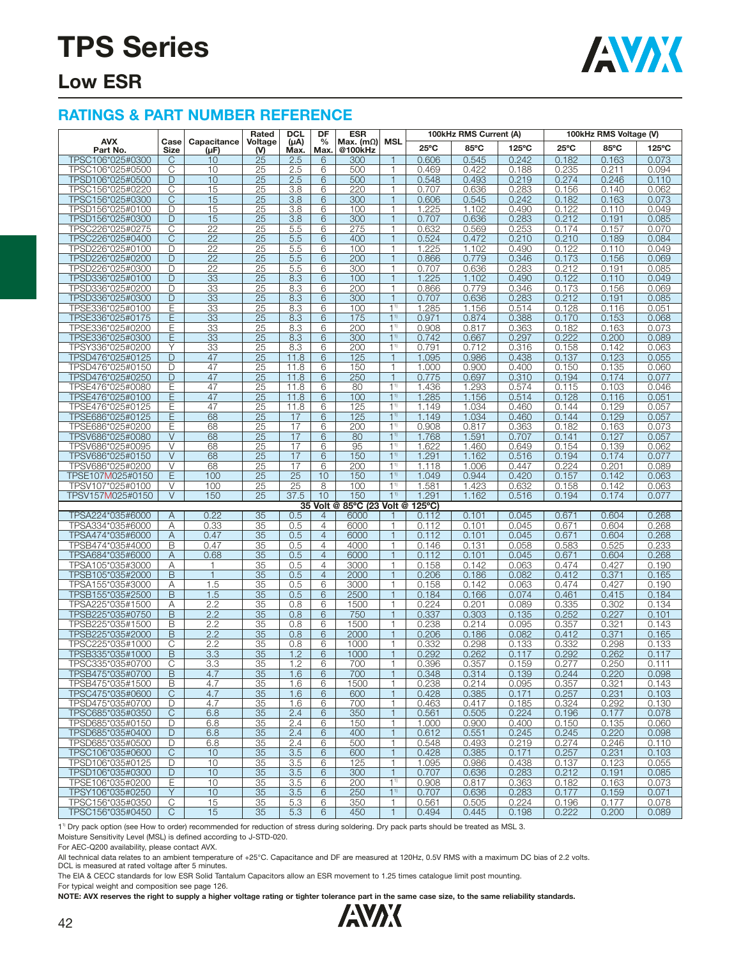

### **Low ESR**

#### **RATINGS & PART NUMBER REFERENCE**

|                                      |                   |                          | Rated                 | <b>DCL</b>        | DF              | <b>ESR</b>                  |                                  |                  | 100kHz RMS Current (A) |                | 100kHz RMS Voltage (V) |                |                |
|--------------------------------------|-------------------|--------------------------|-----------------------|-------------------|-----------------|-----------------------------|----------------------------------|------------------|------------------------|----------------|------------------------|----------------|----------------|
| <b>AVX</b><br>Part No.               | Case<br>Size      | Capacitance<br>$(\mu F)$ | Voltage<br>(V)        | $(\mu A)$<br>Max. | $\%$<br>Max.    | Max. $(m\Omega)$<br>@100kHz | <b>MSL</b>                       | $25^{\circ}$ C   | 85°C                   | 125°C          | $25^{\circ}$ C         | 85°C           | 125°C          |
| TPSC106*025#0300                     | C                 | 10                       | $\overline{25}$       | 2.5               | 6               | 300                         | 1                                | 0.606            | 0.545                  | 0.242          | 0.182                  | 0.163          | 0.073          |
| TPSC106*025#0500                     | С                 | 10                       | 25                    | 2.5               | 6               | 500                         | 1                                | 0.469            | 0.422                  | 0.188          | 0.235                  | 0.211          | 0.094          |
| TPSD106*025#0500                     | D                 | 10                       | 25                    | 2.5               | 6               | 500                         | $\mathbf{1}$                     | 0.548            | 0.493                  | 0.219          | 0.274                  | 0.246          | 0.110          |
| TPSC156*025#0220                     | C                 | 15                       | 25                    | 3.8               | 6               | 220                         | 1                                | 0.707            | 0.636                  | 0.283          | 0.156                  | 0.140          | 0.062          |
| TPSC156*025#0300                     | $\mathsf{C}$      | 15                       | 25                    | 3.8               | 6               | 300                         | 1                                | 0.606            | 0.545                  | 0.242          | 0.182                  | 0.163          | 0.073          |
| TPSD156*025#0100                     | D                 | 15                       | 25                    | 3.8               | 6               | 100                         | 1                                | 1.225            | 1.102                  | 0.490          | 0.122                  | 0.110          | 0.049          |
| TPSD156*025#0300                     | D                 | 15                       | 25                    | 3.8               | 6               | 300                         | $\mathbf{1}$                     | 0.707            | 0.636                  | 0.283          | 0.212                  | 0.191          | 0.085          |
| TPSC226*025#0275                     | C                 | $\overline{22}$          | 25                    | 5.5               | 6               | 275                         | 1                                | 0.632            | 0.569                  | 0.253          | 0.174                  | 0.157          | 0.070          |
| TPSC226*025#0400                     | С                 | 22                       | 25                    | 5.5               | 6               | 400                         | 1                                | 0.524            | 0.472                  | 0.210          | 0.210                  | 0.189          | 0.084          |
| TPSD226*025#0100                     | D                 | $\overline{22}$          | $\overline{25}$       | 5.5               | 6               | 100                         | 1                                | 1.225            | 1.102                  | 0.490          | 0.122                  | 0.110          | 0.049          |
| TPSD226*025#0200                     | D                 | 22                       | 25                    | 5.5               | 6               | 200                         | $\mathbf{1}$                     | 0.866            | 0.779                  | 0.346          | 0.173                  | 0.156          | 0.069          |
| TPSD226*025#0300                     | D                 | 22                       | 25                    | 5.5               | 6               | 300                         | 1                                | 0.707            | 0.636                  | 0.283          | 0.212                  | 0.191          | 0.085          |
| TPSD336*025#0100<br>TPSD336*025#0200 | D<br>D            | 33<br>33                 | 25<br>25              | 8.3<br>8.3        | 6<br>6          | 100<br>200                  | 1<br>1                           | 1.225<br>0.866   | 1.102<br>0.779         | 0.490<br>0.346 | 0.122<br>0.173         | 0.110<br>0.156 | 0.049<br>0.069 |
| TPSD336*025#0300                     | D                 | 33                       | 25                    | 8.3               | $6\overline{6}$ | 300                         | $\mathbf{1}$                     | 0.707            | 0.636                  | 0.283          | 0.212                  | 0.191          | 0.085          |
| TPSE336*025#0100                     | Е                 | 33                       | 25                    | 8.3               | 6               | 100                         | 1 <sup>1</sup>                   | 1.285            | 1.156                  | 0.514          | 0.128                  | 0.116          | 0.051          |
| TPSE336*025#0175                     | Ε                 | 33                       | 25                    | 8.3               | 6               | 175                         | 1 <sup>1</sup>                   | 0.971            | 0.874                  | 0.388          | 0.170                  | 0.153          | 0.068          |
| TPSE336*025#0200                     | Ε                 | 33                       | 25                    | 8.3               | 6               | 200                         | 1 <sup>1</sup>                   | 0.908            | 0.817                  | 0.363          | 0.182                  | 0.163          | 0.073          |
| TPSE336*025#0300                     | E                 | 33                       | 25                    | 8.3               | 6               | 300                         | 1 <sup>1</sup>                   | 0.742            | 0.667                  | 0.297          | 0.222                  | 0.200          | 0.089          |
| TPSY336*025#0200                     | Υ                 | 33                       | 25                    | 8.3               | 6               | 200                         | 1 <sup>1</sup>                   | 0.791            | 0.712                  | 0.316          | 0.158                  | 0.142          | 0.063          |
| TPSD476*025#0125                     | D                 | 47                       | 25                    | 11.8              | 6               | 125                         | $\mathbf{1}$                     | 1.095            | 0.986                  | 0.438          | 0.137                  | 0.123          | 0.055          |
| TPSD476*025#0150                     | D                 | 47                       | 25                    | 11.8              | 6               | 150                         | 1                                | 1.000            | 0.900                  | 0.400          | 0.150                  | 0.135          | 0.060          |
| TPSD476*025#0250                     | D                 | 47                       | 25                    | 11.8              | 6               | 250                         | 1                                | 0.775            | 0.697                  | 0.310          | 0.194                  | 0.174          | 0.077          |
| TPSE476*025#0080                     | Е                 | 47                       | $\overline{25}$       | 11.8              | 6               | 80                          | 1 <sup>1</sup>                   | 1.436            | 1.293                  | 0.574          | 0.115                  | 0.103          | 0.046          |
| TPSE476*025#0100                     | Ε                 | 47                       | 25                    | 11.8              | 6               | 100                         | 1 <sup>1</sup>                   | 1.285            | 1.156                  | 0.514          | 0.128                  | 0.116          | 0.051          |
| TPSE476*025#0125                     | Ε                 | 47                       | $\overline{25}$       | 11.8              | 6               | 125                         | 1 <sup>1</sup>                   | 1.149            | 1.034                  | 0.460          | 0.144                  | 0.129          | 0.057          |
| TPSE686*025#0125                     | Ē                 | 68                       | 25                    | 17                | 6               | 125                         | 1 <sup>1</sup>                   | 1.149            | 1.034                  | 0.460          | 0.144                  | 0.129          | 0.057          |
| TPSE686*025#0200                     | Е                 | 68                       | 25                    | 17                | 6               | 200                         | 1 <sup>1</sup>                   | 0.908            | 0.817                  | 0.363          | 0.182                  | 0.163          | 0.073          |
| TPSV686*025#0080                     | $\vee$            | 68                       | 25                    | 17                | 6               | 80                          | 1 <sup>1</sup>                   | 1.768            | 1.591                  | 0.707          | 0.141                  | 0.127          | 0.057          |
| TPSV686*025#0095                     | V                 | 68                       | 25                    | 17                | 6               | 95                          | 1 <sup>1</sup>                   | 1.622            | 1.460                  | 0.649          | 0.154                  | 0.139          | 0.062          |
| TPSV686*025#0150                     | V<br>V            | 68                       | 25<br>$\overline{25}$ | 17<br>17          | 6<br>6          | 150                         | 1 <sup>1</sup><br>1 <sup>1</sup> | 1.291<br>1.118   | 1.162                  | 0.516<br>0.447 | 0.194                  | 0.174          | 0.077          |
| TPSV686*025#0200<br>TPSE107M025#0150 | E                 | 68<br>100                | $\overline{25}$       | $\overline{25}$   | 10              | 200<br>150                  | 11)                              | 1.049            | 1.006<br>0.944         | 0.420          | 0.224<br>0.157         | 0.201<br>0.142 | 0.089<br>0.063 |
| TPSV107*025#0100                     | V                 | 100                      | 25                    | 25                | 8               | 100                         | 1 <sup>1</sup>                   | 1.581            | 1.423                  | 0.632          | 0.158                  | 0.142          | 0.063          |
| TPSV157M025#0150                     | $\overline{\vee}$ | 150                      | $\overline{25}$       | 37.5              | 10              | 150                         | 1 <sup>1</sup>                   | 1.291            | 1.162                  | 0.516          | 0.194                  | 0.174          | 0.077          |
|                                      |                   |                          |                       |                   | 35 Volt @       | 85°C (23 Volt @             |                                  | $125^{\circ}$ C) |                        |                |                        |                |                |
| TPSA224*035#6000                     | A                 | 0.22                     | 35                    | 0.5               | $\overline{4}$  | 6000                        |                                  | 0.112            | 0.101                  | 0.045          | 0.671                  | 0.604          | 0.268          |
| TPSA334*035#6000                     | Α                 | 0.33                     | 35                    | 0.5               | 4               | 6000                        | 1                                | 0.112            | 0.101                  | 0.045          | 0.671                  | 0.604          | 0.268          |
| TPSA474*035#6000                     | Α                 | 0.47                     | 35                    | 0.5               | $\overline{4}$  | 6000                        | 1                                | 0.112            | 0.101                  | 0.045          | 0.671                  | 0.604          | 0.268          |
| TPSB474*035#4000                     | B                 | 0.47                     | 35                    | 0.5               | $\overline{4}$  | 4000                        | 1                                | 0.146            | 0.131                  | 0.058          | 0.583                  | 0.525          | 0.233          |
| TPSA684*035#6000                     | Α                 | 0.68                     | 35                    | 0.5               | $\overline{4}$  | 6000                        | 1                                | 0.112            | 0.101                  | 0.045          | 0.671                  | 0.604          | 0.268          |
| TPSA105*035#3000                     | Α                 | $\mathbf{1}$             | 35                    | 0.5               | $\overline{4}$  | 3000                        | 1                                | 0.158            | 0.142                  | 0.063          | 0.474                  | 0.427          | 0.190          |
| TPSB105*035#2000                     | B                 | $\mathbf{1}$             | 35                    | 0.5               | $\overline{4}$  | 2000                        | $\mathbf{1}$                     | 0.206            | 0.186                  | 0.082          | 0.412                  | 0.371          | 0.165          |
| TPSA155*035#3000                     | Α                 | 1.5                      | 35                    | 0.5               | 6               | 3000                        | 1                                | 0.158            | 0.142                  | 0.063          | 0.474                  | 0.427          | 0.190          |
| TPSB155*035#2500                     | B                 | 1.5                      | 35                    | 0.5               | 6               | 2500                        | 1                                | 0.184            | 0.166                  | 0.074          | 0.461                  | 0.415          | 0.184          |
| TPSA225*035#1500                     | Α                 | 2.2                      | 35                    | 0.8               | 6               | 1500                        | 1<br>$\mathbf{1}$                | 0.224            | 0.201                  | 0.089          | 0.335                  | 0.302          | 0.134          |
| TPSB225*035#0750<br>TPSB225*035#1500 | B<br>B            | 2.2<br>2.2               | 35<br>35              | 0.8<br>0.8        | 6<br>6          | 750<br>1500                 | 1                                | 0.337<br>0.238   | 0.303<br>0.214         | 0.135<br>0.095 | 0.252<br>0.357         | 0.227<br>0.321 | 0.101<br>0.143 |
| TPSB225*035#2000                     | B                 | 2.2                      | $\overline{35}$       | 0.8               | 6               | 2000                        | 1                                | 0.206            | 0.186                  | 0.082          | 0.412                  | 0.371          | 0.165          |
| TPSC225*035#1000                     | С                 | 2.2                      | 35                    | 0.8               | 6               | 1000                        | 1                                | 0.332            | 0.298                  | 0.133          | 0.332                  | 0.298          | 0.133          |
| TPSB335*035#1000                     | B                 | 3.3                      | 35                    | 1.2               | 6               | 1000                        | $\mathbf{1}$                     | 0.292            | 0.262                  | 0.117          | 0.292                  | 0.262          | 0.117          |
| TPSC335*035#0700                     | С                 | 3.3                      | 35                    | 1.2               | 6               | 700                         | 1                                | 0.396            | 0.357                  | 0.159          | 0.277                  | 0.250          | 0.111          |
| TPSB475*035#0700                     | B                 | 4.7                      | 35                    | 1.6               | 6               | 700                         |                                  | 0.348            | 0.314                  | 0.139          | 0.244                  | 0.220          | 0.098          |
| TPSB475*035#1500                     | B                 | 4.7                      | 35                    | 1.6               | 6               | 1500                        | 1                                | 0.238            | 0.214                  | 0.095          | 0.357                  | 0.321          | 0.143          |
| TPSC475*035#0600                     | $\mathsf{C}$      | 4.7                      | 35                    | 1.6               | 6               | 600                         | $\mathbf{1}$                     | 0.428            | 0.385                  | 0.171          | 0.257                  | 0.231          | 0.103          |
| TPSD475*035#0700                     | D                 | 4.7                      | 35                    | 1.6               | 6               | 700                         | 1                                | 0.463            | 0.417                  | 0.185          | 0.324                  | 0.292          | 0.130          |
| TPSC685*035#0350                     | C                 | 6.8                      | 35                    | 2.4               | 6               | 350                         | $\mathbf{1}$                     | 0.561            | 0.505                  | 0.224          | 0.196                  | 0.177          | 0.078          |
| TPSD685*035#0150                     | D                 | 6.8                      | 35                    | 2.4               | 6               | 150                         | $\mathbf{1}$                     | 1.000            | 0.900                  | 0.400          | 0.150                  | 0.135          | 0.060          |
| TPSD685*035#0400                     | D                 | 6.8                      | 35                    | 2.4               | 6               | 400                         | $\mathbf{1}$                     | 0.612            | 0.551                  | 0.245          | 0.245                  | 0.220          | 0.098          |
| TPSD685*035#0500                     | D                 | 6.8                      | 35                    | 2.4               | 6               | 500                         | 1                                | 0.548            | 0.493                  | 0.219          | 0.274                  | 0.246          | 0.110          |
| TPSC106*035#0600                     | C                 | 10                       | 35                    | 3.5               | 6               | 600                         | $\mathbf{1}$                     | 0.428            | 0.385                  | 0.171          | 0.257                  | 0.231          | 0.103          |
| TPSD106*035#0125                     | D                 | 10                       | 35                    | 3.5               | 6               | 125                         | 1                                | 1.095            | 0.986                  | 0.438          | 0.137                  | 0.123          | 0.055          |
| TPSD106*035#0300<br>TPSE106*035#0200 | D                 | 10                       | 35                    | 3.5               | 6               | 300                         | $\mathbf{1}$<br>1 <sup>1</sup>   | 0.707            | 0.636                  | 0.283          | 0.212                  | 0.191          | 0.085          |
| TPSY106*035#0250                     | Е<br>Y            | 10<br>10                 | 35<br>35              | 3.5<br>3.5        | 6<br>6          | 200<br>250                  | 1 <sup>1</sup>                   | 0.908<br>0.707   | 0.817<br>0.636         | 0.363<br>0.283 | 0.182<br>0.177         | 0.163<br>0.159 | 0.073<br>0.071 |
| TPSC156*035#0350                     | C                 | 15                       | 35                    | 5.3               | 6               | 350                         | 1.                               | 0.561            | 0.505                  | 0.224          | 0.196                  | 0.177          | 0.078          |
| TPSC156*035#0450                     | С                 | 15                       | 35                    | 5.3               | 6               | 450                         | $\mathbf{1}$                     | 0.494            | 0.445                  | 0.198          | 0.222                  | 0.200          | 0.089          |
|                                      |                   |                          |                       |                   |                 |                             |                                  |                  |                        |                |                        |                |                |

11) Dry pack option (see How to order) recommended for reduction of stress during soldering. Dry pack parts should be treated as MSL 3.

Moisture Sensitivity Level (MSL) is defined according to J-STD-020.

For AEC-Q200 availability, please contact AVX.

All technical data relates to an ambient temperature of +25°C. Capacitance and DF are measured at 120Hz, 0.5V RMS with a maximum DC bias of 2.2 volts.

DCL is measured at rated voltage after 5 minutes.

The EIA & CECC standards for low ESR Solid Tantalum Capacitors allow an ESR movement to 1.25 times catalogue limit post mounting.

For typical weight and composition see page 126.

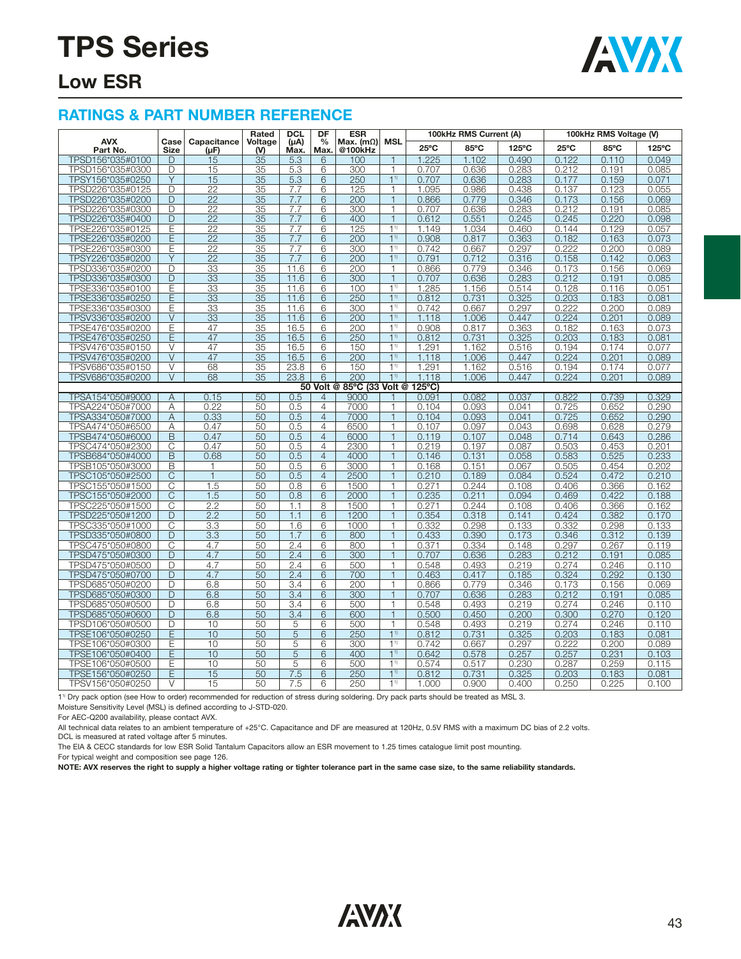

### **Low ESR**

#### **RATINGS & PART NUMBER REFERENCE**

|                                      |                       |                          | Rated           | <b>DCL</b>        | DF                    | <b>ESR</b>                  | <b>MSL</b>                   | 100kHz RMS Current (A)<br>100kHz RMS Voltage (V) |                |                |                |                |                |
|--------------------------------------|-----------------------|--------------------------|-----------------|-------------------|-----------------------|-----------------------------|------------------------------|--------------------------------------------------|----------------|----------------|----------------|----------------|----------------|
| <b>AVX</b><br>Part No.               | Case<br><b>Size</b>   | Capacitance<br>$(\mu F)$ | Voltage<br>(V)  | $(\mu A)$<br>Max. | $\frac{0}{0}$<br>Max. | Max. $(m\Omega)$<br>@100kHz |                              | $25^{\circ}$ C                                   | 85°C           | 125°C          | $25^{\circ}$ C | 85°C           | 125°C          |
| TPSD156*035#0100                     | D                     | 15                       | $\overline{35}$ | 5.3               | 6                     | 100                         | 1                            | 1.225                                            | 1.102          | 0.490          | 0.122          | 0.110          | 0.049          |
| TPSD156*035#0300                     | D                     | 15                       | 35              | 5.3               | 6                     | 300                         | 1                            | 0.707                                            | 0.636          | 0.283          | 0.212          | 0.191          | 0.085          |
| TPSY156*035#0250                     | Y                     | 15                       | 35              | 5.3               | 6                     | 250                         | 1 <sup>1</sup>               | 0.707                                            | 0.636          | 0.283          | 0.177          | 0.159          | 0.071          |
| TPSD226*035#0125                     | D                     | $\overline{22}$          | 35              | 7.7               | 6                     | 125                         | $\mathbf{1}$                 | 1.095                                            | 0.986          | 0.438          | 0.137          | 0.123          | 0.055          |
| TPSD226*035#0200                     | $\overline{D}$        | $\overline{22}$          | $\overline{35}$ | 7.7               | $\overline{6}$        | $\overline{200}$            | $\overline{1}$               | 0.866                                            | 0.779          | 0.346          | 0.173          | 0.156          | 0.069          |
| TPSD226*035#0300                     | D                     | 22                       | 35              | 7.7               | 6                     | 300                         | $\mathbf{1}$                 | 0.707                                            | 0.636          | 0.283          | 0.212          | 0.191          | 0.085          |
| TPSD226*035#0400                     | D                     | 22                       | 35              | 7.7               | 6                     | 400                         | $\mathbf{1}$                 | 0.612                                            | 0.551          | 0.245          | 0.245          | 0.220          | 0.098          |
| TPSE226*035#0125                     | E                     | $\overline{22}$          | $\overline{35}$ | 7.7               | 6                     | 125                         | 1 <sup>1</sup>               | 1.149                                            | 1.034          | 0.460          | 0.144          | 0.129          | 0.057          |
| TPSE226*035#0200                     | Έ                     | $\overline{22}$          | $\overline{35}$ | 7.7               | $\overline{6}$        | 200                         | 11                           | 0.908                                            | 0.817          | 0.363          | 0.182          | 0.163          | 0.073          |
| TPSE226*035#0300                     | Ε                     | 22                       | 35              | 7.7               | 6                     | 300                         | 1 <sup>1</sup>               | 0.742                                            | 0.667          | 0.297          | 0.222          | 0.200          | 0.089          |
| TPSY226*035#0200                     | Y                     | $\overline{22}$          | 35              | 7.7               | 6                     | 200                         | 11)                          | 0.791                                            | 0.712          | 0.316          | 0.158          | 0.142          | 0.063          |
| TPSD336*035#0200                     | D                     | $\overline{33}$          | 35              | 11.6              | 6                     | 200                         | $\mathbf{1}$                 | 0.866                                            | 0.779          | 0.346          | 0.173          | 0.156          | 0.069          |
| TPSD336*035#0300                     | D                     | 33                       | 35              | 11.6              | 6                     | 300                         | $\overline{1}$               | 0.707                                            | 0.636          | 0.283          | 0.212          | 0.191          | 0.085          |
| TPSE336*035#0100                     | Ē                     | 33                       | 35              | 11.6              | 6                     | 100                         | 1 <sup>1</sup>               | 1.285                                            | 1.156          | 0.514          | 0.128          | 0.116          | 0.051          |
| TPSE336*035#0250                     | Ε                     | 33                       | 35              | 11.6              | 6                     | 250                         | 11                           | 0.812                                            | 0.731          | 0.325          | 0.203          | 0.183          | 0.081          |
| TPSE336*035#0300                     | E                     | $\overline{33}$          | 35              | 11.6              | 6                     | 300                         | 1 <sup>1</sup>               | 0.742                                            | 0.667          | 0.297          | 0.222          | 0.200          | 0.089          |
| TPSV336*035#0200                     | $\vee$                | 33                       | 35              | 11.6              | 6                     | 200                         | 1 <sup>1</sup>               | 1.118                                            | 1.006          | 0.447          | 0.224          | 0.201          | 0.089          |
| TPSE476*035#0200                     | Ε                     | 47                       | 35              | 16.5              | 6                     | 200                         | 1 <sup>1</sup>               | 0.908                                            | 0.817          | 0.363          | 0.182          | 0.163          | 0.073          |
| TPSE476*035#0250                     | E                     | 47                       | 35              | 16.5              | $6\overline{6}$       | 250                         | 11)                          | 0.812                                            | 0.731          | 0.325          | 0.203          | 0.183          | 0.081          |
| TPSV476*035#0150                     | V                     | 47                       | 35              | 16.5              | 6                     | 150                         | 11)                          | 1.291                                            | 1.162          | 0.516          | 0.194          | 0.174          | 0.077          |
| TPSV476*035#0200                     | $\vee$                | 47                       | 35              | 16.5              | 6                     | 200                         | 1 <sup>1</sup>               | 1.118                                            | 1.006          | 0.447          | 0.224          | 0.201          | 0.089          |
| TPSV686*035#0150                     | V                     | 68                       | 35              | 23.8              | 6                     | 150                         | 11)                          | 1.291                                            | 1.162          | 0.516          | 0.194          | 0.174          | 0.077          |
| TPSV686*035#0200                     | $\vee$                | 68                       | 35              | 23.8              | $\overline{6}$        | 200                         | 11)                          | 1.118                                            | 1.006          | 0.447          | 0.224          | 0.201          | 0.089          |
|                                      |                       |                          |                 |                   |                       | 50 Volt @ 85°C (33 Volt @   |                              | $125^{\circ}$ C)                                 |                |                |                |                |                |
| TPSA154*050#9000                     | $\overline{A}$        | 0.15                     | 50              | 0.5               | $\overline{4}$        | 9000                        |                              | 0.091                                            | 0.082          | 0.037          | 0.822          | 0.739          | 0.329          |
| TPSA224*050#7000                     | Α                     | 0.22                     | 50              | 0.5               | $\overline{4}$        | 7000                        | 1                            | 0.104                                            | 0.093          | 0.041          | 0.725          | 0.652          | 0.290          |
| TPSA334*050#7000                     | $\overline{A}$        | 0.33                     | 50              | 0.5               | $\overline{4}$        | 7000                        | $\overline{1}$               | 0.104                                            | 0.093          | 0.041          | 0.725          | 0.652          | 0.290          |
| TPSA474*050#6500                     | Α                     | 0.47                     | 50              | 0.5               | $\overline{4}$        | 6500                        | $\mathbf{1}$                 | 0.107                                            | 0.097          | 0.043          | 0.698          | 0.628          | 0.279          |
| TPSB474*050#6000                     | B                     | 0.47                     | 50              | 0.5               | $\overline{4}$        | 6000                        | $\mathbf{1}$                 | 0.119                                            | 0.107          | 0.048          | 0.714          | 0.643          | 0.286          |
| TPSC474*050#2300                     | Ċ                     | 0.47                     | 50              | 0.5               | $\overline{4}$        | 2300                        | $\mathbf{1}$                 | 0.219                                            | 0.197          | 0.087          | 0.503          | 0.453          | 0.201          |
| TPSB684*050#4000                     | B                     | 0.68                     | 50              | 0.5               | $\overline{4}$        | 4000                        | $\mathbf{1}$                 | 0.146                                            | 0.131          | 0.058          | 0.583          | 0.525          | 0.233          |
| TPSB105*050#3000                     | B                     | $\mathbf{1}$             | 50              | 0.5               | 6                     | 3000                        | $\mathbf{1}$                 | 0.168                                            | 0.151          | 0.067          | 0.505          | 0.454          | 0.202          |
| TPSC105*050#2500                     | C                     | $\mathbf{1}$             | 50              | 0.5               | $\overline{4}$        | 2500                        | $\mathbf{1}$                 | 0.210                                            | 0.189          | 0.084          | 0.524          | 0.472          | 0.210          |
| TPSC155*050#1500                     | C                     | 1.5                      | 50              | 0.8               | 6                     | 1500                        | $\mathbf{1}$                 | 0.271                                            | 0.244          | 0.108          | 0.406          | 0.366          | 0.162          |
| TPSC155*050#2000                     | $\overline{\text{C}}$ | 1.5                      | 50              | 0.8               | $\overline{6}$        | 2000                        | $\overline{1}$               | 0.235                                            | 0.211          | 0.094          | 0.469          | 0.422          | 0.188          |
| TPSC225*050#1500                     | C                     | 2.2                      | 50              | 1.1               | 8                     | 1500                        | $\mathbf{1}$                 | 0.271                                            | 0.244          | 0.108          | 0.406          | 0.366          | 0.162          |
| TPSD225*050#1200                     | D                     | 2.2                      | 50              | 1.1               | 6                     | 1200                        | $\mathbf{1}$                 | 0.354                                            | 0.318          | 0.141          | 0.424          | 0.382          | 0.170          |
| TPSC335*050#1000                     | C                     | 3.3                      | 50              | 1.6               | 6                     | 1000                        | $\mathbf{1}$                 | 0.332                                            | 0.298          | 0.133          | 0.332          | 0.298          | 0.133          |
| TPSD335*050#0800                     | D                     | 3.3                      | $\overline{50}$ | 1.7               | $\overline{6}$        | 800                         | $\mathbf{1}$                 | 0.433                                            | 0.390          | 0.173          | 0.346          | 0.312          | 0.139          |
| TPSC475*050#0800                     | $\overline{\rm C}$    | 4.7                      | 50              | 2.4               | 6                     | 800                         | $\mathbf{1}$                 | 0.371                                            | 0.334          | 0.148          | 0.297          | 0.267          | 0.119          |
| TPSD475*050#0300                     | D                     | 4.7                      | 50              | 2.4               | 6                     | 300                         | $\overline{1}$               | 0.707                                            | 0.636          | 0.283          | 0.212          | 0.191          | 0.085          |
| TPSD475*050#0500                     | D                     | 4.7                      | 50              | 2.4               | 6                     | 500                         | $\mathbf{1}$                 | 0.548                                            | 0.493          | 0.219          | 0.274          | 0.246          | 0.110          |
| TPSD475*050#0700                     | D                     | 4.7                      | 50              | 2.4               | 6                     | 700                         | $\overline{1}$               | 0.463                                            | 0.417          | 0.185          | 0.324          | 0.292          | 0.130          |
| TPSD685*050#0200                     | D                     | 6.8                      | 50              | 3.4               | 6                     | 200                         | 1                            | 0.866                                            | 0.779          | 0.346          | 0.173          | 0.156          | 0.069          |
| TPSD685*050#0300                     | D                     | 6.8                      | 50              | 3.4               | 6                     | 300                         | $\mathbf{1}$                 | 0.707                                            | 0.636          | 0.283          | 0.212          | 0.191          | 0.085          |
| TPSD685*050#0500                     | D                     | 6.8                      | 50              | 3.4               | 6                     | 500                         | $\mathbf{1}$                 | 0.548                                            | 0.493          | 0.219          | 0.274          | 0.246          | 0.110          |
| TPSD685*050#0600                     | D                     | 6.8                      | 50              | 3.4               | 6                     | 600                         | $\mathbf{1}$<br>$\mathbf{1}$ | 0.500                                            | 0.450          | 0.200          | 0.300          | 0.270          | 0.120          |
| TPSD106*050#0500                     | D                     | 10                       | 50              | 5                 | 6                     | 500                         | 1 <sup>1</sup>               | 0.548                                            | 0.493          | 0.219          | 0.274          | 0.246          | 0.110          |
| TPSE106*050#0250                     | E                     | 10                       | 50<br>50        | 5<br>5            | 6                     | 250                         | 11)                          | 0.812                                            | 0.731          | 0.325          | 0.203          | 0.183          | 0.081          |
| TPSE106*050#0300                     | Ε                     | 10                       |                 |                   | 6                     | 300                         | 1 <sup>1</sup>               | 0.742                                            | 0.667          | 0.297<br>0.257 | 0.222          | 0.200          | 0.089          |
| TPSE106*050#0400<br>TPSE106*050#0500 | Ε<br>Ε                | 10<br>10                 | 50<br>50        | 5<br>5            | 6<br>6                | 400<br>500                  | 1 <sup>1</sup>               | 0.642<br>0.574                                   | 0.578<br>0.517 | 0.230          | 0.257<br>0.287 | 0.231<br>0.259 | 0.103<br>0.115 |
|                                      | Ε                     | 15                       | 50              | 7.5               | 6                     | 250                         | 11)                          | 0.812                                            |                | 0.325          | 0.203          |                |                |
| TPSE156*050#0250                     | $\vee$                |                          |                 |                   |                       |                             | 11)                          |                                                  | 0.731          |                |                | 0.183          | 0.081          |
| TPSV156*050#0250                     |                       | 15                       | 50              | 7.5               | 6                     | 250                         |                              | 1.000                                            | 0.900          | 0.400          | 0.250          | 0.225          | 0.100          |

1<sup>1)</sup> Dry pack option (see How to order) recommended for reduction of stress during soldering. Dry pack parts should be treated as MSL 3.

Moisture Sensitivity Level (MSL) is defined according to J-STD-020.

For AEC-Q200 availability, please contact AVX.

All technical data relates to an ambient temperature of +25°C. Capacitance and DF are measured at 120Hz, 0.5V RMS with a maximum DC bias of 2.2 volts.

DCL is measured at rated voltage after 5 minutes.

The EIA & CECC standards for low ESR Solid Tantalum Capacitors allow an ESR movement to 1.25 times catalogue limit post mounting.

For typical weight and composition see page 126.

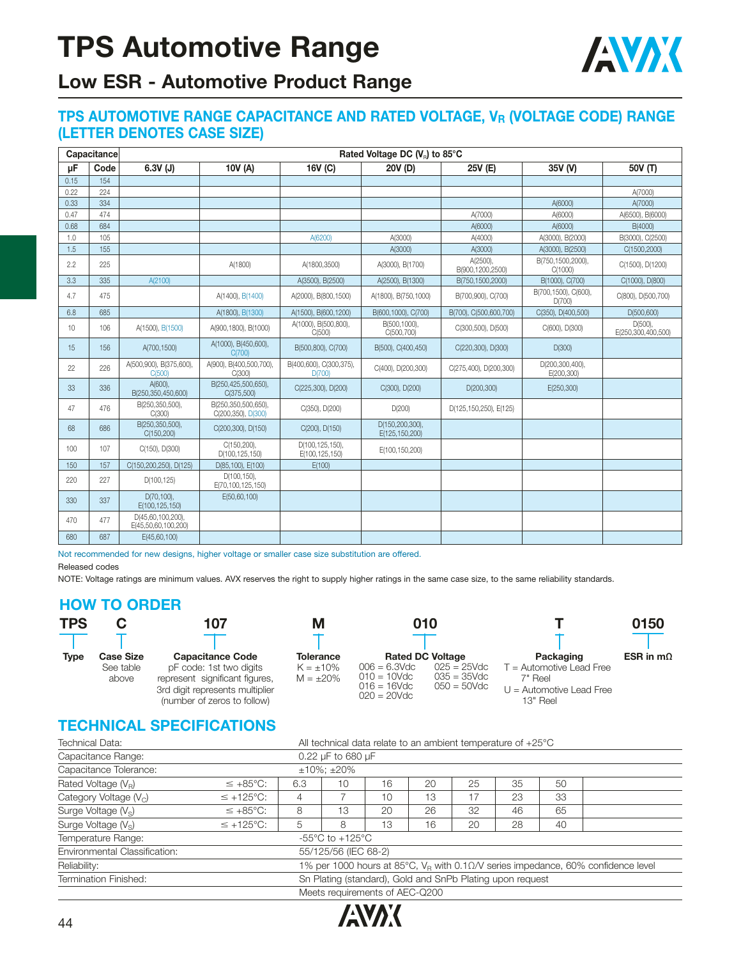

## **Low ESR - Automotive Product Range**

#### **TPS AUTOMOTIVE RANGE CAPACITANCE AND RATED VOLTAGE, VR (VOLTAGE CODE) RANGE (LETTER DENOTES CASE SIZE)**

|      | Capacitance |                                          |                                           |                                   | Rated Voltage DC (V <sub>B</sub> ) to 85°C |                              |                                |                                  |
|------|-------------|------------------------------------------|-------------------------------------------|-----------------------------------|--------------------------------------------|------------------------------|--------------------------------|----------------------------------|
| μF   | Code        | $6.3V$ (J)                               | 10V (A)                                   | 16V (C)                           | 20V (D)                                    | 25V (E)                      | 35V (V)                        | 50V (T)                          |
| 0.15 | 154         |                                          |                                           |                                   |                                            |                              |                                |                                  |
| 0.22 | 224         |                                          |                                           |                                   |                                            |                              |                                | A(7000)                          |
| 0.33 | 334         |                                          |                                           |                                   |                                            |                              | A(6000)                        | A(7000)                          |
| 0.47 | 474         |                                          |                                           |                                   |                                            | A(7000)                      | A(6000)                        | A(6500), B(6000)                 |
| 0.68 | 684         |                                          |                                           |                                   |                                            | A(6000)                      | A(6000)                        | B(4000)                          |
| 1.0  | 105         |                                          |                                           | A(6200)                           | A(3000)                                    | A(4000)                      | A(3000), B(2000)               | B(3000), C(2500)                 |
| 1.5  | 155         |                                          |                                           |                                   | A(3000)                                    | A(3000)                      | A(3000), B(2500)               | C(1500,2000)                     |
| 2.2  | 225         |                                          | A(1800)                                   | A(1800,3500)                      | A(3000), B(1700)                           | A(2500),<br>B(900.1200.2500) | B(750,1500,2000),<br>C(1000)   | C(1500), D(1200)                 |
| 3.3  | 335         | A(2100)                                  |                                           | A(3500), B(2500)                  | A(2500), B(1300)                           | B(750,1500,2000)             | B(1000), C(700)                | C(1000), D(800)                  |
| 4.7  | 475         |                                          | A(1400), B(1400)                          | A(2000), B(800,1500)              | A(1800), B(750, 1000)                      | B(700,900), C(700)           | B(700,1500), C(600),<br>D(700) | C(800), D(500,700)               |
| 6.8  | 685         |                                          | A(1800), B(1300)                          | A(1500), B(600, 1200)             | B(600,1000), C(700)                        | B(700), C(500,600,700)       | C(350), D(400,500)             | D(500,600)                       |
| 10   | 106         | A(1500), B(1500)                         | A(900,1800), B(1000)                      | A(1000), B(500,800),<br>C(500)    | B(500,1000),<br>C(500,700)                 | C(300,500), D(500)           | C(600), D(300)                 | $D(500)$ ,<br>E(250,300,400,500) |
| 15   | 156         | A(700,1500)                              | A(1000), B(450,600),<br>C(700)            | B(500,800), C(700)                | B(500), C(400, 450)                        | C(220,300), D(300)           | D(300)                         |                                  |
| 22   | 226         | A(500,900), B(375,600),<br>C(500)        | A(900), B(400,500,700),<br>C(300)         | B(400,600), C(300,375),<br>D(700) | C(400), D(200,300)                         | C(275,400), D(200,300)       | D(200,300,400),<br>E(200,300)  |                                  |
| 33   | 336         | $A(600)$ ,<br>B(250.350.450.600)         | B(250,425,500,650),<br>C(375,500)         | C(225,300), D(200)                | C(300), D(200)                             | D(200,300)                   | E(250,300)                     |                                  |
| 47   | 476         | B(250,350,500),<br>C(300)                | B(250,350,500,650),<br>C(200,350), D(300) | C(350), D(200)                    | D(200)                                     | D(125, 150, 250), E(125)     |                                |                                  |
| 68   | 686         | B(250,350,500),<br>C(150, 200)           | C(200,300), D(150)                        | C(200), D(150)                    | D(150,200,300),<br>E(125,150,200)          |                              |                                |                                  |
| 100  | 107         | C(150), D(300)                           | C(150,200),<br>D(100,125,150)             | D(100,125,150),<br>E(100,125,150) | E(100,150,200)                             |                              |                                |                                  |
| 150  | 157         | C(150,200,250), D(125)                   | D(85,100), E(100)                         | E(100)                            |                                            |                              |                                |                                  |
| 220  | 227         | D(100, 125)                              | $D(100, 150)$ ,<br>E(70,100,125,150)      |                                   |                                            |                              |                                |                                  |
| 330  | 337         | $D(70, 100)$ ,<br>E(100,125,150)         | E(50,60,100)                              |                                   |                                            |                              |                                |                                  |
| 470  | 477         | D(45.60.100.200).<br>E(45,50,60,100,200) |                                           |                                   |                                            |                              |                                |                                  |
| 680  | 687         | E(45,60,100)                             |                                           |                                   |                                            |                              |                                |                                  |

Not recommended for new designs, higher voltage or smaller case size substitution are offered.

Released codes

NOTE: Voltage ratings are minimum values. AVX reserves the right to supply higher ratings in the same case size, to the same reliability standards.

#### **HOW TO ORDER**

| <b>TPS</b> |                                        | 107                                                                                                                                                    |                                                      | 010                                                                                              |                                                    |                                                                                              | 0150             |
|------------|----------------------------------------|--------------------------------------------------------------------------------------------------------------------------------------------------------|------------------------------------------------------|--------------------------------------------------------------------------------------------------|----------------------------------------------------|----------------------------------------------------------------------------------------------|------------------|
| Type       | <b>Case Size</b><br>See table<br>above | <b>Capacitance Code</b><br>pF code: 1st two digits<br>represent significant figures,<br>3rd digit represents multiplier<br>(number of zeros to follow) | <b>Tolerance</b><br>$K = \pm 10\%$<br>$M = \pm 20\%$ | <b>Rated DC Voltage</b><br>$006 = 6.3$ Vdc<br>$010 = 10$ Vdc<br>$016 = 16$ Vdc<br>$020 = 20$ Vdc | $025 = 25$ Vdc<br>$035 = 35$ Vdc<br>$050 = 50$ Vdc | Packaging<br>$T =$ Automotive Lead Free<br>7" Reel<br>$U =$ Automotive Lead Free<br>13" Reel | ESR in $m\Omega$ |

### **TECHNICAL SPECIFICATIONS**

| Technical Data:                 | All technical data relate to an ambient temperature of $+25^{\circ}$ C |                |                                       |    |    |    |    |    |                                                                                              |  |  |  |
|---------------------------------|------------------------------------------------------------------------|----------------|---------------------------------------|----|----|----|----|----|----------------------------------------------------------------------------------------------|--|--|--|
| Capacitance Range:              |                                                                        |                | 0.22 $\mu$ F to 680 $\mu$ F           |    |    |    |    |    |                                                                                              |  |  |  |
| Capacitance Tolerance:          |                                                                        | $±10\%; ±20\%$ |                                       |    |    |    |    |    |                                                                                              |  |  |  |
| Rated Voltage $(V_R)$           | $\leq +85^{\circ}C$ :                                                  | 6.3            | 10                                    | 16 | 20 | 25 | 35 | 50 |                                                                                              |  |  |  |
| Category Voltage $(V_C)$        | $\leq$ +125°C:                                                         | 4              |                                       | 10 | 13 | 17 | 23 | 33 |                                                                                              |  |  |  |
| Surge Voltage (V <sub>s</sub> ) | $\leq +85^{\circ}$ C:                                                  | 8              | 13                                    | 20 | 26 | 32 | 46 | 65 |                                                                                              |  |  |  |
| Surge Voltage $(V_s)$           | $\leq$ +125°C:                                                         | 5              | 8                                     | 13 | 16 | 20 | 28 | 40 |                                                                                              |  |  |  |
| Temperature Range:              |                                                                        |                | -55 $^{\circ}$ C to +125 $^{\circ}$ C |    |    |    |    |    |                                                                                              |  |  |  |
| Environmental Classification:   |                                                                        |                | 55/125/56 (IEC 68-2)                  |    |    |    |    |    |                                                                                              |  |  |  |
| Reliability:                    |                                                                        |                |                                       |    |    |    |    |    | 1% per 1000 hours at 85°C, $V_R$ with 0.1 $\Omega$ /V series impedance, 60% confidence level |  |  |  |
| Termination Finished:           | Sn Plating (standard), Gold and SnPb Plating upon request              |                |                                       |    |    |    |    |    |                                                                                              |  |  |  |
| Meets requirements of AEC-Q200  |                                                                        |                |                                       |    |    |    |    |    |                                                                                              |  |  |  |

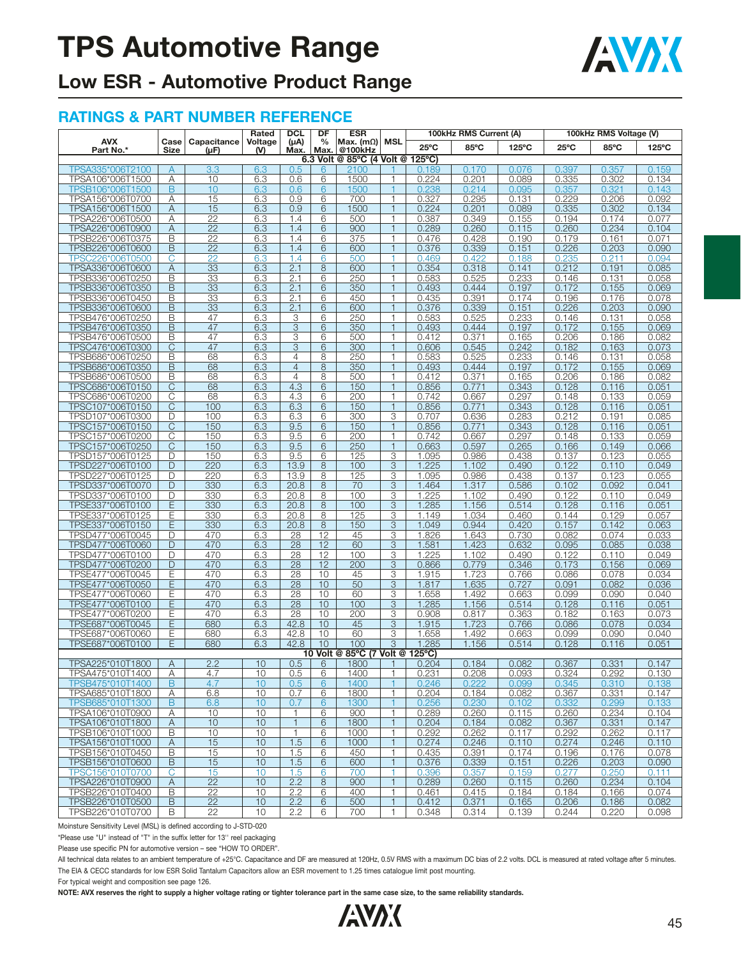

## **Low ESR - Automotive Product Range**

#### **RATINGS & PART NUMBER REFERENCE**

|                                      |                     |                     | Rated          | <b>DCL</b>        | DF            | <b>ESR</b>                          | MSL               |                | 100kHz RMS Current (A) |                 |                | 100kHz RMS Voltage (V) |                 |
|--------------------------------------|---------------------|---------------------|----------------|-------------------|---------------|-------------------------------------|-------------------|----------------|------------------------|-----------------|----------------|------------------------|-----------------|
| <b>AVX</b><br>Part No.*              | Case<br><b>Size</b> | Capacitance<br>(µF) | Voltage<br>(V) | (µA)<br>Max.      | $\frac{0}{0}$ | Max. $(m\Omega)$<br>@100kHz<br>Max. |                   | $25^{\circ}$ C | 85°C                   | $125^{\circ}$ C | $25^{\circ}$ C | 85°C                   | $125^{\circ}$ C |
|                                      |                     |                     |                |                   |               | 6.3 Volt @ 85°C (4 Volt @ 125°C)    |                   |                |                        |                 |                |                        |                 |
| TPSA335*006T2100                     | $\mathsf{A}$        | 3.3                 | 6.3            | 0.5               | 6             | 2100                                |                   | 0.189          | 0.170                  | 0.076           | 0.397          | 0.357                  | 0.159           |
| TPSA106*006T1500                     | Α                   | 10                  | 6.3            | 0.6               | 6             | 1500                                | 1                 | 0.224          | 0.201                  | 0.089           | 0.335          | 0.302                  | 0.134           |
| TPSB106*006T1500                     | B                   | 10                  | 6.3            | 0.6               | 6             | 1500                                | 1                 | 0.238          | 0.214                  | 0.095           | 0.357          | 0.321                  | 0.143           |
| TPSA156*006T0700<br>TPSA156*006T1500 | Α<br>Α              | 15<br>15            | 6.3<br>6.3     | 0.9<br>0.9        | 6<br>6        | 700<br>1500                         | 1<br>$\mathbf{1}$ | 0.327<br>0.224 | 0.295<br>0.201         | 0.131<br>0.089  | 0.229<br>0.335 | 0.206<br>0.302         | 0.092<br>0.134  |
| TPSA226*006T0500                     | Α                   | 22                  | 6.3            | 1.4               | 6             | 500                                 | $\mathbf{1}$      | 0.387          | 0.349                  | 0.155           | 0.194          | 0.174                  | 0.077           |
| TPSA226*006T0900                     | A                   | $\overline{22}$     | 6.3            | 1.4               | 6             | 900                                 | $\mathbf{1}$      | 0.289          | 0.260                  | 0.115           | 0.260          | 0.234                  | 0.104           |
| TPSB226*006T0375                     | B                   | $\overline{22}$     | 6.3            | 1.4               | 6             | 375                                 | 1                 | 0.476          | 0.428                  | 0.190           | 0.179          | 0.161                  | 0.071           |
| TPSB226*006T0600                     | B                   | $\overline{22}$     | 6.3            | 1.4               | 6             | 600                                 | $\mathbf{1}$      | 0.376          | 0.339                  | 0.151           | 0.226          | 0.203                  | 0.090           |
| TPSC226*006T0500                     | С                   | 22                  | 6.3            | 1.4               | 6             | 500                                 | 1                 | 0.469          | 0.422                  | 0.188           | 0.235          | 0.211                  | 0.094           |
| TPSA336*006T0600                     | A                   | 33                  | 6.3            | 2.1               | 8             | 600                                 | $\mathbf{1}$      | 0.354          | 0.318                  | 0.141           | 0.212          | 0.191                  | 0.085           |
| TPSB336*006T0250                     | B                   | 33                  | 6.3            | 2.1               | 6             | 250                                 | 1                 | 0.583          | 0.525                  | 0.233           | 0.146          | 0.131                  | 0.058           |
| TPSB336*006T0350                     | B                   | 33                  | 6.3            | 2.1               | 6             | 350                                 | $\mathbf{1}$      | 0.493          | 0.444                  | 0.197           | 0.172          | 0.155                  | 0.069           |
| TPSB336*006T0450                     | B                   | 33<br>33            | 6.3            | 2.1               | 6             | 450                                 | 1<br>$\mathbf{1}$ | 0.435          | 0.391                  | 0.174           | 0.196          | 0.176                  | 0.078           |
| TPSB336*006T0600<br>TPSB476*006T0250 | B<br>B              | 47                  | 6.3<br>6.3     | 2.1<br>3          | 6<br>6        | 600<br>250                          | $\mathbf{1}$      | 0.376<br>0.583 | 0.339<br>0.525         | 0.151<br>0.233  | 0.226<br>0.146 | 0.203<br>0.131         | 0.090<br>0.058  |
| TPSB476*006T0350                     | B                   | 47                  | 6.3            | 3                 | 6             | 350                                 | $\mathbf{1}$      | 0.493          | 0.444                  | 0.197           | 0.172          | 0.155                  | 0.069           |
| TPSB476*006T0500                     | В                   | 47                  | 6.3            | 3                 | 6             | 500                                 | 1                 | 0.412          | 0.371                  | 0.165           | 0.206          | 0.186                  | 0.082           |
| TPSC476*006T0300                     | C                   | 47                  | 6.3            | 3                 | 6             | 300                                 | $\mathbf{1}$      | 0.606          | 0.545                  | 0.242           | 0.182          | 0.163                  | 0.073           |
| TPSB686*006T0250                     | В                   | 68                  | 6.3            | $\overline{4}$    | 8             | 250                                 | $\mathbf{1}$      | 0.583          | 0.525                  | 0.233           | 0.146          | 0.131                  | 0.058           |
| TPSB686*006T0350                     | B                   | 68                  | 6.3            | $\overline{4}$    | 8             | 350                                 | $\mathbf{1}$      | 0.493          | 0.444                  | 0.197           | 0.172          | 0.155                  | 0.069           |
| TPSB686*006T0500                     | B                   | 68                  | 6.3            | $\overline{4}$    | 8             | 500                                 | 1                 | 0.412          | 0.371                  | 0.165           | 0.206          | 0.186                  | 0.082           |
| TPSC686*006T0150                     | C                   | 68                  | 6.3            | 4.3               | 6             | 150                                 | $\mathbf{1}$      | 0.856          | 0.771                  | 0.343           | 0.128          | 0.116                  | 0.051           |
| TPSC686*006T0200                     | C                   | 68                  | 6.3            | 4.3               | 6             | 200                                 | 1                 | 0.742          | 0.667                  | 0.297           | 0.148          | 0.133                  | 0.059           |
| TPSC107*006T0150                     | C                   | 100                 | 6.3            | 6.3               | 6             | 150                                 | $\mathbf{1}$      | 0.856          | 0.771                  | 0.343           | 0.128          | 0.116                  | 0.051           |
| TPSD107*006T0300<br>TPSC157*006T0150 | D<br>C              | 100<br>150          | 6.3<br>6.3     | 6.3<br>9.5        | 6<br>6        | 300<br>150                          | 3<br>$\mathbf{1}$ | 0.707<br>0.856 | 0.636<br>0.771         | 0.283<br>0.343  | 0.212<br>0.128 | 0.191<br>0.116         | 0.085<br>0.051  |
| TPSC157*006T0200                     | C                   | 150                 | 6.3            | 9.5               | 6             | 200                                 | $\mathbf{1}$      | 0.742          | 0.667                  | 0.297           | 0.148          | 0.133                  | 0.059           |
| TPSC157*006T0250                     | С                   | 150                 | 6.3            | 9.5               | 6             | 250                                 | $\mathbf{1}$      | 0.663          | 0.597                  | 0.265           | 0.166          | 0.149                  | 0.066           |
| TPSD157*006T0125                     | D                   | 150                 | 6.3            | 9.5               | 6             | 125                                 | 3                 | 1.095          | 0.986                  | 0.438           | 0.137          | 0.123                  | 0.055           |
| TPSD227*006T0100                     | D                   | 220                 | 6.3            | 13.9              | 8             | 100                                 | 3                 | 1.225          | 1.102                  | 0.490           | 0.122          | 0.110                  | 0.049           |
| TPSD227*006T0125                     | D                   | 220                 | 6.3            | 13.9              | 8             | 125                                 | 3                 | 1.095          | 0.986                  | 0.438           | 0.137          | 0.123                  | 0.055           |
| TPSD337*006T0070                     | D                   | 330                 | 6.3            | 20.8              | 8             | 70                                  | 3                 | 1.464          | 1.317                  | 0.586           | 0.102          | 0.092                  | 0.041           |
| TPSD337*006T0100                     | D                   | 330                 | 6.3            | 20.8              | 8             | 100                                 | 3                 | 1.225          | 1.102                  | 0.490           | 0.122          | 0.110                  | 0.049           |
| TPSE337*006T0100                     | Ē                   | 330                 | 6.3            | 20.8<br>20.8      | 8             | 100                                 | $\overline{3}$    | 1.285          | 1.156                  | 0.514           | 0.128          | 0.116                  | 0.051           |
| TPSE337*006T0125<br>TPSE337*006T0150 | Е<br>E              | 330<br>330          | 6.3<br>6.3     | 20.8              | 8<br>8        | 125<br>150                          | 3<br>3            | 1.149<br>1.049 | 1.034<br>0.944         | 0.460<br>0.420  | 0.144<br>0.157 | 0.129<br>0.142         | 0.057<br>0.063  |
| TPSD477*006T0045                     | D                   | 470                 | 6.3            | 28                | 12            | 45                                  | 3                 | 1.826          | 1.643                  | 0.730           | 0.082          | 0.074                  | 0.033           |
| TPSD477*006T0060                     | D                   | 470                 | 6.3            | $\overline{28}$   | 12            | 60                                  | 3                 | 1.581          | 1.423                  | 0.632           | 0.095          | 0.085                  | 0.038           |
| TPSD477*006T0100                     | D                   | 470                 | 6.3            | 28                | 12            | 100                                 | 3                 | 1.225          | 1.102                  | 0.490           | 0.122          | 0.110                  | 0.049           |
| TPSD477*006T0200                     | D                   | 470                 | 6.3            | 28                | 12            | 200                                 | 3                 | 0.866          | 0.779                  | 0.346           | 0.173          | 0.156                  | 0.069           |
| TPSE477*006T0045                     | Ε                   | 470                 | 6.3            | 28                | 10            | 45                                  | 3                 | 1.915          | 1.723                  | 0.766           | 0.086          | 0.078                  | 0.034           |
| TPSE477*006T0050                     | E                   | 470                 | 6.3            | 28                | 10            | 50                                  | 3                 | 1.817          | 1.635                  | 0.727           | 0.091          | 0.082                  | 0.036           |
| TPSE477*006T0060                     | Ε                   | 470                 | 6.3            | 28                | 10            | 60                                  | 3                 | 1.658          | 1.492                  | 0.663           | 0.099          | 0.090                  | 0.040           |
| TPSE477*006T0100                     | E                   | 470                 | 6.3            | 28                | 10            | 100                                 | 3                 | 1.285          | 1.156                  | 0.514           | 0.128          | 0.116                  | 0.051           |
| TPSE477*006T0200<br>TPSE687*006T0045 | Ε                   | 470                 | 6.3            | 28                | 10            | 200                                 | 3                 | 0.908          | 0.817                  | 0.363           | 0.182          | 0.163                  | 0.073           |
| TPSE687*006T0060                     | Е<br>Е              | 680<br>680          | 6.3<br>6.3     | 42.8<br>42.8      | 10<br>10      | 45<br>60                            | 3<br>3            | 1.915<br>1.658 | 1.723<br>1.492         | 0.766<br>0.663  | 0.086<br>0.099 | 0.078<br>0.090         | 0.034<br>0.040  |
| TPSE687*006T0100                     | E                   | 680                 | 6.3            | 42.8              | 10            | 100                                 | $\overline{3}$    | 1.285          | 1.156                  | 0.514           | 0.128          | 0.116                  | 0.051           |
|                                      |                     |                     |                |                   |               | 10 Volt @ 85°C (7 Volt @ 125°C)     |                   |                |                        |                 |                |                        |                 |
| TPSA225*010T1800                     | A                   | 2.2                 | 10             | 0.5               | 6             | 1800                                |                   | 0.204          | 0.184                  | 0.082           | 0.367          | 0.331                  | 0.147           |
| TPSA475*010T1400                     | Α                   | 4.7                 | 10             | 0.5               | 6             | 1400                                | 1                 | 0.231          | 0.208                  | 0.093           | 0.324          | 0.292                  | 0.130           |
| TPSB475*010T1400                     | B                   | 4.7                 | 10             | 0.5               | 6             | 1400                                | 1                 | 0.246          | 0.222                  | 0.099           | 0.345          | 0.310                  | 0.138           |
| TPSA685*010T1800                     | Α                   | 6.8                 | 10             | 0.7               | 6             | 1800                                | 1                 | 0.204          | 0.184                  | 0.082           | 0.367          | 0.331                  | 0.147           |
| TPSB685*010T1300                     | B                   | 6.8                 | 10             | 0.7               | 6             | 1300                                | 1                 | 0.256          | 0.230                  | 0.102           | 0.332          | 0.299                  | 0.133           |
| TPSA106*010T0900                     | Α                   | 10                  | 10             | $\mathbf{1}$      | 6             | 900                                 | $\mathbf{1}$      | 0.289          | 0.260                  | 0.115           | 0.260          | 0.234                  | 0.104           |
| TPSA106*010T1800<br>TPSB106*010T1000 | A<br>B              | 10<br>10            | 10<br>10       | $\mathbf{1}$<br>1 | 6<br>6        | 1800<br>1000                        | 1<br>$\mathbf{1}$ | 0.204<br>0.292 | 0.184<br>0.262         | 0.082<br>0.117  | 0.367<br>0.292 | 0.331<br>0.262         | 0.147<br>0.117  |
| TPSA156*010T1000                     | Α                   | 15                  | 10             | 1.5               | 6             | 1000                                | $\mathbf{1}$      | 0.274          | 0.246                  | 0.110           | 0.274          | 0.246                  | 0.110           |
| TPSB156*010T0450                     | B                   | 15                  | 10             | 1.5               | 6             | 450                                 | $\mathbf{1}$      | 0.435          | 0.391                  | 0.174           | 0.196          | 0.176                  | 0.078           |
| TPSB156*010T0600                     | B                   | 15                  | 10             | 1.5               | 6             | 600                                 | $\mathbf{1}$      | 0.376          | 0.339                  | 0.151           | 0.226          | 0.203                  | 0.090           |
| TPSC156*010T0700                     | С                   | 15                  | 10             | 1.5               | 6             | 700                                 |                   | 0.396          | 0.357                  | 0.159           | 0.277          | 0.250                  | 0.111           |
| TPSA226*010T0900                     | Α                   | 22                  | 10             | 2.2               | 8             | 900                                 | $\mathbf{1}$      | 0.289          | 0.260                  | 0.115           | 0.260          | 0.234                  | 0.104           |
| TPSB226*010T0400                     | B                   | 22                  | 10             | 2.2               | 6             | 400                                 | $\mathbf{1}$      | 0.461          | 0.415                  | 0.184           | 0.184          | 0.166                  | 0.074           |
| TPSB226*010T0500                     | B                   | 22                  | 10             | 2.2               | 6             | 500                                 | 1                 | 0.412          | 0.371                  | 0.165           | 0.206          | 0.186                  | 0.082           |
| TPSB226*010T0700                     | B                   | 22                  | 10             | 2.2               | 6             | 700                                 | $\mathbf{1}$      | 0.348          | 0.314                  | 0.139           | 0.244          | 0.220                  | 0.098           |

Moinsture Sensitivity Level (MSL) is defined according to J-STD-020

\*Please use "U" instead of "T" in the suffix letter for 13'' reel packaging

Please use specific PN for automotive version – see "HOW TO ORDER".

All technical data relates to an ambient temperature of +25°C. Capacitance and DF are measured at 120Hz, 0.5V RMS with a maximum DC bias of 2.2 volts. DCL is measured at rated voltage after 5 minutes. The EIA & CECC standards for low ESR Solid Tantalum Capacitors allow an ESR movement to 1.25 times catalogue limit post mounting.

For typical weight and composition see page 126.

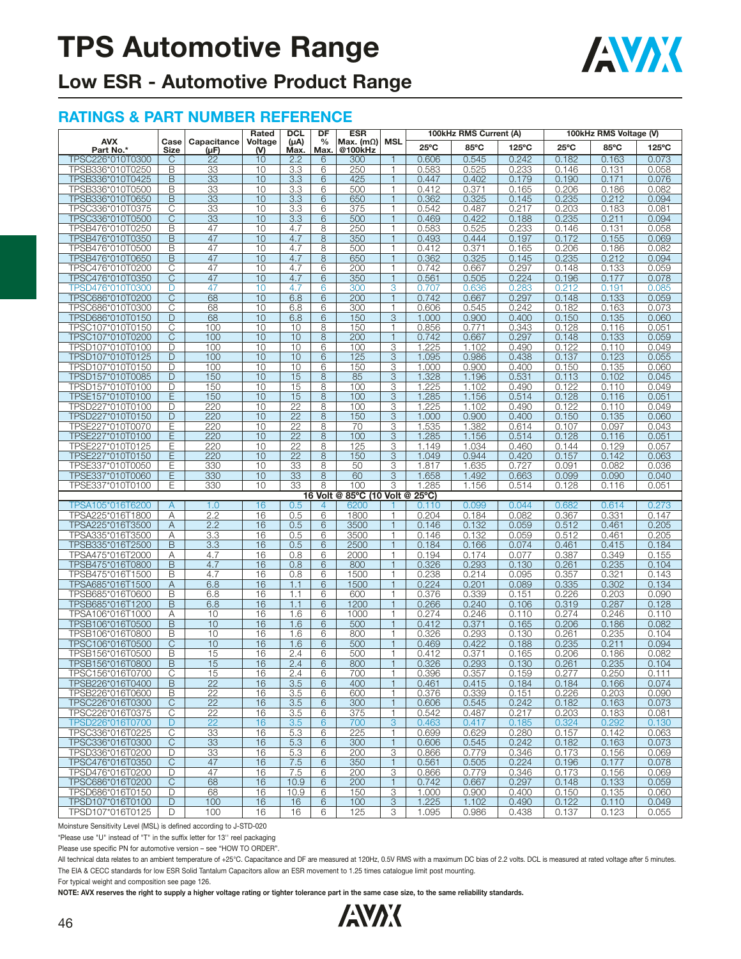

## **Low ESR - Automotive Product Range**

#### **RATINGS & PART NUMBER REFERENCE**

|                                      |                |                     | Rated          | <b>DCL</b>            | DF                    | <b>ESR</b>                      |                              | 100kHz RMS Current (A)<br>100kHz RMS Voltage (V) |                |                 |                |                |                 |
|--------------------------------------|----------------|---------------------|----------------|-----------------------|-----------------------|---------------------------------|------------------------------|--------------------------------------------------|----------------|-----------------|----------------|----------------|-----------------|
| <b>AVX</b><br>Part No.*              | Case<br>Size   | Capacitance<br>(µF) | Voltage<br>(V) | $(\mu A)$<br>Max.     | $\frac{0}{0}$<br>Max. | Max. $(m\Omega)$<br>@100kHz     | <b>MSL</b>                   | $25^{\circ}$ C                                   | 85°C           | $125^{\circ}$ C | $25^{\circ}$ C | 85°C           | $125^{\circ}$ C |
| TPSC226*010T0300                     | C              | $\overline{22}$     | 10             | 2.2                   | 6                     | 300                             | $\mathbf{1}$                 | 0.606                                            | 0.545          | 0.242           | 0.182          | 0.163          | 0.073           |
| TPSB336*010T0250                     | B              | 33                  | 10             | 3.3                   | 6                     | 250                             | 1                            | 0.583                                            | 0.525          | 0.233           | 0.146          | 0.131          | 0.058           |
| TPSB336*010T0425                     | B              | 33                  | 10             | 3.3                   | 6                     | 425                             | $\mathbf{1}$                 | 0.447                                            | 0.402          | 0.179           | 0.190          | 0.171          | 0.076           |
| TPSB336*010T0500                     | B              | 33                  | 10             | 3.3                   | 6                     | 500                             | $\mathbf{1}$                 | 0.412                                            | 0.371          | 0.165           | 0.206          | 0.186          | 0.082           |
| TPSB336*010T0650                     | B              | 33                  | 10             | 3.3                   | 6                     | 650                             | $\mathbf{1}$                 | 0.362                                            | 0.325          | 0.145           | 0.235          | 0.212          | 0.094           |
| TPSC336*010T0375                     | С              | 33                  | 10             | 3.3                   | 6                     | 375                             | 1<br>۹                       | 0.542                                            | 0.487          | 0.217           | 0.203          | 0.183          | 0.081           |
| TPSC336*010T0500                     | C<br>B         | 33<br>47            | 10<br>10       | 3.3<br>4.7            | 6<br>8                | 500<br>250                      | 1                            | 0.469<br>0.583                                   | 0.422<br>0.525 | 0.188<br>0.233  | 0.235          | 0.211          | 0.094<br>0.058  |
| TPSB476*010T0250<br>TPSB476*010T0350 | B              | 47                  | 10             | 4.7                   | 8                     | 350                             | 1                            | 0.493                                            | 0.444          | 0.197           | 0.146<br>0.172 | 0.131<br>0.155 | 0.069           |
| TPSB476*010T0500                     | B              | 47                  | 10             | 4.7                   | 8                     | 500                             | 1                            | 0.412                                            | 0.371          | 0.165           | 0.206          | 0.186          | 0.082           |
| TPSB476*010T0650                     | B              | 47                  | 10             | 4.7                   | 8                     | 650                             | $\mathbf{1}$                 | 0.362                                            | 0.325          | 0.145           | 0.235          | 0.212          | 0.094           |
| TPSC476*010T0200                     | C              | 47                  | 10             | 4.7                   | 6                     | 200                             | 1                            | 0.742                                            | 0.667          | 0.297           | 0.148          | 0.133          | 0.059           |
| TPSC476*010T0350                     | C              | 47                  | 10             | 4.7                   | 6                     | 350                             | $\mathbf{1}$                 | 0.561                                            | 0.505          | 0.224           | 0.196          | 0.177          | 0.078           |
| TPSD476*010T0300                     | D              | 47                  | 10             | 4.7                   | 6                     | 300                             | 3                            | 0.707                                            | 0.636          | 0.283           | 0.212          | 0.191          | 0.085           |
| TPSC686*010T0200                     | C              | 68                  | 10             | 6.8                   | 6                     | 200                             | $\mathbf{1}$                 | 0.742                                            | 0.667          | 0.297           | 0.148          | 0.133          | 0.059           |
| TPSC686*010T0300                     | C              | 68                  | 10             | 6.8                   | 6                     | 300                             | $\mathbf{1}$                 | 0.606                                            | 0.545          | 0.242           | 0.182          | 0.163          | 0.073           |
| TPSD686*010T0150                     | D              | 68                  | 10             | 6.8                   | 6                     | 150                             | 3                            | 1.000                                            | 0.900          | 0.400           | 0.150          | 0.135          | 0.060           |
| TPSC107*010T0150                     | C              | 100                 | 10             | 10                    | 8                     | 150                             | 1                            | 0.856                                            | 0.771          | 0.343           | 0.128          | 0.116          | 0.051           |
| TPSC107*010T0200<br>TPSD107*010T0100 | C<br>D         | 100<br>100          | 10<br>10       | 10<br>10              | 8<br>6                | 200<br>100                      | $\mathbf{1}$<br>3            | 0.742<br>1.225                                   | 0.667<br>1.102 | 0.297<br>0.490  | 0.148<br>0.122 | 0.133<br>0.110 | 0.059<br>0.049  |
| TPSD107*010T0125                     | D              | 100                 | 10             | 10                    | 6                     | 125                             | 3                            | 1.095                                            | 0.986          | 0.438           | 0.137          | 0.123          | 0.055           |
| TPSD107*010T0150                     | D              | 100                 | 10             | 10                    | 6                     | 150                             | 3                            | 1.000                                            | 0.900          | 0.400           | 0.150          | 0.135          | 0.060           |
| TPSD157*010T0085                     | D              | 150                 | 10             | 15                    | $\overline{8}$        | 85                              | $\overline{3}$               | 1.328                                            | 1.196          | 0.531           | 0.113          | 0.102          | 0.045           |
| TPSD157*010T0100                     | D              | 150                 | 10             | 15                    | 8                     | 100                             | 3                            | 1.225                                            | 1.102          | 0.490           | 0.122          | 0.110          | 0.049           |
| TPSE157*010T0100                     | Ε              | 150                 | 10             | 15                    | 8                     | 100                             | 3                            | 1.285                                            | 1.156          | 0.514           | 0.128          | 0.116          | 0.051           |
| TPSD227*010T0100                     | D              | 220                 | 10             | 22                    | 8                     | 100                             | 3                            | 1.225                                            | 1.102          | 0.490           | 0.122          | 0.110          | 0.049           |
| TPSD227*010T0150                     | D              | 220                 | 10             | $\overline{22}$       | 8                     | 150                             | 3                            | 1.000                                            | 0.900          | 0.400           | 0.150          | 0.135          | 0.060           |
| TPSE227*010T0070                     | Ε              | 220                 | 10             | 22                    | 8                     | 70                              | 3                            | 1.535                                            | 1.382          | 0.614           | 0.107          | 0.097          | 0.043           |
| TPSE227*010T0100                     | E              | 220                 | 10             | $\overline{22}$       | 8                     | 100                             | 3                            | 1.285                                            | 1.156          | 0.514           | 0.128          | 0.116          | 0.051           |
| TPSE227*010T0125                     | Ε              | 220                 | 10             | 22                    | 8                     | 125                             | 3                            | 1.149                                            | 1.034          | 0.460           | 0.144          | 0.129          | 0.057           |
| TPSE227*010T0150<br>TPSE337*010T0050 | Ε<br>Ε         | 220<br>330          | 10<br>10       | 22<br>$\overline{33}$ | 8<br>8                | 150<br>50                       | 3<br>3                       | 1.049<br>1.817                                   | 0.944<br>1.635 | 0.420<br>0.727  | 0.157<br>0.091 | 0.142<br>0.082 | 0.063<br>0.036  |
| TPSE337*010T0060                     | Ε              | 330                 | 10             | 33                    | 8                     | 60                              | 3                            | 1.658                                            | 1.492          | 0.663           | 0.099          | 0.090          | 0.040           |
| TPSE337*010T0100                     | Ε              | 330                 | 10             | 33                    | 8                     | 100                             | 3                            | 1.285                                            | 1.156          | 0.514           | 0.128          | 0.116          | 0.051           |
|                                      |                |                     |                |                       |                       | 16 Volt @ 85°C (10 Volt @ 25°C) |                              |                                                  |                |                 |                |                |                 |
| TPSA105*016T6200                     | A              | 1.0                 | 16             | 0.5                   | 4                     | 6200                            |                              | 0.110                                            | 0.099          | 0.044           | 0.682          | 0.614          | 0.273           |
| TPSA225*016T1800                     | Α              | 2.2                 | 16             | 0.5                   | 6                     | 1800                            | 1                            | 0.204                                            | 0.184          | 0.082           | 0.367          | 0.331          | 0.147           |
| TPSA225*016T3500                     | Α              | 2.2                 | 16             | 0.5                   | 6                     | 3500                            | $\mathbf{1}$                 | 0.146                                            | 0.132          | 0.059           | 0.512          | 0.461          | 0.205           |
| TPSA335*016T3500                     | Α              | 3.3                 | 16             | 0.5                   | 6                     | 3500                            | 1                            | 0.146                                            | 0.132          | 0.059           | 0.512          | 0.461          | 0.205           |
| TPSB335*016T2500                     | B              | 3.3                 | 16             | 0.5                   | 6                     | 2500                            | $\mathbf{1}$                 | 0.184                                            | 0.166          | 0.074           | 0.461          | 0.415          | 0.184           |
| TPSA475*016T2000                     | Α              | 4.7                 | 16             | 0.8                   | 6                     | 2000                            | 1                            | 0.194                                            | 0.174          | 0.077           | 0.387          | 0.349          | 0.155           |
| TPSB475*016T0800<br>TPSB475*016T1500 | B<br>B         | 4.7<br>4.7          | 16<br>16       | 0.8<br>0.8            | 6<br>6                | 800<br>1500                     | $\mathbf{1}$<br>$\mathbf{1}$ | 0.326                                            | 0.293<br>0.214 | 0.130<br>0.095  | 0.261          | 0.235<br>0.321 | 0.104<br>0.143  |
| TPSA685*016T1500                     | $\overline{A}$ | 6.8                 | 16             | 1.1                   | 6                     | 1500                            | $\mathbf{1}$                 | 0.238<br>0.224                                   | 0.201          | 0.089           | 0.357<br>0.335 | 0.302          | 0.134           |
| TPSB685*016T0600                     | B              | 6.8                 | 16             | 1.1                   | 6                     | 600                             | 1                            | 0.376                                            | 0.339          | 0.151           | 0.226          | 0.203          | 0.090           |
| TPSB685*016T1200                     | B              | 6.8                 | 16             | 1.1                   | 6                     | 1200                            | $\mathbf{1}$                 | 0.266                                            | 0.240          | 0.106           | 0.319          | 0.287          | 0.128           |
| TPSA106*016T1000                     | Α              | 10                  | 16             | 1.6                   | 6                     | 1000                            | $\mathbf{1}$                 | 0.274                                            | 0.246          | 0.110           | 0.274          | 0.246          | 0.110           |
| TPSB106*016T0500                     | B              | 10                  | 16             | 1.6                   | 6                     | 500                             | $\mathbf{1}$                 | 0.412                                            | 0.371          | 0.165           | 0.206          | 0.186          | 0.082           |
| TPSB106*016T0800                     | B              | 10                  | 16             | 1.6                   | 6                     | 800                             | 1                            | 0.326                                            | 0.293          | 0.130           | 0.261          | 0.235          | 0.104           |
| TPSC106*016T0500                     | C              | 10                  | 16             | 1.6                   | 6                     | 500                             |                              | 0.469                                            | 0.422          | 0.188           | 0.235          | 0.211          | 0.094           |
| TPSB156*016T0500                     | B              | 15                  | 16             | 2.4                   | 6                     | 500                             | 1                            | 0.412                                            | 0.371          | 0.165           | 0.206          | 0.186          | 0.082           |
| TPSB156*016T0800                     | B              | 15                  | 16             | 2.4                   | 6                     | 800                             | $\mathbf{1}$                 | 0.326                                            | 0.293          | 0.130           | 0.261          | 0.235          | 0.104           |
| IPSC156^01610700                     | U              | 15                  | 16             | 2.4                   | ь                     | 7 UU                            |                              | 0.396                                            | U.357          | U.159           | 0.211          | <b>0.250</b>   | 0.111           |
| TPSB226*016T0400<br>TPSB226*016T0600 | B<br>B         | 22<br>22            | 16<br>16       | 3.5<br>3.5            | 6<br>6                | 400<br>600                      | $\mathbf{1}$<br>$\mathbf{1}$ | 0.461<br>0.376                                   | 0.415<br>0.339 | 0.184<br>0.151  | 0.184<br>0.226 | 0.166<br>0.203 | 0.074<br>0.090  |
| TPSC226*016T0300                     | C              | 22                  | 16             | 3.5                   | 6                     | 300                             | $\mathbf{1}$                 | 0.606                                            | 0.545          | 0.242           | 0.182          | 0.163          | 0.073           |
| TPSC226*016T0375                     | С              | 22                  | 16             | 3.5                   | 6                     | 375                             | $\mathbf{1}$                 | 0.542                                            | 0.487          | 0.217           | 0.203          | 0.183          | 0.081           |
| TPSD226*016T0700                     | D              | 22                  | 16             | 3.5                   | 6                     | 700                             | $\sqrt{3}$                   | 0.463                                            | 0.417          | 0.185           | 0.324          | 0.292          | 0.130           |
| TPSC336*016T0225                     | C              | 33                  | 16             | 5.3                   | 6                     | 225                             | $\mathbf{1}$                 | 0.699                                            | 0.629          | 0.280           | 0.157          | 0.142          | 0.063           |
| TPSC336*016T0300                     | $\mathsf{C}$   | 33                  | 16             | 5.3                   | 6                     | 300                             | $\mathbf{1}$                 | 0.606                                            | 0.545          | 0.242           | 0.182          | 0.163          | 0.073           |
| TPSD336*016T0200                     | D              | 33                  | 16             | 5.3                   | 6                     | 200                             | 3                            | 0.866                                            | 0.779          | 0.346           | 0.173          | 0.156          | 0.069           |
| TPSC476*016T0350                     | C              | 47                  | 16             | 7.5                   | 6                     | 350                             | $\mathbf{1}$                 | 0.561                                            | 0.505          | 0.224           | 0.196          | 0.177          | 0.078           |
| TPSD476*016T0200                     | D              | 47                  | 16             | 7.5                   | 6                     | 200                             | 3                            | 0.866                                            | 0.779          | 0.346           | 0.173          | 0.156          | 0.069           |
| TPSC686*016T0200                     | C              | 68                  | 16             | 10.9                  | 6                     | 200                             | 1                            | 0.742                                            | 0.667          | 0.297           | 0.148          | 0.133          | 0.059           |
| TPSD686*016T0150                     | D              | 68                  | 16             | 10.9                  | 6                     | 150                             | 3                            | 1.000                                            | 0.900          | 0.400           | 0.150          | 0.135          | 0.060           |
| TPSD107*016T0100<br>TPSD107*016T0125 | D<br>D         | 100<br>100          | 16<br>16       | 16<br>16              | 6<br>6                | 100<br>125                      | 3<br>3                       | 1.225                                            | 1.102          | 0.490           | 0.122          | 0.110          | 0.049           |
|                                      |                |                     |                |                       |                       |                                 |                              | 1.095                                            | 0.986          | 0.438           | 0.137          | 0.123          | 0.055           |

Moinsture Sensitivity Level (MSL) is defined according to J-STD-020

\*Please use "U" instead of "T" in the suffix letter for 13'' reel packaging

Please use specific PN for automotive version – see "HOW TO ORDER".

All technical data relates to an ambient temperature of +25°C. Capacitance and DF are measured at 120Hz, 0.5V RMS with a maximum DC bias of 2.2 volts. DCL is measured at rated voltage after 5 minutes. The EIA & CECC standards for low ESR Solid Tantalum Capacitors allow an ESR movement to 1.25 times catalogue limit post mounting.

For typical weight and composition see page 126.

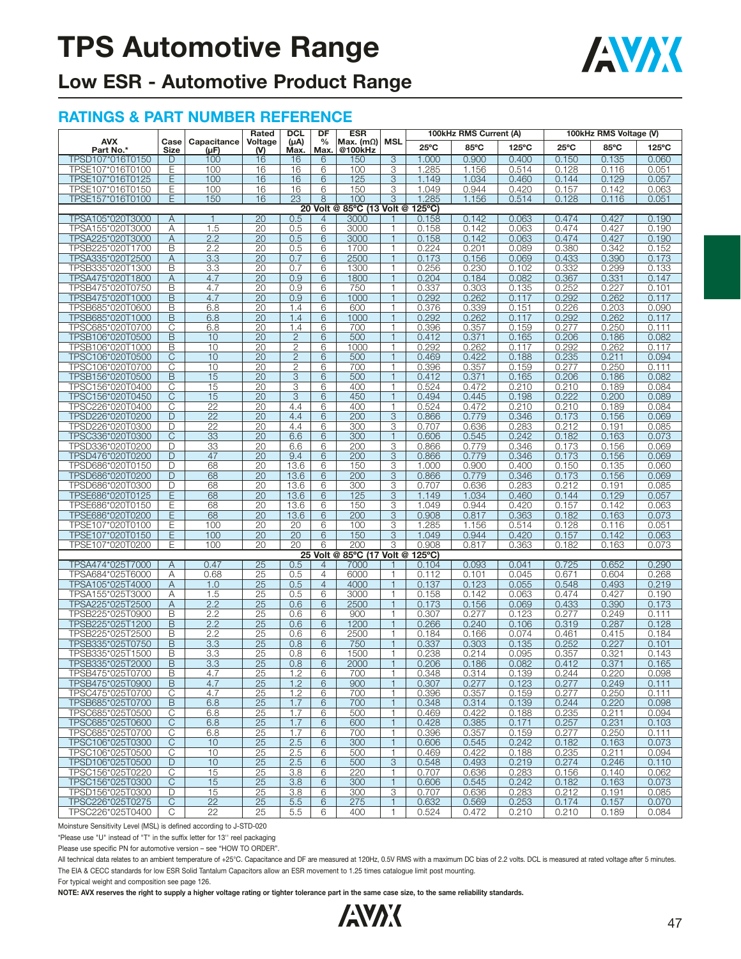

## **Low ESR - Automotive Product Range**

#### **RATINGS & PART NUMBER REFERENCE**

| $25^{\circ}$ C<br>85°C<br>125°C<br>$25^{\circ}$ C<br>85°C<br>125°C<br>Part No.*<br>Max.<br>@100kHz<br>Size<br>(V)<br>Max.<br>$(\mu F)$<br>TPSD107*016T0150<br>100<br>16<br>150<br>3<br>1.000<br>0.900<br>0.400<br>0.150<br>0.135<br>0.060<br>16<br>D<br>6<br>Ε<br>100<br>16<br>16<br>6<br>100<br>3<br>1.285<br>1.156<br>0.514<br>0.128<br>0.116<br>0.051<br>TPSE107*016T0100<br>TPSE107*016T0125<br>Ε<br>100<br>16<br>16<br>6<br>125<br>3<br>1.149<br>1.034<br>0.460<br>0.144<br>0.129<br>0.057<br>TPSE107*016T0150<br>150<br>3<br>0.944<br>0.420<br>0.063<br>Ε<br>100<br>16<br>16<br>6<br>1.049<br>0.157<br>0.142<br>TPSE157*016T0100<br>Е<br>150<br>16<br>23<br>8<br>100<br>3<br>1.285<br>1.156<br>0.514<br>0.051<br>0.128<br>0.116<br>20 Volt @ 85°C (13 Volt @<br>$125^{\circ}$ C)<br>20<br>0.5<br>0.142<br>0.063<br>0.474<br>0.427<br>0.190<br>TPSA105*020T3000<br>A<br>3000<br>0.158<br>1<br>4<br>1.5<br>$\overline{20}$<br>TPSA155*020T3000<br>0.5<br>6<br>3000<br>0.142<br>0.063<br>0.474<br>0.427<br>0.190<br>Α<br>0.158<br>TPSA225*020T3000<br>A<br>2.2<br>20<br>0.5<br>6<br>3000<br>0.142<br>0.063<br>0.474<br>0.427<br>0.190<br>$\overline{1}$<br>0.158<br>B<br>2.2<br>20<br>$0.\overline{5}$<br>1700<br>0.201<br>0.380<br>TPSB225*020T1700<br>6<br>$\mathbf{1}$<br>0.224<br>0.089<br>0.342<br>0.152<br>2500<br>3.3<br>20<br>0.7<br>0.433<br>0.173<br>TPSA335*020T2500<br>Α<br>6<br>0.173<br>0.156<br>0.069<br>0.390<br>1<br>TPSB335*020T1300<br>B<br>3.3<br>20<br>0.7<br>6<br>1300<br>$\overline{1}$<br>0.256<br>0.230<br>0.102<br>0.332<br>0.299<br>0.133<br>$\overline{20}$<br>0.9<br>A<br>4.7<br>6<br>1800<br>$\mathbf{1}$<br>0.082<br>0.367<br>0.331<br>0.147<br>TPSA475*020T1800<br>0.204<br>0.184<br>TPSB475*020T0750<br>B<br>4.7<br>20<br>0.9<br>750<br>0.337<br>0.303<br>0.252<br>0.227<br>0.101<br>6<br>$\mathbf{1}$<br>0.135<br>$\overline{20}$<br>B<br>4.7<br>0.9<br>6<br>1000<br>0.292<br>TPSB475*020T1000<br>$\overline{1}$<br>0.292<br>0.262<br>0.117<br>0.262<br>0.117<br>20<br>600<br>0.376<br>0.339<br>0.226<br>0.203<br>TPSB685*020T0600<br>В<br>6.8<br>1.4<br>6<br>$\mathbf{1}$<br>0.151<br>0.090<br>B<br>6.8<br>20<br>1.4<br>6<br>1000<br>0.292<br>0.117<br>0.292<br>0.117<br>TPSB685*020T1000<br>1<br>0.262<br>0.262<br>TPSC685*020T0700<br>C<br>20<br>1.4<br>0.396<br>0.357<br>0.159<br>0.277<br>0.250<br>6.8<br>6<br>700<br>1<br>0.111<br>B<br>20<br>$\mathbf{2}$<br>6<br>500<br>0.371<br>0.206<br>0.082<br>TPSB106*020T0500<br>10<br>0.412<br>0.165<br>0.186<br>B<br>10<br>$\overline{20}$<br>$\overline{2}$<br>1000<br>0.292<br>0.292<br>TPSB106*020T1000<br>6<br>$\mathbf{1}$<br>0.262<br>0.117<br>0.262<br>0.117<br>$\overline{2}$<br>TPSC106*020T0500<br>C<br>10<br>20<br>6<br>500<br>0.469<br>0.422<br>0.188<br>0.235<br>0.211<br>0.094<br>$\mathbf{1}$<br>10<br>20<br>$\mathbf{2}$<br>700<br>0.396<br>0.357<br>0.277<br>0.250<br>0.111<br>TPSC106*020T0700<br>С<br>6<br>0.159<br>B<br>15<br>$\overline{20}$<br>3<br>500<br>0.371<br>0.206<br>TPSB156*020T0500<br>6<br>$\overline{1}$<br>0.412<br>0.165<br>0.186<br>0.082<br>$\overline{20}$<br>$\overline{3}$<br>С<br>15<br>400<br>0.524<br>0.210<br>0.210<br>0.084<br>TPSC156*020T0400<br>6<br>$\mathbf{1}$<br>0.472<br>0.189<br>TPSC156*020T0450<br>C<br>15<br>20<br>3<br>450<br>0.445<br>0.198<br>0.222<br>0.200<br>0.089<br>6<br>0.494<br>1<br>C<br>$\overline{22}$<br>20<br>TPSC226*020T0400<br>4.4<br>6<br>400<br>0.524<br>0.472<br>0.210<br>0.210<br>0.084<br>1<br>0.189<br>D<br>22<br>20<br>4.4<br>6<br>200<br>3<br>0.779<br>0.346<br>0.173<br>0.156<br>0.069<br>TPSD226*020T0200<br>0.866<br>$\overline{22}$<br>300<br>3<br>TPSD226*020T0300<br>D<br>20<br>4.4<br>6<br>0.636<br>0.283<br>0.212<br>0.085<br>0.707<br>0.191<br>$\overline{20}$<br>C<br>33<br>6.6<br>300<br>0.545<br>0.242<br>0.182<br>0.073<br>TPSC336*020T0300<br>6<br>0.606<br>0.163<br>33<br>20<br>6.6<br>6<br>200<br>3<br>0.866<br>0.779<br>0.346<br>0.173<br>0.156<br>0.069<br>TPSD336*020T0200<br>D<br>3<br>D<br>47<br>20<br>9.4<br>6<br>200<br>0.779<br>0.346<br>0.173<br>0.069<br>TPSD476*020T0200<br>0.866<br>0.156<br>20<br>13.6<br>3<br>TPSD686*020T0150<br>D<br>68<br>6<br>150<br>1.000<br>0.900<br>0.400<br>0.150<br>0.135<br>0.060<br>$\overline{20}$<br>200<br>D<br>68<br>13.6<br>6<br>3<br>0.779<br>0.346<br>0.173<br>0.156<br>0.069<br>TPSD686*020T0200<br>0.866<br>68<br>20<br>13.6<br>300<br>3<br>0.707<br>0.636<br>0.283<br>0.212<br>TPSD686*020T0300<br>D<br>6<br>0.191<br>0.085<br>Ε<br>68<br>20<br>13.6<br>6<br>125<br>3<br>0.057<br>TPSE686*020T0125<br>1.149<br>1.034<br>0.460<br>0.144<br>0.129<br>TPSE686*020T0150<br>68<br>20<br>13.6<br>6<br>150<br>3<br>1.049<br>0.944<br>0.420<br>0.157<br>0.142<br>0.063<br>Ε<br>TPSE686*020T0200<br>Ε<br>68<br>20<br>13.6<br>6<br>200<br>3<br>0.908<br>0.817<br>0.363<br>0.182<br>0.163<br>0.073<br>20<br>20<br>3<br>1.285<br>0.051<br>TPSE107*020T0100<br>Ε<br>100<br>6<br>100<br>1.156<br>0.514<br>0.128<br>0.116<br>TPSE107*020T0150<br>Ε<br>100<br>20<br>20<br>6<br>150<br>3<br>1.049<br>0.944<br>0.420<br>0.157<br>0.142<br>0.063<br>20<br>20<br>200<br>3<br>TPSE107*020T0200<br>100<br>0.908<br>0.817<br>0.363<br>0.073<br>Ε<br>6<br>0.182<br>0.163<br>85°C (17 Volt @<br>$125^{\circ}$ C)<br>25 Volt @<br>0.47<br>$\overline{25}$<br>0.041<br>0.652<br>0.290<br>TPSA474*025T7000<br>0.5<br>7000<br>0.104<br>0.093<br>0.725<br>A<br>4<br>Α<br>0.68<br>25<br>0.5<br>4<br>6000<br>0.045<br>0.604<br>0.268<br>TPSA684*025T6000<br>$\mathbf{1}$<br>0.112<br>0.101<br>0.671<br>1.0<br>25<br>0.5<br>$\overline{4}$<br>4000<br>0.137<br>0.123<br>0.055<br>0.548<br>0.493<br>0.219<br>TPSA105*025T4000<br>Α<br>3000<br>TPSA155*025T3000<br>Α<br>1.5<br>25<br>0.5<br>6<br>$\mathbf{1}$<br>0.158<br>0.142<br>0.063<br>0.474<br>0.427<br>0.190<br>2.2<br>25<br>0.6<br>2500<br>0.156<br>0.069<br>0.433<br>0.390<br>0.173<br>TPSA225*025T2500<br>Α<br>6<br>1<br>0.173<br>2.2<br>25<br>0.307<br>0.277<br>0.277<br>0.249<br>TPSB225*025T0900<br>В<br>0.6<br>6<br>900<br>0.123<br>0.111<br>TPSB225*025T1200<br>B<br>2.2<br>25<br>0.6<br>6<br>1200<br>$\overline{1}$<br>0.266<br>0.240<br>0.106<br>0.319<br>0.287<br>0.128<br>B<br>2.2<br>$\overline{25}$<br>0.6<br>2500<br>6<br>$\mathbf{1}$<br>0.166<br>0.074<br>0.461<br>0.415<br>0.184<br>TPSB225*025T2500<br>0.184<br>B<br>3.3<br>25<br>750<br>0.303<br>0.252<br>0.227<br>0.101<br>TPSB335*025T0750<br>0.8<br>6<br>0.337<br>0.135<br>1<br>$\overline{25}$<br>B<br>3.3<br>0.8<br>1500<br>0.095<br>TPSB335*025T1500<br>6<br>0.238<br>0.214<br>0.357<br>0.321<br>0.143<br>B<br>3.3<br>25<br>0.8<br>2000<br>0.206<br>0.186<br>0.165<br>TPSB335*025T2000<br>6<br>$\overline{1}$<br>0.082<br>0.412<br>0.371<br>IPSB4/5"02510/00<br>В<br>4.7<br>25<br>1.2<br>6<br>700<br>0.348<br>0.314<br>0.139<br>0.244<br>0.220<br>0.098<br>$\overline{25}$<br>TPSB475*025T0900<br>B<br>4.7<br>1.2<br>6<br>900<br>0.307<br>0.277<br>0.123<br>0.277<br>0.249<br>1<br>0.111<br>TPSC475*025T0700<br>С<br>25<br>1.2<br>6<br>700<br>0.396<br>0.357<br>0.159<br>0.277<br>0.250<br>4.7<br>$\mathbf{1}$<br>0.111<br>TPSB685*025T0700<br>B<br>6.8<br>25<br>1.7<br>700<br>$\mathbf{1}$<br>6<br>0.348<br>0.314<br>0.139<br>0.244<br>0.220<br>0.098<br>TPSC685*025T0500<br>С<br>25<br>1.7<br>0.235<br>0.211<br>6.8<br>6<br>500<br>1<br>0.469<br>0.422<br>0.188<br>0.094<br>C<br>$\overline{25}$<br>6<br>TPSC685*025T0600<br>6.8<br>1.7<br>600<br>$\mathbf{1}$<br>0.428<br>0.385<br>0.171<br>0.257<br>0.231<br>0.103<br>25<br>TPSC685*025T0700<br>С<br>6.8<br>1.7<br>6<br>700<br>$\mathbf{1}$<br>0.396<br>0.357<br>0.159<br>0.277<br>0.250<br>0.111<br>$\mathsf C$<br>2.5<br>25<br>6<br>300<br>$\mathbf{1}$<br>0.242<br>TPSC106*025T0300<br>10<br>0.606<br>0.545<br>0.182<br>0.073<br>0.163<br>TPSC106*025T0500<br>10<br>25<br>0.235<br>С<br>2.5<br>6<br>500<br>0.469<br>0.422<br>0.188<br>0.211<br>0.094<br>1<br>D<br>10<br>$\overline{25}$<br>2.5<br>6<br>3<br>TPSD106*025T0500<br>500<br>0.548<br>0.493<br>0.219<br>0.274<br>0.246<br>0.110<br>25<br>TPSC156*025T0220<br>С<br>15<br>3.8<br>6<br>220<br>1<br>0.707<br>0.636<br>0.283<br>0.156<br>0.140<br>0.062<br>TPSC156*025T0300<br>C<br>15<br>25<br>3.8<br>6<br>300<br>0.242<br>0.182<br>0.073<br>$\mathbf{1}$<br>0.606<br>0.545<br>0.163<br>25<br>3<br>TPSD156*025T0300<br>D<br>15<br>3.8<br>6<br>300<br>0.707<br>0.636<br>0.283<br>0.212<br>0.191<br>0.085<br>$\overline{22}$<br>0.253<br>TPSC226*025T0275<br>С<br>25<br>5.5<br>6<br>275<br>$\mathbf{1}$<br>0.632<br>0.569<br>0.174<br>0.157<br>0.070<br>C<br>22<br>$\mathbf{1}$<br>TPSC226*025T0400<br>25<br>5.5<br>6<br>400<br>0.472<br>0.210<br>0.210<br>0.189<br>0.084<br>0.524 |            |      |             | <b>DCL</b><br>DF<br>Rated | <b>ESR</b> |               | 100kHz RMS Current (A) | 100kHz RMS Voltage (V) |  |  |  |  |
|-----------------------------------------------------------------------------------------------------------------------------------------------------------------------------------------------------------------------------------------------------------------------------------------------------------------------------------------------------------------------------------------------------------------------------------------------------------------------------------------------------------------------------------------------------------------------------------------------------------------------------------------------------------------------------------------------------------------------------------------------------------------------------------------------------------------------------------------------------------------------------------------------------------------------------------------------------------------------------------------------------------------------------------------------------------------------------------------------------------------------------------------------------------------------------------------------------------------------------------------------------------------------------------------------------------------------------------------------------------------------------------------------------------------------------------------------------------------------------------------------------------------------------------------------------------------------------------------------------------------------------------------------------------------------------------------------------------------------------------------------------------------------------------------------------------------------------------------------------------------------------------------------------------------------------------------------------------------------------------------------------------------------------------------------------------------------------------------------------------------------------------------------------------------------------------------------------------------------------------------------------------------------------------------------------------------------------------------------------------------------------------------------------------------------------------------------------------------------------------------------------------------------------------------------------------------------------------------------------------------------------------------------------------------------------------------------------------------------------------------------------------------------------------------------------------------------------------------------------------------------------------------------------------------------------------------------------------------------------------------------------------------------------------------------------------------------------------------------------------------------------------------------------------------------------------------------------------------------------------------------------------------------------------------------------------------------------------------------------------------------------------------------------------------------------------------------------------------------------------------------------------------------------------------------------------------------------------------------------------------------------------------------------------------------------------------------------------------------------------------------------------------------------------------------------------------------------------------------------------------------------------------------------------------------------------------------------------------------------------------------------------------------------------------------------------------------------------------------------------------------------------------------------------------------------------------------------------------------------------------------------------------------------------------------------------------------------------------------------------------------------------------------------------------------------------------------------------------------------------------------------------------------------------------------------------------------------------------------------------------------------------------------------------------------------------------------------------------------------------------------------------------------------------------------------------------------------------------------------------------------------------------------------------------------------------------------------------------------------------------------------------------------------------------------------------------------------------------------------------------------------------------------------------------------------------------------------------------------------------------------------------------------------------------------------------------------------------------------------------------------------------------------------------------------------------------------------------------------------------------------------------------------------------------------------------------------------------------------------------------------------------------------------------------------------------------------------------------------------------------------------------------------------------------------------------------------------------------------------------------------------------------------------------------------------------------------------------------------------------------------------------------------------------------------------------------------------------------------------------------------------------------------------------------------------------------------------------------------------------------------------------------------------------------------------------------------------------------------------------------------------------------------------------------------------------------------------------------------------------------------------------------------------------------------------------------------------------------------------------------------------------------------------------------------------------------------------------------------------------------------------------------------------------------------------------------------------------------------------------------------------------------------------------------------------------------------------------------------------------------------------------------------------------------------------------------------------------------------------------------------------------------------------------------------------------------------------------------------------------------------------------------------------------------------------------------------------------------------------------------------------------------------------------------------------------------------------------------------------------------------------------------------------------------------------------------------------------------------------------------------------------------------------------------------------------------------------------------------------------------------------------------------------------------------------------------------------------------------------------------------------------------------------------------------------------------------------------------------------------------------------------------------------------------------------------------------------------------------------------------------------------------------------------------------------------------------------------------------------------------------------------------------------------------------------------------------------------------------------------------------------------------------------------------------------------------------------------------------------------------------------------------------------------------------------------------------------------------------------------------------------------------|------------|------|-------------|---------------------------|------------|---------------|------------------------|------------------------|--|--|--|--|
|                                                                                                                                                                                                                                                                                                                                                                                                                                                                                                                                                                                                                                                                                                                                                                                                                                                                                                                                                                                                                                                                                                                                                                                                                                                                                                                                                                                                                                                                                                                                                                                                                                                                                                                                                                                                                                                                                                                                                                                                                                                                                                                                                                                                                                                                                                                                                                                                                                                                                                                                                                                                                                                                                                                                                                                                                                                                                                                                                                                                                                                                                                                                                                                                                                                                                                                                                                                                                                                                                                                                                                                                                                                                                                                                                                                                                                                                                                                                                                                                                                                                                                                                                                                                                                                                                                                                                                                                                                                                                                                                                                                                                                                                                                                                                                                                                                                                                                                                                                                                                                                                                                                                                                                                                                                                                                                                                                                                                                                                                                                                                                                                                                                                                                                                                                                                                                                                                                                                                                                                                                                                                                                                                                                                                                                                                                                                                                                                                                                                                                                                                                                                                                                                                                                                                                                                                                                                                                                                                                                                                                                                                                                                                                                                                                                                                                                                                                                                                                                                                                                                                                                                                                                                                                                                                                                                                                                                                                                                                                                                                                                                                                                                                                                                                                                                                                                                                                                                                                                                                                                                                                                                                                         | <b>AVX</b> | Case | Capacitance | Voltage                   | $(\mu A)$  | $\frac{0}{0}$ | Max. $(m\Omega)$       | <b>MSL</b>             |  |  |  |  |
|                                                                                                                                                                                                                                                                                                                                                                                                                                                                                                                                                                                                                                                                                                                                                                                                                                                                                                                                                                                                                                                                                                                                                                                                                                                                                                                                                                                                                                                                                                                                                                                                                                                                                                                                                                                                                                                                                                                                                                                                                                                                                                                                                                                                                                                                                                                                                                                                                                                                                                                                                                                                                                                                                                                                                                                                                                                                                                                                                                                                                                                                                                                                                                                                                                                                                                                                                                                                                                                                                                                                                                                                                                                                                                                                                                                                                                                                                                                                                                                                                                                                                                                                                                                                                                                                                                                                                                                                                                                                                                                                                                                                                                                                                                                                                                                                                                                                                                                                                                                                                                                                                                                                                                                                                                                                                                                                                                                                                                                                                                                                                                                                                                                                                                                                                                                                                                                                                                                                                                                                                                                                                                                                                                                                                                                                                                                                                                                                                                                                                                                                                                                                                                                                                                                                                                                                                                                                                                                                                                                                                                                                                                                                                                                                                                                                                                                                                                                                                                                                                                                                                                                                                                                                                                                                                                                                                                                                                                                                                                                                                                                                                                                                                                                                                                                                                                                                                                                                                                                                                                                                                                                                                                         |            |      |             |                           |            |               |                        |                        |  |  |  |  |
|                                                                                                                                                                                                                                                                                                                                                                                                                                                                                                                                                                                                                                                                                                                                                                                                                                                                                                                                                                                                                                                                                                                                                                                                                                                                                                                                                                                                                                                                                                                                                                                                                                                                                                                                                                                                                                                                                                                                                                                                                                                                                                                                                                                                                                                                                                                                                                                                                                                                                                                                                                                                                                                                                                                                                                                                                                                                                                                                                                                                                                                                                                                                                                                                                                                                                                                                                                                                                                                                                                                                                                                                                                                                                                                                                                                                                                                                                                                                                                                                                                                                                                                                                                                                                                                                                                                                                                                                                                                                                                                                                                                                                                                                                                                                                                                                                                                                                                                                                                                                                                                                                                                                                                                                                                                                                                                                                                                                                                                                                                                                                                                                                                                                                                                                                                                                                                                                                                                                                                                                                                                                                                                                                                                                                                                                                                                                                                                                                                                                                                                                                                                                                                                                                                                                                                                                                                                                                                                                                                                                                                                                                                                                                                                                                                                                                                                                                                                                                                                                                                                                                                                                                                                                                                                                                                                                                                                                                                                                                                                                                                                                                                                                                                                                                                                                                                                                                                                                                                                                                                                                                                                                                                         |            |      |             |                           |            |               |                        |                        |  |  |  |  |
|                                                                                                                                                                                                                                                                                                                                                                                                                                                                                                                                                                                                                                                                                                                                                                                                                                                                                                                                                                                                                                                                                                                                                                                                                                                                                                                                                                                                                                                                                                                                                                                                                                                                                                                                                                                                                                                                                                                                                                                                                                                                                                                                                                                                                                                                                                                                                                                                                                                                                                                                                                                                                                                                                                                                                                                                                                                                                                                                                                                                                                                                                                                                                                                                                                                                                                                                                                                                                                                                                                                                                                                                                                                                                                                                                                                                                                                                                                                                                                                                                                                                                                                                                                                                                                                                                                                                                                                                                                                                                                                                                                                                                                                                                                                                                                                                                                                                                                                                                                                                                                                                                                                                                                                                                                                                                                                                                                                                                                                                                                                                                                                                                                                                                                                                                                                                                                                                                                                                                                                                                                                                                                                                                                                                                                                                                                                                                                                                                                                                                                                                                                                                                                                                                                                                                                                                                                                                                                                                                                                                                                                                                                                                                                                                                                                                                                                                                                                                                                                                                                                                                                                                                                                                                                                                                                                                                                                                                                                                                                                                                                                                                                                                                                                                                                                                                                                                                                                                                                                                                                                                                                                                                                         |            |      |             |                           |            |               |                        |                        |  |  |  |  |
|                                                                                                                                                                                                                                                                                                                                                                                                                                                                                                                                                                                                                                                                                                                                                                                                                                                                                                                                                                                                                                                                                                                                                                                                                                                                                                                                                                                                                                                                                                                                                                                                                                                                                                                                                                                                                                                                                                                                                                                                                                                                                                                                                                                                                                                                                                                                                                                                                                                                                                                                                                                                                                                                                                                                                                                                                                                                                                                                                                                                                                                                                                                                                                                                                                                                                                                                                                                                                                                                                                                                                                                                                                                                                                                                                                                                                                                                                                                                                                                                                                                                                                                                                                                                                                                                                                                                                                                                                                                                                                                                                                                                                                                                                                                                                                                                                                                                                                                                                                                                                                                                                                                                                                                                                                                                                                                                                                                                                                                                                                                                                                                                                                                                                                                                                                                                                                                                                                                                                                                                                                                                                                                                                                                                                                                                                                                                                                                                                                                                                                                                                                                                                                                                                                                                                                                                                                                                                                                                                                                                                                                                                                                                                                                                                                                                                                                                                                                                                                                                                                                                                                                                                                                                                                                                                                                                                                                                                                                                                                                                                                                                                                                                                                                                                                                                                                                                                                                                                                                                                                                                                                                                                                         |            |      |             |                           |            |               |                        |                        |  |  |  |  |
|                                                                                                                                                                                                                                                                                                                                                                                                                                                                                                                                                                                                                                                                                                                                                                                                                                                                                                                                                                                                                                                                                                                                                                                                                                                                                                                                                                                                                                                                                                                                                                                                                                                                                                                                                                                                                                                                                                                                                                                                                                                                                                                                                                                                                                                                                                                                                                                                                                                                                                                                                                                                                                                                                                                                                                                                                                                                                                                                                                                                                                                                                                                                                                                                                                                                                                                                                                                                                                                                                                                                                                                                                                                                                                                                                                                                                                                                                                                                                                                                                                                                                                                                                                                                                                                                                                                                                                                                                                                                                                                                                                                                                                                                                                                                                                                                                                                                                                                                                                                                                                                                                                                                                                                                                                                                                                                                                                                                                                                                                                                                                                                                                                                                                                                                                                                                                                                                                                                                                                                                                                                                                                                                                                                                                                                                                                                                                                                                                                                                                                                                                                                                                                                                                                                                                                                                                                                                                                                                                                                                                                                                                                                                                                                                                                                                                                                                                                                                                                                                                                                                                                                                                                                                                                                                                                                                                                                                                                                                                                                                                                                                                                                                                                                                                                                                                                                                                                                                                                                                                                                                                                                                                                         |            |      |             |                           |            |               |                        |                        |  |  |  |  |
|                                                                                                                                                                                                                                                                                                                                                                                                                                                                                                                                                                                                                                                                                                                                                                                                                                                                                                                                                                                                                                                                                                                                                                                                                                                                                                                                                                                                                                                                                                                                                                                                                                                                                                                                                                                                                                                                                                                                                                                                                                                                                                                                                                                                                                                                                                                                                                                                                                                                                                                                                                                                                                                                                                                                                                                                                                                                                                                                                                                                                                                                                                                                                                                                                                                                                                                                                                                                                                                                                                                                                                                                                                                                                                                                                                                                                                                                                                                                                                                                                                                                                                                                                                                                                                                                                                                                                                                                                                                                                                                                                                                                                                                                                                                                                                                                                                                                                                                                                                                                                                                                                                                                                                                                                                                                                                                                                                                                                                                                                                                                                                                                                                                                                                                                                                                                                                                                                                                                                                                                                                                                                                                                                                                                                                                                                                                                                                                                                                                                                                                                                                                                                                                                                                                                                                                                                                                                                                                                                                                                                                                                                                                                                                                                                                                                                                                                                                                                                                                                                                                                                                                                                                                                                                                                                                                                                                                                                                                                                                                                                                                                                                                                                                                                                                                                                                                                                                                                                                                                                                                                                                                                                                         |            |      |             |                           |            |               |                        |                        |  |  |  |  |
|                                                                                                                                                                                                                                                                                                                                                                                                                                                                                                                                                                                                                                                                                                                                                                                                                                                                                                                                                                                                                                                                                                                                                                                                                                                                                                                                                                                                                                                                                                                                                                                                                                                                                                                                                                                                                                                                                                                                                                                                                                                                                                                                                                                                                                                                                                                                                                                                                                                                                                                                                                                                                                                                                                                                                                                                                                                                                                                                                                                                                                                                                                                                                                                                                                                                                                                                                                                                                                                                                                                                                                                                                                                                                                                                                                                                                                                                                                                                                                                                                                                                                                                                                                                                                                                                                                                                                                                                                                                                                                                                                                                                                                                                                                                                                                                                                                                                                                                                                                                                                                                                                                                                                                                                                                                                                                                                                                                                                                                                                                                                                                                                                                                                                                                                                                                                                                                                                                                                                                                                                                                                                                                                                                                                                                                                                                                                                                                                                                                                                                                                                                                                                                                                                                                                                                                                                                                                                                                                                                                                                                                                                                                                                                                                                                                                                                                                                                                                                                                                                                                                                                                                                                                                                                                                                                                                                                                                                                                                                                                                                                                                                                                                                                                                                                                                                                                                                                                                                                                                                                                                                                                                                                         |            |      |             |                           |            |               |                        |                        |  |  |  |  |
|                                                                                                                                                                                                                                                                                                                                                                                                                                                                                                                                                                                                                                                                                                                                                                                                                                                                                                                                                                                                                                                                                                                                                                                                                                                                                                                                                                                                                                                                                                                                                                                                                                                                                                                                                                                                                                                                                                                                                                                                                                                                                                                                                                                                                                                                                                                                                                                                                                                                                                                                                                                                                                                                                                                                                                                                                                                                                                                                                                                                                                                                                                                                                                                                                                                                                                                                                                                                                                                                                                                                                                                                                                                                                                                                                                                                                                                                                                                                                                                                                                                                                                                                                                                                                                                                                                                                                                                                                                                                                                                                                                                                                                                                                                                                                                                                                                                                                                                                                                                                                                                                                                                                                                                                                                                                                                                                                                                                                                                                                                                                                                                                                                                                                                                                                                                                                                                                                                                                                                                                                                                                                                                                                                                                                                                                                                                                                                                                                                                                                                                                                                                                                                                                                                                                                                                                                                                                                                                                                                                                                                                                                                                                                                                                                                                                                                                                                                                                                                                                                                                                                                                                                                                                                                                                                                                                                                                                                                                                                                                                                                                                                                                                                                                                                                                                                                                                                                                                                                                                                                                                                                                                                                         |            |      |             |                           |            |               |                        |                        |  |  |  |  |
|                                                                                                                                                                                                                                                                                                                                                                                                                                                                                                                                                                                                                                                                                                                                                                                                                                                                                                                                                                                                                                                                                                                                                                                                                                                                                                                                                                                                                                                                                                                                                                                                                                                                                                                                                                                                                                                                                                                                                                                                                                                                                                                                                                                                                                                                                                                                                                                                                                                                                                                                                                                                                                                                                                                                                                                                                                                                                                                                                                                                                                                                                                                                                                                                                                                                                                                                                                                                                                                                                                                                                                                                                                                                                                                                                                                                                                                                                                                                                                                                                                                                                                                                                                                                                                                                                                                                                                                                                                                                                                                                                                                                                                                                                                                                                                                                                                                                                                                                                                                                                                                                                                                                                                                                                                                                                                                                                                                                                                                                                                                                                                                                                                                                                                                                                                                                                                                                                                                                                                                                                                                                                                                                                                                                                                                                                                                                                                                                                                                                                                                                                                                                                                                                                                                                                                                                                                                                                                                                                                                                                                                                                                                                                                                                                                                                                                                                                                                                                                                                                                                                                                                                                                                                                                                                                                                                                                                                                                                                                                                                                                                                                                                                                                                                                                                                                                                                                                                                                                                                                                                                                                                                                                         |            |      |             |                           |            |               |                        |                        |  |  |  |  |
|                                                                                                                                                                                                                                                                                                                                                                                                                                                                                                                                                                                                                                                                                                                                                                                                                                                                                                                                                                                                                                                                                                                                                                                                                                                                                                                                                                                                                                                                                                                                                                                                                                                                                                                                                                                                                                                                                                                                                                                                                                                                                                                                                                                                                                                                                                                                                                                                                                                                                                                                                                                                                                                                                                                                                                                                                                                                                                                                                                                                                                                                                                                                                                                                                                                                                                                                                                                                                                                                                                                                                                                                                                                                                                                                                                                                                                                                                                                                                                                                                                                                                                                                                                                                                                                                                                                                                                                                                                                                                                                                                                                                                                                                                                                                                                                                                                                                                                                                                                                                                                                                                                                                                                                                                                                                                                                                                                                                                                                                                                                                                                                                                                                                                                                                                                                                                                                                                                                                                                                                                                                                                                                                                                                                                                                                                                                                                                                                                                                                                                                                                                                                                                                                                                                                                                                                                                                                                                                                                                                                                                                                                                                                                                                                                                                                                                                                                                                                                                                                                                                                                                                                                                                                                                                                                                                                                                                                                                                                                                                                                                                                                                                                                                                                                                                                                                                                                                                                                                                                                                                                                                                                                                         |            |      |             |                           |            |               |                        |                        |  |  |  |  |
|                                                                                                                                                                                                                                                                                                                                                                                                                                                                                                                                                                                                                                                                                                                                                                                                                                                                                                                                                                                                                                                                                                                                                                                                                                                                                                                                                                                                                                                                                                                                                                                                                                                                                                                                                                                                                                                                                                                                                                                                                                                                                                                                                                                                                                                                                                                                                                                                                                                                                                                                                                                                                                                                                                                                                                                                                                                                                                                                                                                                                                                                                                                                                                                                                                                                                                                                                                                                                                                                                                                                                                                                                                                                                                                                                                                                                                                                                                                                                                                                                                                                                                                                                                                                                                                                                                                                                                                                                                                                                                                                                                                                                                                                                                                                                                                                                                                                                                                                                                                                                                                                                                                                                                                                                                                                                                                                                                                                                                                                                                                                                                                                                                                                                                                                                                                                                                                                                                                                                                                                                                                                                                                                                                                                                                                                                                                                                                                                                                                                                                                                                                                                                                                                                                                                                                                                                                                                                                                                                                                                                                                                                                                                                                                                                                                                                                                                                                                                                                                                                                                                                                                                                                                                                                                                                                                                                                                                                                                                                                                                                                                                                                                                                                                                                                                                                                                                                                                                                                                                                                                                                                                                                                         |            |      |             |                           |            |               |                        |                        |  |  |  |  |
|                                                                                                                                                                                                                                                                                                                                                                                                                                                                                                                                                                                                                                                                                                                                                                                                                                                                                                                                                                                                                                                                                                                                                                                                                                                                                                                                                                                                                                                                                                                                                                                                                                                                                                                                                                                                                                                                                                                                                                                                                                                                                                                                                                                                                                                                                                                                                                                                                                                                                                                                                                                                                                                                                                                                                                                                                                                                                                                                                                                                                                                                                                                                                                                                                                                                                                                                                                                                                                                                                                                                                                                                                                                                                                                                                                                                                                                                                                                                                                                                                                                                                                                                                                                                                                                                                                                                                                                                                                                                                                                                                                                                                                                                                                                                                                                                                                                                                                                                                                                                                                                                                                                                                                                                                                                                                                                                                                                                                                                                                                                                                                                                                                                                                                                                                                                                                                                                                                                                                                                                                                                                                                                                                                                                                                                                                                                                                                                                                                                                                                                                                                                                                                                                                                                                                                                                                                                                                                                                                                                                                                                                                                                                                                                                                                                                                                                                                                                                                                                                                                                                                                                                                                                                                                                                                                                                                                                                                                                                                                                                                                                                                                                                                                                                                                                                                                                                                                                                                                                                                                                                                                                                                                         |            |      |             |                           |            |               |                        |                        |  |  |  |  |
|                                                                                                                                                                                                                                                                                                                                                                                                                                                                                                                                                                                                                                                                                                                                                                                                                                                                                                                                                                                                                                                                                                                                                                                                                                                                                                                                                                                                                                                                                                                                                                                                                                                                                                                                                                                                                                                                                                                                                                                                                                                                                                                                                                                                                                                                                                                                                                                                                                                                                                                                                                                                                                                                                                                                                                                                                                                                                                                                                                                                                                                                                                                                                                                                                                                                                                                                                                                                                                                                                                                                                                                                                                                                                                                                                                                                                                                                                                                                                                                                                                                                                                                                                                                                                                                                                                                                                                                                                                                                                                                                                                                                                                                                                                                                                                                                                                                                                                                                                                                                                                                                                                                                                                                                                                                                                                                                                                                                                                                                                                                                                                                                                                                                                                                                                                                                                                                                                                                                                                                                                                                                                                                                                                                                                                                                                                                                                                                                                                                                                                                                                                                                                                                                                                                                                                                                                                                                                                                                                                                                                                                                                                                                                                                                                                                                                                                                                                                                                                                                                                                                                                                                                                                                                                                                                                                                                                                                                                                                                                                                                                                                                                                                                                                                                                                                                                                                                                                                                                                                                                                                                                                                                                         |            |      |             |                           |            |               |                        |                        |  |  |  |  |
|                                                                                                                                                                                                                                                                                                                                                                                                                                                                                                                                                                                                                                                                                                                                                                                                                                                                                                                                                                                                                                                                                                                                                                                                                                                                                                                                                                                                                                                                                                                                                                                                                                                                                                                                                                                                                                                                                                                                                                                                                                                                                                                                                                                                                                                                                                                                                                                                                                                                                                                                                                                                                                                                                                                                                                                                                                                                                                                                                                                                                                                                                                                                                                                                                                                                                                                                                                                                                                                                                                                                                                                                                                                                                                                                                                                                                                                                                                                                                                                                                                                                                                                                                                                                                                                                                                                                                                                                                                                                                                                                                                                                                                                                                                                                                                                                                                                                                                                                                                                                                                                                                                                                                                                                                                                                                                                                                                                                                                                                                                                                                                                                                                                                                                                                                                                                                                                                                                                                                                                                                                                                                                                                                                                                                                                                                                                                                                                                                                                                                                                                                                                                                                                                                                                                                                                                                                                                                                                                                                                                                                                                                                                                                                                                                                                                                                                                                                                                                                                                                                                                                                                                                                                                                                                                                                                                                                                                                                                                                                                                                                                                                                                                                                                                                                                                                                                                                                                                                                                                                                                                                                                                                                         |            |      |             |                           |            |               |                        |                        |  |  |  |  |
|                                                                                                                                                                                                                                                                                                                                                                                                                                                                                                                                                                                                                                                                                                                                                                                                                                                                                                                                                                                                                                                                                                                                                                                                                                                                                                                                                                                                                                                                                                                                                                                                                                                                                                                                                                                                                                                                                                                                                                                                                                                                                                                                                                                                                                                                                                                                                                                                                                                                                                                                                                                                                                                                                                                                                                                                                                                                                                                                                                                                                                                                                                                                                                                                                                                                                                                                                                                                                                                                                                                                                                                                                                                                                                                                                                                                                                                                                                                                                                                                                                                                                                                                                                                                                                                                                                                                                                                                                                                                                                                                                                                                                                                                                                                                                                                                                                                                                                                                                                                                                                                                                                                                                                                                                                                                                                                                                                                                                                                                                                                                                                                                                                                                                                                                                                                                                                                                                                                                                                                                                                                                                                                                                                                                                                                                                                                                                                                                                                                                                                                                                                                                                                                                                                                                                                                                                                                                                                                                                                                                                                                                                                                                                                                                                                                                                                                                                                                                                                                                                                                                                                                                                                                                                                                                                                                                                                                                                                                                                                                                                                                                                                                                                                                                                                                                                                                                                                                                                                                                                                                                                                                                                                         |            |      |             |                           |            |               |                        |                        |  |  |  |  |
|                                                                                                                                                                                                                                                                                                                                                                                                                                                                                                                                                                                                                                                                                                                                                                                                                                                                                                                                                                                                                                                                                                                                                                                                                                                                                                                                                                                                                                                                                                                                                                                                                                                                                                                                                                                                                                                                                                                                                                                                                                                                                                                                                                                                                                                                                                                                                                                                                                                                                                                                                                                                                                                                                                                                                                                                                                                                                                                                                                                                                                                                                                                                                                                                                                                                                                                                                                                                                                                                                                                                                                                                                                                                                                                                                                                                                                                                                                                                                                                                                                                                                                                                                                                                                                                                                                                                                                                                                                                                                                                                                                                                                                                                                                                                                                                                                                                                                                                                                                                                                                                                                                                                                                                                                                                                                                                                                                                                                                                                                                                                                                                                                                                                                                                                                                                                                                                                                                                                                                                                                                                                                                                                                                                                                                                                                                                                                                                                                                                                                                                                                                                                                                                                                                                                                                                                                                                                                                                                                                                                                                                                                                                                                                                                                                                                                                                                                                                                                                                                                                                                                                                                                                                                                                                                                                                                                                                                                                                                                                                                                                                                                                                                                                                                                                                                                                                                                                                                                                                                                                                                                                                                                                         |            |      |             |                           |            |               |                        |                        |  |  |  |  |
|                                                                                                                                                                                                                                                                                                                                                                                                                                                                                                                                                                                                                                                                                                                                                                                                                                                                                                                                                                                                                                                                                                                                                                                                                                                                                                                                                                                                                                                                                                                                                                                                                                                                                                                                                                                                                                                                                                                                                                                                                                                                                                                                                                                                                                                                                                                                                                                                                                                                                                                                                                                                                                                                                                                                                                                                                                                                                                                                                                                                                                                                                                                                                                                                                                                                                                                                                                                                                                                                                                                                                                                                                                                                                                                                                                                                                                                                                                                                                                                                                                                                                                                                                                                                                                                                                                                                                                                                                                                                                                                                                                                                                                                                                                                                                                                                                                                                                                                                                                                                                                                                                                                                                                                                                                                                                                                                                                                                                                                                                                                                                                                                                                                                                                                                                                                                                                                                                                                                                                                                                                                                                                                                                                                                                                                                                                                                                                                                                                                                                                                                                                                                                                                                                                                                                                                                                                                                                                                                                                                                                                                                                                                                                                                                                                                                                                                                                                                                                                                                                                                                                                                                                                                                                                                                                                                                                                                                                                                                                                                                                                                                                                                                                                                                                                                                                                                                                                                                                                                                                                                                                                                                                                         |            |      |             |                           |            |               |                        |                        |  |  |  |  |
|                                                                                                                                                                                                                                                                                                                                                                                                                                                                                                                                                                                                                                                                                                                                                                                                                                                                                                                                                                                                                                                                                                                                                                                                                                                                                                                                                                                                                                                                                                                                                                                                                                                                                                                                                                                                                                                                                                                                                                                                                                                                                                                                                                                                                                                                                                                                                                                                                                                                                                                                                                                                                                                                                                                                                                                                                                                                                                                                                                                                                                                                                                                                                                                                                                                                                                                                                                                                                                                                                                                                                                                                                                                                                                                                                                                                                                                                                                                                                                                                                                                                                                                                                                                                                                                                                                                                                                                                                                                                                                                                                                                                                                                                                                                                                                                                                                                                                                                                                                                                                                                                                                                                                                                                                                                                                                                                                                                                                                                                                                                                                                                                                                                                                                                                                                                                                                                                                                                                                                                                                                                                                                                                                                                                                                                                                                                                                                                                                                                                                                                                                                                                                                                                                                                                                                                                                                                                                                                                                                                                                                                                                                                                                                                                                                                                                                                                                                                                                                                                                                                                                                                                                                                                                                                                                                                                                                                                                                                                                                                                                                                                                                                                                                                                                                                                                                                                                                                                                                                                                                                                                                                                                                         |            |      |             |                           |            |               |                        |                        |  |  |  |  |
|                                                                                                                                                                                                                                                                                                                                                                                                                                                                                                                                                                                                                                                                                                                                                                                                                                                                                                                                                                                                                                                                                                                                                                                                                                                                                                                                                                                                                                                                                                                                                                                                                                                                                                                                                                                                                                                                                                                                                                                                                                                                                                                                                                                                                                                                                                                                                                                                                                                                                                                                                                                                                                                                                                                                                                                                                                                                                                                                                                                                                                                                                                                                                                                                                                                                                                                                                                                                                                                                                                                                                                                                                                                                                                                                                                                                                                                                                                                                                                                                                                                                                                                                                                                                                                                                                                                                                                                                                                                                                                                                                                                                                                                                                                                                                                                                                                                                                                                                                                                                                                                                                                                                                                                                                                                                                                                                                                                                                                                                                                                                                                                                                                                                                                                                                                                                                                                                                                                                                                                                                                                                                                                                                                                                                                                                                                                                                                                                                                                                                                                                                                                                                                                                                                                                                                                                                                                                                                                                                                                                                                                                                                                                                                                                                                                                                                                                                                                                                                                                                                                                                                                                                                                                                                                                                                                                                                                                                                                                                                                                                                                                                                                                                                                                                                                                                                                                                                                                                                                                                                                                                                                                                                         |            |      |             |                           |            |               |                        |                        |  |  |  |  |
|                                                                                                                                                                                                                                                                                                                                                                                                                                                                                                                                                                                                                                                                                                                                                                                                                                                                                                                                                                                                                                                                                                                                                                                                                                                                                                                                                                                                                                                                                                                                                                                                                                                                                                                                                                                                                                                                                                                                                                                                                                                                                                                                                                                                                                                                                                                                                                                                                                                                                                                                                                                                                                                                                                                                                                                                                                                                                                                                                                                                                                                                                                                                                                                                                                                                                                                                                                                                                                                                                                                                                                                                                                                                                                                                                                                                                                                                                                                                                                                                                                                                                                                                                                                                                                                                                                                                                                                                                                                                                                                                                                                                                                                                                                                                                                                                                                                                                                                                                                                                                                                                                                                                                                                                                                                                                                                                                                                                                                                                                                                                                                                                                                                                                                                                                                                                                                                                                                                                                                                                                                                                                                                                                                                                                                                                                                                                                                                                                                                                                                                                                                                                                                                                                                                                                                                                                                                                                                                                                                                                                                                                                                                                                                                                                                                                                                                                                                                                                                                                                                                                                                                                                                                                                                                                                                                                                                                                                                                                                                                                                                                                                                                                                                                                                                                                                                                                                                                                                                                                                                                                                                                                                                         |            |      |             |                           |            |               |                        |                        |  |  |  |  |
|                                                                                                                                                                                                                                                                                                                                                                                                                                                                                                                                                                                                                                                                                                                                                                                                                                                                                                                                                                                                                                                                                                                                                                                                                                                                                                                                                                                                                                                                                                                                                                                                                                                                                                                                                                                                                                                                                                                                                                                                                                                                                                                                                                                                                                                                                                                                                                                                                                                                                                                                                                                                                                                                                                                                                                                                                                                                                                                                                                                                                                                                                                                                                                                                                                                                                                                                                                                                                                                                                                                                                                                                                                                                                                                                                                                                                                                                                                                                                                                                                                                                                                                                                                                                                                                                                                                                                                                                                                                                                                                                                                                                                                                                                                                                                                                                                                                                                                                                                                                                                                                                                                                                                                                                                                                                                                                                                                                                                                                                                                                                                                                                                                                                                                                                                                                                                                                                                                                                                                                                                                                                                                                                                                                                                                                                                                                                                                                                                                                                                                                                                                                                                                                                                                                                                                                                                                                                                                                                                                                                                                                                                                                                                                                                                                                                                                                                                                                                                                                                                                                                                                                                                                                                                                                                                                                                                                                                                                                                                                                                                                                                                                                                                                                                                                                                                                                                                                                                                                                                                                                                                                                                                                         |            |      |             |                           |            |               |                        |                        |  |  |  |  |
|                                                                                                                                                                                                                                                                                                                                                                                                                                                                                                                                                                                                                                                                                                                                                                                                                                                                                                                                                                                                                                                                                                                                                                                                                                                                                                                                                                                                                                                                                                                                                                                                                                                                                                                                                                                                                                                                                                                                                                                                                                                                                                                                                                                                                                                                                                                                                                                                                                                                                                                                                                                                                                                                                                                                                                                                                                                                                                                                                                                                                                                                                                                                                                                                                                                                                                                                                                                                                                                                                                                                                                                                                                                                                                                                                                                                                                                                                                                                                                                                                                                                                                                                                                                                                                                                                                                                                                                                                                                                                                                                                                                                                                                                                                                                                                                                                                                                                                                                                                                                                                                                                                                                                                                                                                                                                                                                                                                                                                                                                                                                                                                                                                                                                                                                                                                                                                                                                                                                                                                                                                                                                                                                                                                                                                                                                                                                                                                                                                                                                                                                                                                                                                                                                                                                                                                                                                                                                                                                                                                                                                                                                                                                                                                                                                                                                                                                                                                                                                                                                                                                                                                                                                                                                                                                                                                                                                                                                                                                                                                                                                                                                                                                                                                                                                                                                                                                                                                                                                                                                                                                                                                                                                         |            |      |             |                           |            |               |                        |                        |  |  |  |  |
|                                                                                                                                                                                                                                                                                                                                                                                                                                                                                                                                                                                                                                                                                                                                                                                                                                                                                                                                                                                                                                                                                                                                                                                                                                                                                                                                                                                                                                                                                                                                                                                                                                                                                                                                                                                                                                                                                                                                                                                                                                                                                                                                                                                                                                                                                                                                                                                                                                                                                                                                                                                                                                                                                                                                                                                                                                                                                                                                                                                                                                                                                                                                                                                                                                                                                                                                                                                                                                                                                                                                                                                                                                                                                                                                                                                                                                                                                                                                                                                                                                                                                                                                                                                                                                                                                                                                                                                                                                                                                                                                                                                                                                                                                                                                                                                                                                                                                                                                                                                                                                                                                                                                                                                                                                                                                                                                                                                                                                                                                                                                                                                                                                                                                                                                                                                                                                                                                                                                                                                                                                                                                                                                                                                                                                                                                                                                                                                                                                                                                                                                                                                                                                                                                                                                                                                                                                                                                                                                                                                                                                                                                                                                                                                                                                                                                                                                                                                                                                                                                                                                                                                                                                                                                                                                                                                                                                                                                                                                                                                                                                                                                                                                                                                                                                                                                                                                                                                                                                                                                                                                                                                                                                         |            |      |             |                           |            |               |                        |                        |  |  |  |  |
|                                                                                                                                                                                                                                                                                                                                                                                                                                                                                                                                                                                                                                                                                                                                                                                                                                                                                                                                                                                                                                                                                                                                                                                                                                                                                                                                                                                                                                                                                                                                                                                                                                                                                                                                                                                                                                                                                                                                                                                                                                                                                                                                                                                                                                                                                                                                                                                                                                                                                                                                                                                                                                                                                                                                                                                                                                                                                                                                                                                                                                                                                                                                                                                                                                                                                                                                                                                                                                                                                                                                                                                                                                                                                                                                                                                                                                                                                                                                                                                                                                                                                                                                                                                                                                                                                                                                                                                                                                                                                                                                                                                                                                                                                                                                                                                                                                                                                                                                                                                                                                                                                                                                                                                                                                                                                                                                                                                                                                                                                                                                                                                                                                                                                                                                                                                                                                                                                                                                                                                                                                                                                                                                                                                                                                                                                                                                                                                                                                                                                                                                                                                                                                                                                                                                                                                                                                                                                                                                                                                                                                                                                                                                                                                                                                                                                                                                                                                                                                                                                                                                                                                                                                                                                                                                                                                                                                                                                                                                                                                                                                                                                                                                                                                                                                                                                                                                                                                                                                                                                                                                                                                                                                         |            |      |             |                           |            |               |                        |                        |  |  |  |  |
|                                                                                                                                                                                                                                                                                                                                                                                                                                                                                                                                                                                                                                                                                                                                                                                                                                                                                                                                                                                                                                                                                                                                                                                                                                                                                                                                                                                                                                                                                                                                                                                                                                                                                                                                                                                                                                                                                                                                                                                                                                                                                                                                                                                                                                                                                                                                                                                                                                                                                                                                                                                                                                                                                                                                                                                                                                                                                                                                                                                                                                                                                                                                                                                                                                                                                                                                                                                                                                                                                                                                                                                                                                                                                                                                                                                                                                                                                                                                                                                                                                                                                                                                                                                                                                                                                                                                                                                                                                                                                                                                                                                                                                                                                                                                                                                                                                                                                                                                                                                                                                                                                                                                                                                                                                                                                                                                                                                                                                                                                                                                                                                                                                                                                                                                                                                                                                                                                                                                                                                                                                                                                                                                                                                                                                                                                                                                                                                                                                                                                                                                                                                                                                                                                                                                                                                                                                                                                                                                                                                                                                                                                                                                                                                                                                                                                                                                                                                                                                                                                                                                                                                                                                                                                                                                                                                                                                                                                                                                                                                                                                                                                                                                                                                                                                                                                                                                                                                                                                                                                                                                                                                                                                         |            |      |             |                           |            |               |                        |                        |  |  |  |  |
|                                                                                                                                                                                                                                                                                                                                                                                                                                                                                                                                                                                                                                                                                                                                                                                                                                                                                                                                                                                                                                                                                                                                                                                                                                                                                                                                                                                                                                                                                                                                                                                                                                                                                                                                                                                                                                                                                                                                                                                                                                                                                                                                                                                                                                                                                                                                                                                                                                                                                                                                                                                                                                                                                                                                                                                                                                                                                                                                                                                                                                                                                                                                                                                                                                                                                                                                                                                                                                                                                                                                                                                                                                                                                                                                                                                                                                                                                                                                                                                                                                                                                                                                                                                                                                                                                                                                                                                                                                                                                                                                                                                                                                                                                                                                                                                                                                                                                                                                                                                                                                                                                                                                                                                                                                                                                                                                                                                                                                                                                                                                                                                                                                                                                                                                                                                                                                                                                                                                                                                                                                                                                                                                                                                                                                                                                                                                                                                                                                                                                                                                                                                                                                                                                                                                                                                                                                                                                                                                                                                                                                                                                                                                                                                                                                                                                                                                                                                                                                                                                                                                                                                                                                                                                                                                                                                                                                                                                                                                                                                                                                                                                                                                                                                                                                                                                                                                                                                                                                                                                                                                                                                                                                         |            |      |             |                           |            |               |                        |                        |  |  |  |  |
|                                                                                                                                                                                                                                                                                                                                                                                                                                                                                                                                                                                                                                                                                                                                                                                                                                                                                                                                                                                                                                                                                                                                                                                                                                                                                                                                                                                                                                                                                                                                                                                                                                                                                                                                                                                                                                                                                                                                                                                                                                                                                                                                                                                                                                                                                                                                                                                                                                                                                                                                                                                                                                                                                                                                                                                                                                                                                                                                                                                                                                                                                                                                                                                                                                                                                                                                                                                                                                                                                                                                                                                                                                                                                                                                                                                                                                                                                                                                                                                                                                                                                                                                                                                                                                                                                                                                                                                                                                                                                                                                                                                                                                                                                                                                                                                                                                                                                                                                                                                                                                                                                                                                                                                                                                                                                                                                                                                                                                                                                                                                                                                                                                                                                                                                                                                                                                                                                                                                                                                                                                                                                                                                                                                                                                                                                                                                                                                                                                                                                                                                                                                                                                                                                                                                                                                                                                                                                                                                                                                                                                                                                                                                                                                                                                                                                                                                                                                                                                                                                                                                                                                                                                                                                                                                                                                                                                                                                                                                                                                                                                                                                                                                                                                                                                                                                                                                                                                                                                                                                                                                                                                                                                         |            |      |             |                           |            |               |                        |                        |  |  |  |  |
|                                                                                                                                                                                                                                                                                                                                                                                                                                                                                                                                                                                                                                                                                                                                                                                                                                                                                                                                                                                                                                                                                                                                                                                                                                                                                                                                                                                                                                                                                                                                                                                                                                                                                                                                                                                                                                                                                                                                                                                                                                                                                                                                                                                                                                                                                                                                                                                                                                                                                                                                                                                                                                                                                                                                                                                                                                                                                                                                                                                                                                                                                                                                                                                                                                                                                                                                                                                                                                                                                                                                                                                                                                                                                                                                                                                                                                                                                                                                                                                                                                                                                                                                                                                                                                                                                                                                                                                                                                                                                                                                                                                                                                                                                                                                                                                                                                                                                                                                                                                                                                                                                                                                                                                                                                                                                                                                                                                                                                                                                                                                                                                                                                                                                                                                                                                                                                                                                                                                                                                                                                                                                                                                                                                                                                                                                                                                                                                                                                                                                                                                                                                                                                                                                                                                                                                                                                                                                                                                                                                                                                                                                                                                                                                                                                                                                                                                                                                                                                                                                                                                                                                                                                                                                                                                                                                                                                                                                                                                                                                                                                                                                                                                                                                                                                                                                                                                                                                                                                                                                                                                                                                                                                         |            |      |             |                           |            |               |                        |                        |  |  |  |  |
|                                                                                                                                                                                                                                                                                                                                                                                                                                                                                                                                                                                                                                                                                                                                                                                                                                                                                                                                                                                                                                                                                                                                                                                                                                                                                                                                                                                                                                                                                                                                                                                                                                                                                                                                                                                                                                                                                                                                                                                                                                                                                                                                                                                                                                                                                                                                                                                                                                                                                                                                                                                                                                                                                                                                                                                                                                                                                                                                                                                                                                                                                                                                                                                                                                                                                                                                                                                                                                                                                                                                                                                                                                                                                                                                                                                                                                                                                                                                                                                                                                                                                                                                                                                                                                                                                                                                                                                                                                                                                                                                                                                                                                                                                                                                                                                                                                                                                                                                                                                                                                                                                                                                                                                                                                                                                                                                                                                                                                                                                                                                                                                                                                                                                                                                                                                                                                                                                                                                                                                                                                                                                                                                                                                                                                                                                                                                                                                                                                                                                                                                                                                                                                                                                                                                                                                                                                                                                                                                                                                                                                                                                                                                                                                                                                                                                                                                                                                                                                                                                                                                                                                                                                                                                                                                                                                                                                                                                                                                                                                                                                                                                                                                                                                                                                                                                                                                                                                                                                                                                                                                                                                                                                         |            |      |             |                           |            |               |                        |                        |  |  |  |  |
|                                                                                                                                                                                                                                                                                                                                                                                                                                                                                                                                                                                                                                                                                                                                                                                                                                                                                                                                                                                                                                                                                                                                                                                                                                                                                                                                                                                                                                                                                                                                                                                                                                                                                                                                                                                                                                                                                                                                                                                                                                                                                                                                                                                                                                                                                                                                                                                                                                                                                                                                                                                                                                                                                                                                                                                                                                                                                                                                                                                                                                                                                                                                                                                                                                                                                                                                                                                                                                                                                                                                                                                                                                                                                                                                                                                                                                                                                                                                                                                                                                                                                                                                                                                                                                                                                                                                                                                                                                                                                                                                                                                                                                                                                                                                                                                                                                                                                                                                                                                                                                                                                                                                                                                                                                                                                                                                                                                                                                                                                                                                                                                                                                                                                                                                                                                                                                                                                                                                                                                                                                                                                                                                                                                                                                                                                                                                                                                                                                                                                                                                                                                                                                                                                                                                                                                                                                                                                                                                                                                                                                                                                                                                                                                                                                                                                                                                                                                                                                                                                                                                                                                                                                                                                                                                                                                                                                                                                                                                                                                                                                                                                                                                                                                                                                                                                                                                                                                                                                                                                                                                                                                                                                         |            |      |             |                           |            |               |                        |                        |  |  |  |  |
|                                                                                                                                                                                                                                                                                                                                                                                                                                                                                                                                                                                                                                                                                                                                                                                                                                                                                                                                                                                                                                                                                                                                                                                                                                                                                                                                                                                                                                                                                                                                                                                                                                                                                                                                                                                                                                                                                                                                                                                                                                                                                                                                                                                                                                                                                                                                                                                                                                                                                                                                                                                                                                                                                                                                                                                                                                                                                                                                                                                                                                                                                                                                                                                                                                                                                                                                                                                                                                                                                                                                                                                                                                                                                                                                                                                                                                                                                                                                                                                                                                                                                                                                                                                                                                                                                                                                                                                                                                                                                                                                                                                                                                                                                                                                                                                                                                                                                                                                                                                                                                                                                                                                                                                                                                                                                                                                                                                                                                                                                                                                                                                                                                                                                                                                                                                                                                                                                                                                                                                                                                                                                                                                                                                                                                                                                                                                                                                                                                                                                                                                                                                                                                                                                                                                                                                                                                                                                                                                                                                                                                                                                                                                                                                                                                                                                                                                                                                                                                                                                                                                                                                                                                                                                                                                                                                                                                                                                                                                                                                                                                                                                                                                                                                                                                                                                                                                                                                                                                                                                                                                                                                                                                         |            |      |             |                           |            |               |                        |                        |  |  |  |  |
|                                                                                                                                                                                                                                                                                                                                                                                                                                                                                                                                                                                                                                                                                                                                                                                                                                                                                                                                                                                                                                                                                                                                                                                                                                                                                                                                                                                                                                                                                                                                                                                                                                                                                                                                                                                                                                                                                                                                                                                                                                                                                                                                                                                                                                                                                                                                                                                                                                                                                                                                                                                                                                                                                                                                                                                                                                                                                                                                                                                                                                                                                                                                                                                                                                                                                                                                                                                                                                                                                                                                                                                                                                                                                                                                                                                                                                                                                                                                                                                                                                                                                                                                                                                                                                                                                                                                                                                                                                                                                                                                                                                                                                                                                                                                                                                                                                                                                                                                                                                                                                                                                                                                                                                                                                                                                                                                                                                                                                                                                                                                                                                                                                                                                                                                                                                                                                                                                                                                                                                                                                                                                                                                                                                                                                                                                                                                                                                                                                                                                                                                                                                                                                                                                                                                                                                                                                                                                                                                                                                                                                                                                                                                                                                                                                                                                                                                                                                                                                                                                                                                                                                                                                                                                                                                                                                                                                                                                                                                                                                                                                                                                                                                                                                                                                                                                                                                                                                                                                                                                                                                                                                                                                         |            |      |             |                           |            |               |                        |                        |  |  |  |  |
|                                                                                                                                                                                                                                                                                                                                                                                                                                                                                                                                                                                                                                                                                                                                                                                                                                                                                                                                                                                                                                                                                                                                                                                                                                                                                                                                                                                                                                                                                                                                                                                                                                                                                                                                                                                                                                                                                                                                                                                                                                                                                                                                                                                                                                                                                                                                                                                                                                                                                                                                                                                                                                                                                                                                                                                                                                                                                                                                                                                                                                                                                                                                                                                                                                                                                                                                                                                                                                                                                                                                                                                                                                                                                                                                                                                                                                                                                                                                                                                                                                                                                                                                                                                                                                                                                                                                                                                                                                                                                                                                                                                                                                                                                                                                                                                                                                                                                                                                                                                                                                                                                                                                                                                                                                                                                                                                                                                                                                                                                                                                                                                                                                                                                                                                                                                                                                                                                                                                                                                                                                                                                                                                                                                                                                                                                                                                                                                                                                                                                                                                                                                                                                                                                                                                                                                                                                                                                                                                                                                                                                                                                                                                                                                                                                                                                                                                                                                                                                                                                                                                                                                                                                                                                                                                                                                                                                                                                                                                                                                                                                                                                                                                                                                                                                                                                                                                                                                                                                                                                                                                                                                                                                         |            |      |             |                           |            |               |                        |                        |  |  |  |  |
|                                                                                                                                                                                                                                                                                                                                                                                                                                                                                                                                                                                                                                                                                                                                                                                                                                                                                                                                                                                                                                                                                                                                                                                                                                                                                                                                                                                                                                                                                                                                                                                                                                                                                                                                                                                                                                                                                                                                                                                                                                                                                                                                                                                                                                                                                                                                                                                                                                                                                                                                                                                                                                                                                                                                                                                                                                                                                                                                                                                                                                                                                                                                                                                                                                                                                                                                                                                                                                                                                                                                                                                                                                                                                                                                                                                                                                                                                                                                                                                                                                                                                                                                                                                                                                                                                                                                                                                                                                                                                                                                                                                                                                                                                                                                                                                                                                                                                                                                                                                                                                                                                                                                                                                                                                                                                                                                                                                                                                                                                                                                                                                                                                                                                                                                                                                                                                                                                                                                                                                                                                                                                                                                                                                                                                                                                                                                                                                                                                                                                                                                                                                                                                                                                                                                                                                                                                                                                                                                                                                                                                                                                                                                                                                                                                                                                                                                                                                                                                                                                                                                                                                                                                                                                                                                                                                                                                                                                                                                                                                                                                                                                                                                                                                                                                                                                                                                                                                                                                                                                                                                                                                                                                         |            |      |             |                           |            |               |                        |                        |  |  |  |  |
|                                                                                                                                                                                                                                                                                                                                                                                                                                                                                                                                                                                                                                                                                                                                                                                                                                                                                                                                                                                                                                                                                                                                                                                                                                                                                                                                                                                                                                                                                                                                                                                                                                                                                                                                                                                                                                                                                                                                                                                                                                                                                                                                                                                                                                                                                                                                                                                                                                                                                                                                                                                                                                                                                                                                                                                                                                                                                                                                                                                                                                                                                                                                                                                                                                                                                                                                                                                                                                                                                                                                                                                                                                                                                                                                                                                                                                                                                                                                                                                                                                                                                                                                                                                                                                                                                                                                                                                                                                                                                                                                                                                                                                                                                                                                                                                                                                                                                                                                                                                                                                                                                                                                                                                                                                                                                                                                                                                                                                                                                                                                                                                                                                                                                                                                                                                                                                                                                                                                                                                                                                                                                                                                                                                                                                                                                                                                                                                                                                                                                                                                                                                                                                                                                                                                                                                                                                                                                                                                                                                                                                                                                                                                                                                                                                                                                                                                                                                                                                                                                                                                                                                                                                                                                                                                                                                                                                                                                                                                                                                                                                                                                                                                                                                                                                                                                                                                                                                                                                                                                                                                                                                                                                         |            |      |             |                           |            |               |                        |                        |  |  |  |  |
|                                                                                                                                                                                                                                                                                                                                                                                                                                                                                                                                                                                                                                                                                                                                                                                                                                                                                                                                                                                                                                                                                                                                                                                                                                                                                                                                                                                                                                                                                                                                                                                                                                                                                                                                                                                                                                                                                                                                                                                                                                                                                                                                                                                                                                                                                                                                                                                                                                                                                                                                                                                                                                                                                                                                                                                                                                                                                                                                                                                                                                                                                                                                                                                                                                                                                                                                                                                                                                                                                                                                                                                                                                                                                                                                                                                                                                                                                                                                                                                                                                                                                                                                                                                                                                                                                                                                                                                                                                                                                                                                                                                                                                                                                                                                                                                                                                                                                                                                                                                                                                                                                                                                                                                                                                                                                                                                                                                                                                                                                                                                                                                                                                                                                                                                                                                                                                                                                                                                                                                                                                                                                                                                                                                                                                                                                                                                                                                                                                                                                                                                                                                                                                                                                                                                                                                                                                                                                                                                                                                                                                                                                                                                                                                                                                                                                                                                                                                                                                                                                                                                                                                                                                                                                                                                                                                                                                                                                                                                                                                                                                                                                                                                                                                                                                                                                                                                                                                                                                                                                                                                                                                                                                         |            |      |             |                           |            |               |                        |                        |  |  |  |  |
|                                                                                                                                                                                                                                                                                                                                                                                                                                                                                                                                                                                                                                                                                                                                                                                                                                                                                                                                                                                                                                                                                                                                                                                                                                                                                                                                                                                                                                                                                                                                                                                                                                                                                                                                                                                                                                                                                                                                                                                                                                                                                                                                                                                                                                                                                                                                                                                                                                                                                                                                                                                                                                                                                                                                                                                                                                                                                                                                                                                                                                                                                                                                                                                                                                                                                                                                                                                                                                                                                                                                                                                                                                                                                                                                                                                                                                                                                                                                                                                                                                                                                                                                                                                                                                                                                                                                                                                                                                                                                                                                                                                                                                                                                                                                                                                                                                                                                                                                                                                                                                                                                                                                                                                                                                                                                                                                                                                                                                                                                                                                                                                                                                                                                                                                                                                                                                                                                                                                                                                                                                                                                                                                                                                                                                                                                                                                                                                                                                                                                                                                                                                                                                                                                                                                                                                                                                                                                                                                                                                                                                                                                                                                                                                                                                                                                                                                                                                                                                                                                                                                                                                                                                                                                                                                                                                                                                                                                                                                                                                                                                                                                                                                                                                                                                                                                                                                                                                                                                                                                                                                                                                                                                         |            |      |             |                           |            |               |                        |                        |  |  |  |  |
|                                                                                                                                                                                                                                                                                                                                                                                                                                                                                                                                                                                                                                                                                                                                                                                                                                                                                                                                                                                                                                                                                                                                                                                                                                                                                                                                                                                                                                                                                                                                                                                                                                                                                                                                                                                                                                                                                                                                                                                                                                                                                                                                                                                                                                                                                                                                                                                                                                                                                                                                                                                                                                                                                                                                                                                                                                                                                                                                                                                                                                                                                                                                                                                                                                                                                                                                                                                                                                                                                                                                                                                                                                                                                                                                                                                                                                                                                                                                                                                                                                                                                                                                                                                                                                                                                                                                                                                                                                                                                                                                                                                                                                                                                                                                                                                                                                                                                                                                                                                                                                                                                                                                                                                                                                                                                                                                                                                                                                                                                                                                                                                                                                                                                                                                                                                                                                                                                                                                                                                                                                                                                                                                                                                                                                                                                                                                                                                                                                                                                                                                                                                                                                                                                                                                                                                                                                                                                                                                                                                                                                                                                                                                                                                                                                                                                                                                                                                                                                                                                                                                                                                                                                                                                                                                                                                                                                                                                                                                                                                                                                                                                                                                                                                                                                                                                                                                                                                                                                                                                                                                                                                                                                         |            |      |             |                           |            |               |                        |                        |  |  |  |  |
|                                                                                                                                                                                                                                                                                                                                                                                                                                                                                                                                                                                                                                                                                                                                                                                                                                                                                                                                                                                                                                                                                                                                                                                                                                                                                                                                                                                                                                                                                                                                                                                                                                                                                                                                                                                                                                                                                                                                                                                                                                                                                                                                                                                                                                                                                                                                                                                                                                                                                                                                                                                                                                                                                                                                                                                                                                                                                                                                                                                                                                                                                                                                                                                                                                                                                                                                                                                                                                                                                                                                                                                                                                                                                                                                                                                                                                                                                                                                                                                                                                                                                                                                                                                                                                                                                                                                                                                                                                                                                                                                                                                                                                                                                                                                                                                                                                                                                                                                                                                                                                                                                                                                                                                                                                                                                                                                                                                                                                                                                                                                                                                                                                                                                                                                                                                                                                                                                                                                                                                                                                                                                                                                                                                                                                                                                                                                                                                                                                                                                                                                                                                                                                                                                                                                                                                                                                                                                                                                                                                                                                                                                                                                                                                                                                                                                                                                                                                                                                                                                                                                                                                                                                                                                                                                                                                                                                                                                                                                                                                                                                                                                                                                                                                                                                                                                                                                                                                                                                                                                                                                                                                                                                         |            |      |             |                           |            |               |                        |                        |  |  |  |  |
|                                                                                                                                                                                                                                                                                                                                                                                                                                                                                                                                                                                                                                                                                                                                                                                                                                                                                                                                                                                                                                                                                                                                                                                                                                                                                                                                                                                                                                                                                                                                                                                                                                                                                                                                                                                                                                                                                                                                                                                                                                                                                                                                                                                                                                                                                                                                                                                                                                                                                                                                                                                                                                                                                                                                                                                                                                                                                                                                                                                                                                                                                                                                                                                                                                                                                                                                                                                                                                                                                                                                                                                                                                                                                                                                                                                                                                                                                                                                                                                                                                                                                                                                                                                                                                                                                                                                                                                                                                                                                                                                                                                                                                                                                                                                                                                                                                                                                                                                                                                                                                                                                                                                                                                                                                                                                                                                                                                                                                                                                                                                                                                                                                                                                                                                                                                                                                                                                                                                                                                                                                                                                                                                                                                                                                                                                                                                                                                                                                                                                                                                                                                                                                                                                                                                                                                                                                                                                                                                                                                                                                                                                                                                                                                                                                                                                                                                                                                                                                                                                                                                                                                                                                                                                                                                                                                                                                                                                                                                                                                                                                                                                                                                                                                                                                                                                                                                                                                                                                                                                                                                                                                                                                         |            |      |             |                           |            |               |                        |                        |  |  |  |  |
|                                                                                                                                                                                                                                                                                                                                                                                                                                                                                                                                                                                                                                                                                                                                                                                                                                                                                                                                                                                                                                                                                                                                                                                                                                                                                                                                                                                                                                                                                                                                                                                                                                                                                                                                                                                                                                                                                                                                                                                                                                                                                                                                                                                                                                                                                                                                                                                                                                                                                                                                                                                                                                                                                                                                                                                                                                                                                                                                                                                                                                                                                                                                                                                                                                                                                                                                                                                                                                                                                                                                                                                                                                                                                                                                                                                                                                                                                                                                                                                                                                                                                                                                                                                                                                                                                                                                                                                                                                                                                                                                                                                                                                                                                                                                                                                                                                                                                                                                                                                                                                                                                                                                                                                                                                                                                                                                                                                                                                                                                                                                                                                                                                                                                                                                                                                                                                                                                                                                                                                                                                                                                                                                                                                                                                                                                                                                                                                                                                                                                                                                                                                                                                                                                                                                                                                                                                                                                                                                                                                                                                                                                                                                                                                                                                                                                                                                                                                                                                                                                                                                                                                                                                                                                                                                                                                                                                                                                                                                                                                                                                                                                                                                                                                                                                                                                                                                                                                                                                                                                                                                                                                                                                         |            |      |             |                           |            |               |                        |                        |  |  |  |  |
|                                                                                                                                                                                                                                                                                                                                                                                                                                                                                                                                                                                                                                                                                                                                                                                                                                                                                                                                                                                                                                                                                                                                                                                                                                                                                                                                                                                                                                                                                                                                                                                                                                                                                                                                                                                                                                                                                                                                                                                                                                                                                                                                                                                                                                                                                                                                                                                                                                                                                                                                                                                                                                                                                                                                                                                                                                                                                                                                                                                                                                                                                                                                                                                                                                                                                                                                                                                                                                                                                                                                                                                                                                                                                                                                                                                                                                                                                                                                                                                                                                                                                                                                                                                                                                                                                                                                                                                                                                                                                                                                                                                                                                                                                                                                                                                                                                                                                                                                                                                                                                                                                                                                                                                                                                                                                                                                                                                                                                                                                                                                                                                                                                                                                                                                                                                                                                                                                                                                                                                                                                                                                                                                                                                                                                                                                                                                                                                                                                                                                                                                                                                                                                                                                                                                                                                                                                                                                                                                                                                                                                                                                                                                                                                                                                                                                                                                                                                                                                                                                                                                                                                                                                                                                                                                                                                                                                                                                                                                                                                                                                                                                                                                                                                                                                                                                                                                                                                                                                                                                                                                                                                                                                         |            |      |             |                           |            |               |                        |                        |  |  |  |  |
|                                                                                                                                                                                                                                                                                                                                                                                                                                                                                                                                                                                                                                                                                                                                                                                                                                                                                                                                                                                                                                                                                                                                                                                                                                                                                                                                                                                                                                                                                                                                                                                                                                                                                                                                                                                                                                                                                                                                                                                                                                                                                                                                                                                                                                                                                                                                                                                                                                                                                                                                                                                                                                                                                                                                                                                                                                                                                                                                                                                                                                                                                                                                                                                                                                                                                                                                                                                                                                                                                                                                                                                                                                                                                                                                                                                                                                                                                                                                                                                                                                                                                                                                                                                                                                                                                                                                                                                                                                                                                                                                                                                                                                                                                                                                                                                                                                                                                                                                                                                                                                                                                                                                                                                                                                                                                                                                                                                                                                                                                                                                                                                                                                                                                                                                                                                                                                                                                                                                                                                                                                                                                                                                                                                                                                                                                                                                                                                                                                                                                                                                                                                                                                                                                                                                                                                                                                                                                                                                                                                                                                                                                                                                                                                                                                                                                                                                                                                                                                                                                                                                                                                                                                                                                                                                                                                                                                                                                                                                                                                                                                                                                                                                                                                                                                                                                                                                                                                                                                                                                                                                                                                                                                         |            |      |             |                           |            |               |                        |                        |  |  |  |  |
|                                                                                                                                                                                                                                                                                                                                                                                                                                                                                                                                                                                                                                                                                                                                                                                                                                                                                                                                                                                                                                                                                                                                                                                                                                                                                                                                                                                                                                                                                                                                                                                                                                                                                                                                                                                                                                                                                                                                                                                                                                                                                                                                                                                                                                                                                                                                                                                                                                                                                                                                                                                                                                                                                                                                                                                                                                                                                                                                                                                                                                                                                                                                                                                                                                                                                                                                                                                                                                                                                                                                                                                                                                                                                                                                                                                                                                                                                                                                                                                                                                                                                                                                                                                                                                                                                                                                                                                                                                                                                                                                                                                                                                                                                                                                                                                                                                                                                                                                                                                                                                                                                                                                                                                                                                                                                                                                                                                                                                                                                                                                                                                                                                                                                                                                                                                                                                                                                                                                                                                                                                                                                                                                                                                                                                                                                                                                                                                                                                                                                                                                                                                                                                                                                                                                                                                                                                                                                                                                                                                                                                                                                                                                                                                                                                                                                                                                                                                                                                                                                                                                                                                                                                                                                                                                                                                                                                                                                                                                                                                                                                                                                                                                                                                                                                                                                                                                                                                                                                                                                                                                                                                                                                         |            |      |             |                           |            |               |                        |                        |  |  |  |  |
|                                                                                                                                                                                                                                                                                                                                                                                                                                                                                                                                                                                                                                                                                                                                                                                                                                                                                                                                                                                                                                                                                                                                                                                                                                                                                                                                                                                                                                                                                                                                                                                                                                                                                                                                                                                                                                                                                                                                                                                                                                                                                                                                                                                                                                                                                                                                                                                                                                                                                                                                                                                                                                                                                                                                                                                                                                                                                                                                                                                                                                                                                                                                                                                                                                                                                                                                                                                                                                                                                                                                                                                                                                                                                                                                                                                                                                                                                                                                                                                                                                                                                                                                                                                                                                                                                                                                                                                                                                                                                                                                                                                                                                                                                                                                                                                                                                                                                                                                                                                                                                                                                                                                                                                                                                                                                                                                                                                                                                                                                                                                                                                                                                                                                                                                                                                                                                                                                                                                                                                                                                                                                                                                                                                                                                                                                                                                                                                                                                                                                                                                                                                                                                                                                                                                                                                                                                                                                                                                                                                                                                                                                                                                                                                                                                                                                                                                                                                                                                                                                                                                                                                                                                                                                                                                                                                                                                                                                                                                                                                                                                                                                                                                                                                                                                                                                                                                                                                                                                                                                                                                                                                                                                         |            |      |             |                           |            |               |                        |                        |  |  |  |  |
|                                                                                                                                                                                                                                                                                                                                                                                                                                                                                                                                                                                                                                                                                                                                                                                                                                                                                                                                                                                                                                                                                                                                                                                                                                                                                                                                                                                                                                                                                                                                                                                                                                                                                                                                                                                                                                                                                                                                                                                                                                                                                                                                                                                                                                                                                                                                                                                                                                                                                                                                                                                                                                                                                                                                                                                                                                                                                                                                                                                                                                                                                                                                                                                                                                                                                                                                                                                                                                                                                                                                                                                                                                                                                                                                                                                                                                                                                                                                                                                                                                                                                                                                                                                                                                                                                                                                                                                                                                                                                                                                                                                                                                                                                                                                                                                                                                                                                                                                                                                                                                                                                                                                                                                                                                                                                                                                                                                                                                                                                                                                                                                                                                                                                                                                                                                                                                                                                                                                                                                                                                                                                                                                                                                                                                                                                                                                                                                                                                                                                                                                                                                                                                                                                                                                                                                                                                                                                                                                                                                                                                                                                                                                                                                                                                                                                                                                                                                                                                                                                                                                                                                                                                                                                                                                                                                                                                                                                                                                                                                                                                                                                                                                                                                                                                                                                                                                                                                                                                                                                                                                                                                                                                         |            |      |             |                           |            |               |                        |                        |  |  |  |  |
|                                                                                                                                                                                                                                                                                                                                                                                                                                                                                                                                                                                                                                                                                                                                                                                                                                                                                                                                                                                                                                                                                                                                                                                                                                                                                                                                                                                                                                                                                                                                                                                                                                                                                                                                                                                                                                                                                                                                                                                                                                                                                                                                                                                                                                                                                                                                                                                                                                                                                                                                                                                                                                                                                                                                                                                                                                                                                                                                                                                                                                                                                                                                                                                                                                                                                                                                                                                                                                                                                                                                                                                                                                                                                                                                                                                                                                                                                                                                                                                                                                                                                                                                                                                                                                                                                                                                                                                                                                                                                                                                                                                                                                                                                                                                                                                                                                                                                                                                                                                                                                                                                                                                                                                                                                                                                                                                                                                                                                                                                                                                                                                                                                                                                                                                                                                                                                                                                                                                                                                                                                                                                                                                                                                                                                                                                                                                                                                                                                                                                                                                                                                                                                                                                                                                                                                                                                                                                                                                                                                                                                                                                                                                                                                                                                                                                                                                                                                                                                                                                                                                                                                                                                                                                                                                                                                                                                                                                                                                                                                                                                                                                                                                                                                                                                                                                                                                                                                                                                                                                                                                                                                                                                         |            |      |             |                           |            |               |                        |                        |  |  |  |  |
|                                                                                                                                                                                                                                                                                                                                                                                                                                                                                                                                                                                                                                                                                                                                                                                                                                                                                                                                                                                                                                                                                                                                                                                                                                                                                                                                                                                                                                                                                                                                                                                                                                                                                                                                                                                                                                                                                                                                                                                                                                                                                                                                                                                                                                                                                                                                                                                                                                                                                                                                                                                                                                                                                                                                                                                                                                                                                                                                                                                                                                                                                                                                                                                                                                                                                                                                                                                                                                                                                                                                                                                                                                                                                                                                                                                                                                                                                                                                                                                                                                                                                                                                                                                                                                                                                                                                                                                                                                                                                                                                                                                                                                                                                                                                                                                                                                                                                                                                                                                                                                                                                                                                                                                                                                                                                                                                                                                                                                                                                                                                                                                                                                                                                                                                                                                                                                                                                                                                                                                                                                                                                                                                                                                                                                                                                                                                                                                                                                                                                                                                                                                                                                                                                                                                                                                                                                                                                                                                                                                                                                                                                                                                                                                                                                                                                                                                                                                                                                                                                                                                                                                                                                                                                                                                                                                                                                                                                                                                                                                                                                                                                                                                                                                                                                                                                                                                                                                                                                                                                                                                                                                                                                         |            |      |             |                           |            |               |                        |                        |  |  |  |  |
|                                                                                                                                                                                                                                                                                                                                                                                                                                                                                                                                                                                                                                                                                                                                                                                                                                                                                                                                                                                                                                                                                                                                                                                                                                                                                                                                                                                                                                                                                                                                                                                                                                                                                                                                                                                                                                                                                                                                                                                                                                                                                                                                                                                                                                                                                                                                                                                                                                                                                                                                                                                                                                                                                                                                                                                                                                                                                                                                                                                                                                                                                                                                                                                                                                                                                                                                                                                                                                                                                                                                                                                                                                                                                                                                                                                                                                                                                                                                                                                                                                                                                                                                                                                                                                                                                                                                                                                                                                                                                                                                                                                                                                                                                                                                                                                                                                                                                                                                                                                                                                                                                                                                                                                                                                                                                                                                                                                                                                                                                                                                                                                                                                                                                                                                                                                                                                                                                                                                                                                                                                                                                                                                                                                                                                                                                                                                                                                                                                                                                                                                                                                                                                                                                                                                                                                                                                                                                                                                                                                                                                                                                                                                                                                                                                                                                                                                                                                                                                                                                                                                                                                                                                                                                                                                                                                                                                                                                                                                                                                                                                                                                                                                                                                                                                                                                                                                                                                                                                                                                                                                                                                                                                         |            |      |             |                           |            |               |                        |                        |  |  |  |  |
|                                                                                                                                                                                                                                                                                                                                                                                                                                                                                                                                                                                                                                                                                                                                                                                                                                                                                                                                                                                                                                                                                                                                                                                                                                                                                                                                                                                                                                                                                                                                                                                                                                                                                                                                                                                                                                                                                                                                                                                                                                                                                                                                                                                                                                                                                                                                                                                                                                                                                                                                                                                                                                                                                                                                                                                                                                                                                                                                                                                                                                                                                                                                                                                                                                                                                                                                                                                                                                                                                                                                                                                                                                                                                                                                                                                                                                                                                                                                                                                                                                                                                                                                                                                                                                                                                                                                                                                                                                                                                                                                                                                                                                                                                                                                                                                                                                                                                                                                                                                                                                                                                                                                                                                                                                                                                                                                                                                                                                                                                                                                                                                                                                                                                                                                                                                                                                                                                                                                                                                                                                                                                                                                                                                                                                                                                                                                                                                                                                                                                                                                                                                                                                                                                                                                                                                                                                                                                                                                                                                                                                                                                                                                                                                                                                                                                                                                                                                                                                                                                                                                                                                                                                                                                                                                                                                                                                                                                                                                                                                                                                                                                                                                                                                                                                                                                                                                                                                                                                                                                                                                                                                                                                         |            |      |             |                           |            |               |                        |                        |  |  |  |  |
|                                                                                                                                                                                                                                                                                                                                                                                                                                                                                                                                                                                                                                                                                                                                                                                                                                                                                                                                                                                                                                                                                                                                                                                                                                                                                                                                                                                                                                                                                                                                                                                                                                                                                                                                                                                                                                                                                                                                                                                                                                                                                                                                                                                                                                                                                                                                                                                                                                                                                                                                                                                                                                                                                                                                                                                                                                                                                                                                                                                                                                                                                                                                                                                                                                                                                                                                                                                                                                                                                                                                                                                                                                                                                                                                                                                                                                                                                                                                                                                                                                                                                                                                                                                                                                                                                                                                                                                                                                                                                                                                                                                                                                                                                                                                                                                                                                                                                                                                                                                                                                                                                                                                                                                                                                                                                                                                                                                                                                                                                                                                                                                                                                                                                                                                                                                                                                                                                                                                                                                                                                                                                                                                                                                                                                                                                                                                                                                                                                                                                                                                                                                                                                                                                                                                                                                                                                                                                                                                                                                                                                                                                                                                                                                                                                                                                                                                                                                                                                                                                                                                                                                                                                                                                                                                                                                                                                                                                                                                                                                                                                                                                                                                                                                                                                                                                                                                                                                                                                                                                                                                                                                                                                         |            |      |             |                           |            |               |                        |                        |  |  |  |  |
|                                                                                                                                                                                                                                                                                                                                                                                                                                                                                                                                                                                                                                                                                                                                                                                                                                                                                                                                                                                                                                                                                                                                                                                                                                                                                                                                                                                                                                                                                                                                                                                                                                                                                                                                                                                                                                                                                                                                                                                                                                                                                                                                                                                                                                                                                                                                                                                                                                                                                                                                                                                                                                                                                                                                                                                                                                                                                                                                                                                                                                                                                                                                                                                                                                                                                                                                                                                                                                                                                                                                                                                                                                                                                                                                                                                                                                                                                                                                                                                                                                                                                                                                                                                                                                                                                                                                                                                                                                                                                                                                                                                                                                                                                                                                                                                                                                                                                                                                                                                                                                                                                                                                                                                                                                                                                                                                                                                                                                                                                                                                                                                                                                                                                                                                                                                                                                                                                                                                                                                                                                                                                                                                                                                                                                                                                                                                                                                                                                                                                                                                                                                                                                                                                                                                                                                                                                                                                                                                                                                                                                                                                                                                                                                                                                                                                                                                                                                                                                                                                                                                                                                                                                                                                                                                                                                                                                                                                                                                                                                                                                                                                                                                                                                                                                                                                                                                                                                                                                                                                                                                                                                                                                         |            |      |             |                           |            |               |                        |                        |  |  |  |  |
|                                                                                                                                                                                                                                                                                                                                                                                                                                                                                                                                                                                                                                                                                                                                                                                                                                                                                                                                                                                                                                                                                                                                                                                                                                                                                                                                                                                                                                                                                                                                                                                                                                                                                                                                                                                                                                                                                                                                                                                                                                                                                                                                                                                                                                                                                                                                                                                                                                                                                                                                                                                                                                                                                                                                                                                                                                                                                                                                                                                                                                                                                                                                                                                                                                                                                                                                                                                                                                                                                                                                                                                                                                                                                                                                                                                                                                                                                                                                                                                                                                                                                                                                                                                                                                                                                                                                                                                                                                                                                                                                                                                                                                                                                                                                                                                                                                                                                                                                                                                                                                                                                                                                                                                                                                                                                                                                                                                                                                                                                                                                                                                                                                                                                                                                                                                                                                                                                                                                                                                                                                                                                                                                                                                                                                                                                                                                                                                                                                                                                                                                                                                                                                                                                                                                                                                                                                                                                                                                                                                                                                                                                                                                                                                                                                                                                                                                                                                                                                                                                                                                                                                                                                                                                                                                                                                                                                                                                                                                                                                                                                                                                                                                                                                                                                                                                                                                                                                                                                                                                                                                                                                                                                         |            |      |             |                           |            |               |                        |                        |  |  |  |  |
|                                                                                                                                                                                                                                                                                                                                                                                                                                                                                                                                                                                                                                                                                                                                                                                                                                                                                                                                                                                                                                                                                                                                                                                                                                                                                                                                                                                                                                                                                                                                                                                                                                                                                                                                                                                                                                                                                                                                                                                                                                                                                                                                                                                                                                                                                                                                                                                                                                                                                                                                                                                                                                                                                                                                                                                                                                                                                                                                                                                                                                                                                                                                                                                                                                                                                                                                                                                                                                                                                                                                                                                                                                                                                                                                                                                                                                                                                                                                                                                                                                                                                                                                                                                                                                                                                                                                                                                                                                                                                                                                                                                                                                                                                                                                                                                                                                                                                                                                                                                                                                                                                                                                                                                                                                                                                                                                                                                                                                                                                                                                                                                                                                                                                                                                                                                                                                                                                                                                                                                                                                                                                                                                                                                                                                                                                                                                                                                                                                                                                                                                                                                                                                                                                                                                                                                                                                                                                                                                                                                                                                                                                                                                                                                                                                                                                                                                                                                                                                                                                                                                                                                                                                                                                                                                                                                                                                                                                                                                                                                                                                                                                                                                                                                                                                                                                                                                                                                                                                                                                                                                                                                                                                         |            |      |             |                           |            |               |                        |                        |  |  |  |  |
|                                                                                                                                                                                                                                                                                                                                                                                                                                                                                                                                                                                                                                                                                                                                                                                                                                                                                                                                                                                                                                                                                                                                                                                                                                                                                                                                                                                                                                                                                                                                                                                                                                                                                                                                                                                                                                                                                                                                                                                                                                                                                                                                                                                                                                                                                                                                                                                                                                                                                                                                                                                                                                                                                                                                                                                                                                                                                                                                                                                                                                                                                                                                                                                                                                                                                                                                                                                                                                                                                                                                                                                                                                                                                                                                                                                                                                                                                                                                                                                                                                                                                                                                                                                                                                                                                                                                                                                                                                                                                                                                                                                                                                                                                                                                                                                                                                                                                                                                                                                                                                                                                                                                                                                                                                                                                                                                                                                                                                                                                                                                                                                                                                                                                                                                                                                                                                                                                                                                                                                                                                                                                                                                                                                                                                                                                                                                                                                                                                                                                                                                                                                                                                                                                                                                                                                                                                                                                                                                                                                                                                                                                                                                                                                                                                                                                                                                                                                                                                                                                                                                                                                                                                                                                                                                                                                                                                                                                                                                                                                                                                                                                                                                                                                                                                                                                                                                                                                                                                                                                                                                                                                                                                         |            |      |             |                           |            |               |                        |                        |  |  |  |  |
|                                                                                                                                                                                                                                                                                                                                                                                                                                                                                                                                                                                                                                                                                                                                                                                                                                                                                                                                                                                                                                                                                                                                                                                                                                                                                                                                                                                                                                                                                                                                                                                                                                                                                                                                                                                                                                                                                                                                                                                                                                                                                                                                                                                                                                                                                                                                                                                                                                                                                                                                                                                                                                                                                                                                                                                                                                                                                                                                                                                                                                                                                                                                                                                                                                                                                                                                                                                                                                                                                                                                                                                                                                                                                                                                                                                                                                                                                                                                                                                                                                                                                                                                                                                                                                                                                                                                                                                                                                                                                                                                                                                                                                                                                                                                                                                                                                                                                                                                                                                                                                                                                                                                                                                                                                                                                                                                                                                                                                                                                                                                                                                                                                                                                                                                                                                                                                                                                                                                                                                                                                                                                                                                                                                                                                                                                                                                                                                                                                                                                                                                                                                                                                                                                                                                                                                                                                                                                                                                                                                                                                                                                                                                                                                                                                                                                                                                                                                                                                                                                                                                                                                                                                                                                                                                                                                                                                                                                                                                                                                                                                                                                                                                                                                                                                                                                                                                                                                                                                                                                                                                                                                                                                         |            |      |             |                           |            |               |                        |                        |  |  |  |  |
|                                                                                                                                                                                                                                                                                                                                                                                                                                                                                                                                                                                                                                                                                                                                                                                                                                                                                                                                                                                                                                                                                                                                                                                                                                                                                                                                                                                                                                                                                                                                                                                                                                                                                                                                                                                                                                                                                                                                                                                                                                                                                                                                                                                                                                                                                                                                                                                                                                                                                                                                                                                                                                                                                                                                                                                                                                                                                                                                                                                                                                                                                                                                                                                                                                                                                                                                                                                                                                                                                                                                                                                                                                                                                                                                                                                                                                                                                                                                                                                                                                                                                                                                                                                                                                                                                                                                                                                                                                                                                                                                                                                                                                                                                                                                                                                                                                                                                                                                                                                                                                                                                                                                                                                                                                                                                                                                                                                                                                                                                                                                                                                                                                                                                                                                                                                                                                                                                                                                                                                                                                                                                                                                                                                                                                                                                                                                                                                                                                                                                                                                                                                                                                                                                                                                                                                                                                                                                                                                                                                                                                                                                                                                                                                                                                                                                                                                                                                                                                                                                                                                                                                                                                                                                                                                                                                                                                                                                                                                                                                                                                                                                                                                                                                                                                                                                                                                                                                                                                                                                                                                                                                                                                         |            |      |             |                           |            |               |                        |                        |  |  |  |  |
|                                                                                                                                                                                                                                                                                                                                                                                                                                                                                                                                                                                                                                                                                                                                                                                                                                                                                                                                                                                                                                                                                                                                                                                                                                                                                                                                                                                                                                                                                                                                                                                                                                                                                                                                                                                                                                                                                                                                                                                                                                                                                                                                                                                                                                                                                                                                                                                                                                                                                                                                                                                                                                                                                                                                                                                                                                                                                                                                                                                                                                                                                                                                                                                                                                                                                                                                                                                                                                                                                                                                                                                                                                                                                                                                                                                                                                                                                                                                                                                                                                                                                                                                                                                                                                                                                                                                                                                                                                                                                                                                                                                                                                                                                                                                                                                                                                                                                                                                                                                                                                                                                                                                                                                                                                                                                                                                                                                                                                                                                                                                                                                                                                                                                                                                                                                                                                                                                                                                                                                                                                                                                                                                                                                                                                                                                                                                                                                                                                                                                                                                                                                                                                                                                                                                                                                                                                                                                                                                                                                                                                                                                                                                                                                                                                                                                                                                                                                                                                                                                                                                                                                                                                                                                                                                                                                                                                                                                                                                                                                                                                                                                                                                                                                                                                                                                                                                                                                                                                                                                                                                                                                                                                         |            |      |             |                           |            |               |                        |                        |  |  |  |  |
|                                                                                                                                                                                                                                                                                                                                                                                                                                                                                                                                                                                                                                                                                                                                                                                                                                                                                                                                                                                                                                                                                                                                                                                                                                                                                                                                                                                                                                                                                                                                                                                                                                                                                                                                                                                                                                                                                                                                                                                                                                                                                                                                                                                                                                                                                                                                                                                                                                                                                                                                                                                                                                                                                                                                                                                                                                                                                                                                                                                                                                                                                                                                                                                                                                                                                                                                                                                                                                                                                                                                                                                                                                                                                                                                                                                                                                                                                                                                                                                                                                                                                                                                                                                                                                                                                                                                                                                                                                                                                                                                                                                                                                                                                                                                                                                                                                                                                                                                                                                                                                                                                                                                                                                                                                                                                                                                                                                                                                                                                                                                                                                                                                                                                                                                                                                                                                                                                                                                                                                                                                                                                                                                                                                                                                                                                                                                                                                                                                                                                                                                                                                                                                                                                                                                                                                                                                                                                                                                                                                                                                                                                                                                                                                                                                                                                                                                                                                                                                                                                                                                                                                                                                                                                                                                                                                                                                                                                                                                                                                                                                                                                                                                                                                                                                                                                                                                                                                                                                                                                                                                                                                                                                         |            |      |             |                           |            |               |                        |                        |  |  |  |  |
|                                                                                                                                                                                                                                                                                                                                                                                                                                                                                                                                                                                                                                                                                                                                                                                                                                                                                                                                                                                                                                                                                                                                                                                                                                                                                                                                                                                                                                                                                                                                                                                                                                                                                                                                                                                                                                                                                                                                                                                                                                                                                                                                                                                                                                                                                                                                                                                                                                                                                                                                                                                                                                                                                                                                                                                                                                                                                                                                                                                                                                                                                                                                                                                                                                                                                                                                                                                                                                                                                                                                                                                                                                                                                                                                                                                                                                                                                                                                                                                                                                                                                                                                                                                                                                                                                                                                                                                                                                                                                                                                                                                                                                                                                                                                                                                                                                                                                                                                                                                                                                                                                                                                                                                                                                                                                                                                                                                                                                                                                                                                                                                                                                                                                                                                                                                                                                                                                                                                                                                                                                                                                                                                                                                                                                                                                                                                                                                                                                                                                                                                                                                                                                                                                                                                                                                                                                                                                                                                                                                                                                                                                                                                                                                                                                                                                                                                                                                                                                                                                                                                                                                                                                                                                                                                                                                                                                                                                                                                                                                                                                                                                                                                                                                                                                                                                                                                                                                                                                                                                                                                                                                                                                         |            |      |             |                           |            |               |                        |                        |  |  |  |  |
|                                                                                                                                                                                                                                                                                                                                                                                                                                                                                                                                                                                                                                                                                                                                                                                                                                                                                                                                                                                                                                                                                                                                                                                                                                                                                                                                                                                                                                                                                                                                                                                                                                                                                                                                                                                                                                                                                                                                                                                                                                                                                                                                                                                                                                                                                                                                                                                                                                                                                                                                                                                                                                                                                                                                                                                                                                                                                                                                                                                                                                                                                                                                                                                                                                                                                                                                                                                                                                                                                                                                                                                                                                                                                                                                                                                                                                                                                                                                                                                                                                                                                                                                                                                                                                                                                                                                                                                                                                                                                                                                                                                                                                                                                                                                                                                                                                                                                                                                                                                                                                                                                                                                                                                                                                                                                                                                                                                                                                                                                                                                                                                                                                                                                                                                                                                                                                                                                                                                                                                                                                                                                                                                                                                                                                                                                                                                                                                                                                                                                                                                                                                                                                                                                                                                                                                                                                                                                                                                                                                                                                                                                                                                                                                                                                                                                                                                                                                                                                                                                                                                                                                                                                                                                                                                                                                                                                                                                                                                                                                                                                                                                                                                                                                                                                                                                                                                                                                                                                                                                                                                                                                                                                         |            |      |             |                           |            |               |                        |                        |  |  |  |  |

Moinsture Sensitivity Level (MSL) is defined according to J-STD-020

\*Please use "U" instead of "T" in the suffix letter for 13'' reel packaging

Please use specific PN for automotive version – see "HOW TO ORDER".

All technical data relates to an ambient temperature of +25°C. Capacitance and DF are measured at 120Hz, 0.5V RMS with a maximum DC bias of 2.2 volts. DCL is measured at rated voltage after 5 minutes. The EIA & CECC standards for low ESR Solid Tantalum Capacitors allow an ESR movement to 1.25 times catalogue limit post mounting.

For typical weight and composition see page 126. **NOTE: AVX reserves the right to supply a higher voltage rating or tighter tolerance part in the same case size, to the same reliability standards.**